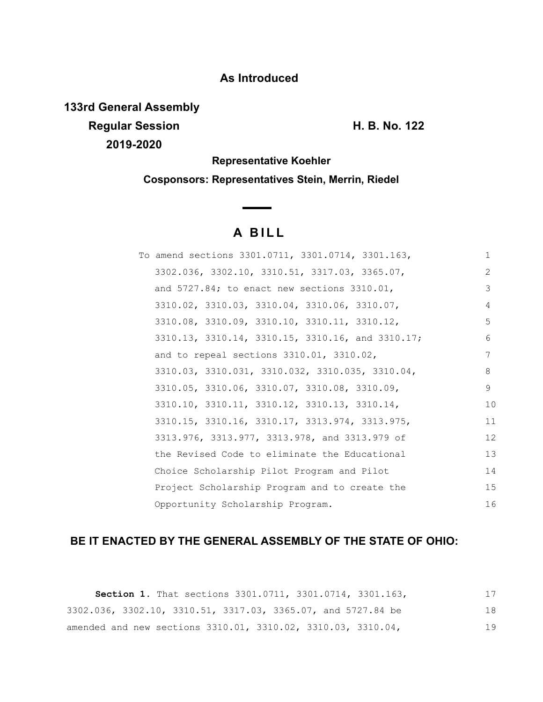# **As Introduced**

**133rd General Assembly Regular Session H. B. No. 122 2019-2020**

**Representative Koehler**

**Cosponsors: Representatives Stein, Merrin, Riedel**

# **A B I L L**

| To amend sections 3301.0711, 3301.0714, 3301.163, | 1              |
|---------------------------------------------------|----------------|
| 3302.036, 3302.10, 3310.51, 3317.03, 3365.07,     | $\overline{2}$ |
| and $5727.84$ ; to enact new sections $3310.01$ , | 3              |
| 3310.02, 3310.03, 3310.04, 3310.06, 3310.07,      | 4              |
| 3310.08, 3310.09, 3310.10, 3310.11, 3310.12,      | 5              |
| 3310.13, 3310.14, 3310.15, 3310.16, and 3310.17;  | 6              |
| and to repeal sections 3310.01, 3310.02,          | 7              |
| 3310.03, 3310.031, 3310.032, 3310.035, 3310.04,   | 8              |
| 3310.05, 3310.06, 3310.07, 3310.08, 3310.09,      | 9              |
| 3310.10, 3310.11, 3310.12, 3310.13, 3310.14,      | 10             |
| 3310.15, 3310.16, 3310.17, 3313.974, 3313.975,    | 11             |
| 3313.976, 3313.977, 3313.978, and 3313.979 of     | 12             |
| the Revised Code to eliminate the Educational     | 13             |
| Choice Scholarship Pilot Program and Pilot        | 14             |
| Project Scholarship Program and to create the     | 15             |
| Opportunity Scholarship Program.                  | 16             |

## **BE IT ENACTED BY THE GENERAL ASSEMBLY OF THE STATE OF OHIO:**

**Section 1.** That sections 3301.0711, 3301.0714, 3301.163, 3302.036, 3302.10, 3310.51, 3317.03, 3365.07, and 5727.84 be amended and new sections 3310.01, 3310.02, 3310.03, 3310.04, 17 18 19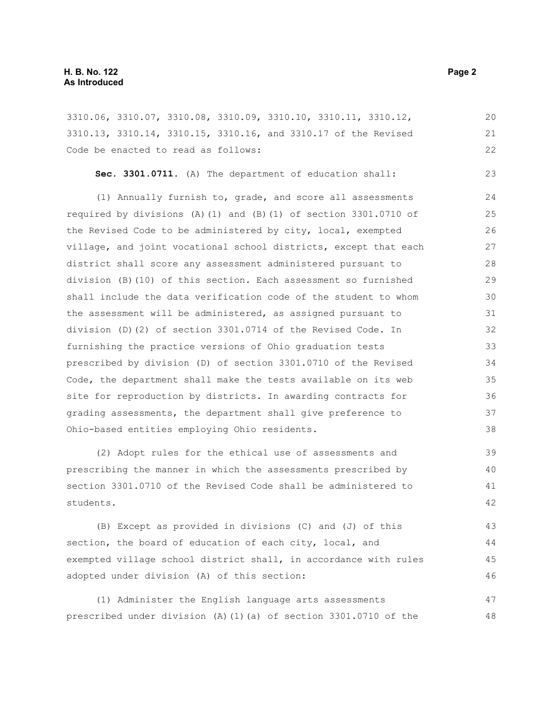3310.06, 3310.07, 3310.08, 3310.09, 3310.10, 3310.11, 3310.12, 3310.13, 3310.14, 3310.15, 3310.16, and 3310.17 of the Revised Code be enacted to read as follows: 20 21 22

**Sec. 3301.0711.** (A) The department of education shall:

(1) Annually furnish to, grade, and score all assessments required by divisions (A)(1) and (B)(1) of section 3301.0710 of the Revised Code to be administered by city, local, exempted village, and joint vocational school districts, except that each district shall score any assessment administered pursuant to division (B)(10) of this section. Each assessment so furnished shall include the data verification code of the student to whom the assessment will be administered, as assigned pursuant to division (D)(2) of section 3301.0714 of the Revised Code. In furnishing the practice versions of Ohio graduation tests prescribed by division (D) of section 3301.0710 of the Revised Code, the department shall make the tests available on its web site for reproduction by districts. In awarding contracts for grading assessments, the department shall give preference to Ohio-based entities employing Ohio residents. 24 25 26 27 28 29 30 31 32 33 34 35 36 37 38

(2) Adopt rules for the ethical use of assessments and prescribing the manner in which the assessments prescribed by section 3301.0710 of the Revised Code shall be administered to students. 39 40 41 42

(B) Except as provided in divisions (C) and (J) of this section, the board of education of each city, local, and exempted village school district shall, in accordance with rules adopted under division (A) of this section: 43 44 45 46

(1) Administer the English language arts assessments prescribed under division (A)(1)(a) of section  $3301.0710$  of the 47 48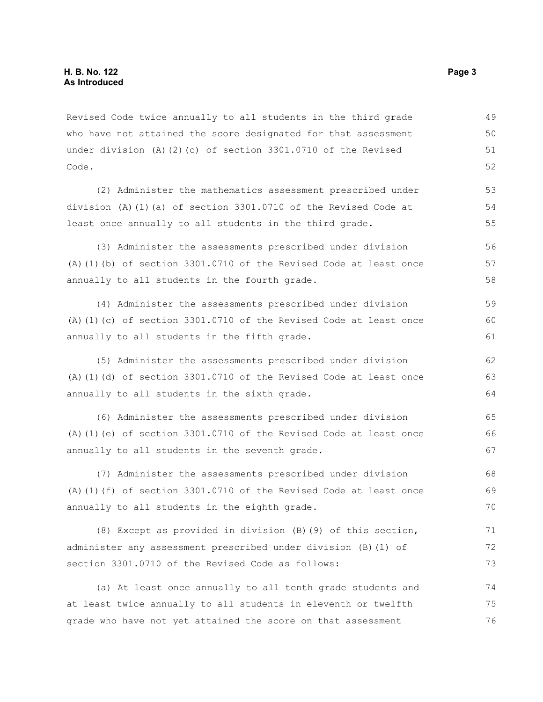Revised Code twice annually to all students in the third grade who have not attained the score designated for that assessment under division (A)(2)(c) of section 3301.0710 of the Revised Code. 49 50 51 52

(2) Administer the mathematics assessment prescribed under division (A)(1)(a) of section 3301.0710 of the Revised Code at least once annually to all students in the third grade.

(3) Administer the assessments prescribed under division (A)(1)(b) of section 3301.0710 of the Revised Code at least once annually to all students in the fourth grade. 56 57 58

(4) Administer the assessments prescribed under division (A)(1)(c) of section 3301.0710 of the Revised Code at least once annually to all students in the fifth grade. 59 60 61

(5) Administer the assessments prescribed under division (A)(1)(d) of section 3301.0710 of the Revised Code at least once annually to all students in the sixth grade.

(6) Administer the assessments prescribed under division (A)(1)(e) of section 3301.0710 of the Revised Code at least once annually to all students in the seventh grade. 65 66 67

(7) Administer the assessments prescribed under division (A)(1)(f) of section 3301.0710 of the Revised Code at least once annually to all students in the eighth grade. 68 69 70

(8) Except as provided in division (B)(9) of this section, administer any assessment prescribed under division (B)(1) of section 3301.0710 of the Revised Code as follows: 71 72 73

(a) At least once annually to all tenth grade students and at least twice annually to all students in eleventh or twelfth grade who have not yet attained the score on that assessment 74 75 76

53 54 55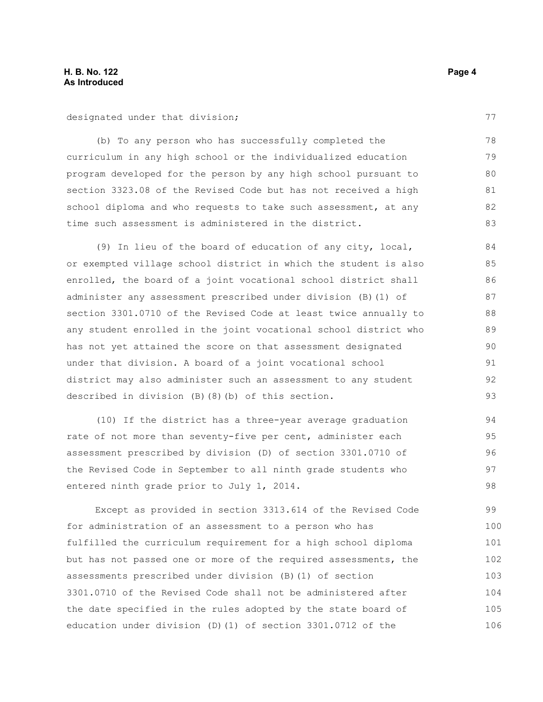designated under that division;

(b) To any person who has successfully completed the curriculum in any high school or the individualized education program developed for the person by any high school pursuant to section 3323.08 of the Revised Code but has not received a high school diploma and who requests to take such assessment, at any time such assessment is administered in the district. 78 79 80 81 82 83

(9) In lieu of the board of education of any city, local, or exempted village school district in which the student is also enrolled, the board of a joint vocational school district shall administer any assessment prescribed under division (B)(1) of section 3301.0710 of the Revised Code at least twice annually to any student enrolled in the joint vocational school district who has not yet attained the score on that assessment designated under that division. A board of a joint vocational school district may also administer such an assessment to any student described in division (B)(8)(b) of this section.

(10) If the district has a three-year average graduation rate of not more than seventy-five per cent, administer each assessment prescribed by division (D) of section 3301.0710 of the Revised Code in September to all ninth grade students who entered ninth grade prior to July 1, 2014. 94 95 96 97 98

Except as provided in section 3313.614 of the Revised Code for administration of an assessment to a person who has fulfilled the curriculum requirement for a high school diploma but has not passed one or more of the required assessments, the assessments prescribed under division (B)(1) of section 3301.0710 of the Revised Code shall not be administered after the date specified in the rules adopted by the state board of education under division (D)(1) of section 3301.0712 of the 99 100 101 102 103 104 105 106

77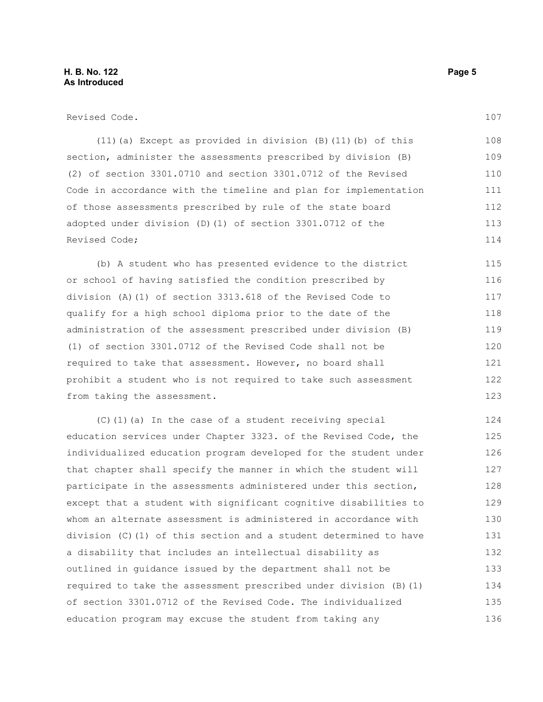Revised Code.

(11)(a) Except as provided in division (B)(11)(b) of this section, administer the assessments prescribed by division (B) (2) of section 3301.0710 and section 3301.0712 of the Revised Code in accordance with the timeline and plan for implementation of those assessments prescribed by rule of the state board adopted under division (D)(1) of section 3301.0712 of the Revised Code; 108 109 110 111 112 113 114

(b) A student who has presented evidence to the district or school of having satisfied the condition prescribed by division (A)(1) of section 3313.618 of the Revised Code to qualify for a high school diploma prior to the date of the administration of the assessment prescribed under division (B) (1) of section 3301.0712 of the Revised Code shall not be required to take that assessment. However, no board shall prohibit a student who is not required to take such assessment from taking the assessment. 115 116 117 118 119 120 121 122 123

(C)(1)(a) In the case of a student receiving special education services under Chapter 3323. of the Revised Code, the individualized education program developed for the student under that chapter shall specify the manner in which the student will participate in the assessments administered under this section, except that a student with significant cognitive disabilities to whom an alternate assessment is administered in accordance with division (C)(1) of this section and a student determined to have a disability that includes an intellectual disability as outlined in guidance issued by the department shall not be required to take the assessment prescribed under division (B)(1) of section 3301.0712 of the Revised Code. The individualized education program may excuse the student from taking any 124 125 126 127 128 129 130 131 132 133 134 135 136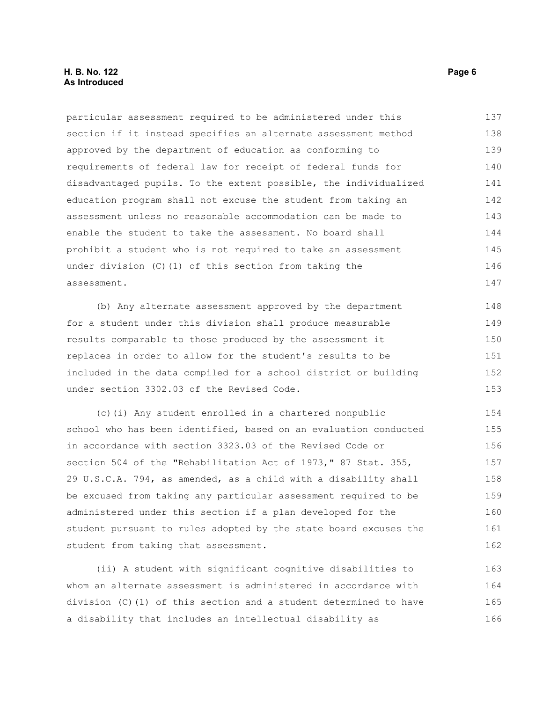## **H. B. No. 122 Page 6 As Introduced**

particular assessment required to be administered under this section if it instead specifies an alternate assessment method approved by the department of education as conforming to requirements of federal law for receipt of federal funds for disadvantaged pupils. To the extent possible, the individualized education program shall not excuse the student from taking an assessment unless no reasonable accommodation can be made to enable the student to take the assessment. No board shall prohibit a student who is not required to take an assessment under division (C)(1) of this section from taking the assessment. 137 138 139 140 141 142 143 144 145 146 147

(b) Any alternate assessment approved by the department for a student under this division shall produce measurable results comparable to those produced by the assessment it replaces in order to allow for the student's results to be included in the data compiled for a school district or building under section 3302.03 of the Revised Code. 148 149 150 151 152 153

(c)(i) Any student enrolled in a chartered nonpublic school who has been identified, based on an evaluation conducted in accordance with section 3323.03 of the Revised Code or section 504 of the "Rehabilitation Act of 1973," 87 Stat. 355, 29 U.S.C.A. 794, as amended, as a child with a disability shall be excused from taking any particular assessment required to be administered under this section if a plan developed for the student pursuant to rules adopted by the state board excuses the student from taking that assessment. 154 155 156 157 158 159 160 161 162

(ii) A student with significant cognitive disabilities to whom an alternate assessment is administered in accordance with division (C)(1) of this section and a student determined to have a disability that includes an intellectual disability as 163 164 165 166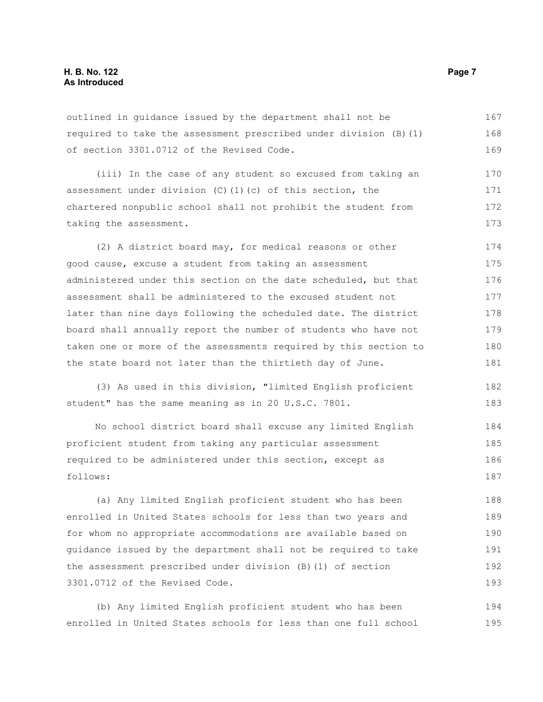outlined in guidance issued by the department shall not be required to take the assessment prescribed under division (B)(1) of section 3301.0712 of the Revised Code. 167 168 169

(iii) In the case of any student so excused from taking an assessment under division (C)(1)(c) of this section, the chartered nonpublic school shall not prohibit the student from taking the assessment. 170 171 172 173

(2) A district board may, for medical reasons or other good cause, excuse a student from taking an assessment administered under this section on the date scheduled, but that assessment shall be administered to the excused student not later than nine days following the scheduled date. The district board shall annually report the number of students who have not taken one or more of the assessments required by this section to the state board not later than the thirtieth day of June. 174 175 176 177 178 179 180 181

(3) As used in this division, "limited English proficient student" has the same meaning as in 20 U.S.C. 7801. 182 183

No school district board shall excuse any limited English proficient student from taking any particular assessment required to be administered under this section, except as follows: 184 185 186 187

(a) Any limited English proficient student who has been enrolled in United States schools for less than two years and for whom no appropriate accommodations are available based on guidance issued by the department shall not be required to take the assessment prescribed under division (B)(1) of section 3301.0712 of the Revised Code. 188 189 190 191 192 193

(b) Any limited English proficient student who has been enrolled in United States schools for less than one full school 194 195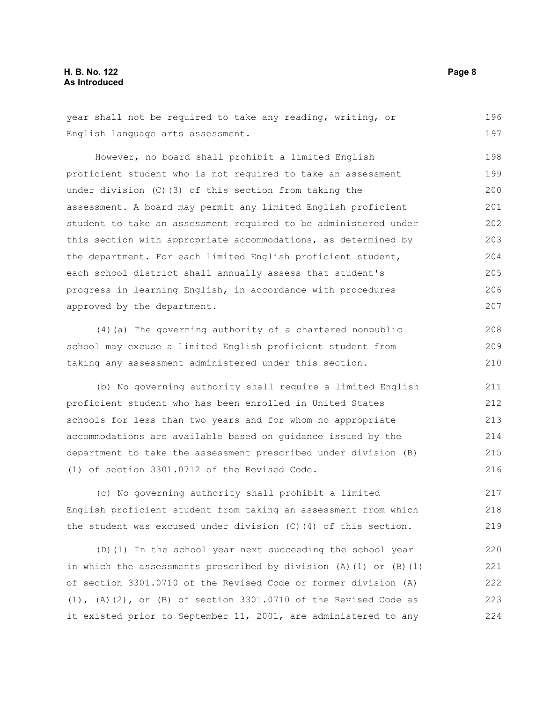## **H. B. No. 122 Page 8 As Introduced**

year shall not be required to take any reading, writing, or English language arts assessment. 196 197

However, no board shall prohibit a limited English proficient student who is not required to take an assessment under division (C)(3) of this section from taking the assessment. A board may permit any limited English proficient student to take an assessment required to be administered under this section with appropriate accommodations, as determined by the department. For each limited English proficient student, each school district shall annually assess that student's progress in learning English, in accordance with procedures approved by the department. 198 199 200 201 202 203 204 205 206 207

(4)(a) The governing authority of a chartered nonpublic school may excuse a limited English proficient student from taking any assessment administered under this section. 208 209 210

(b) No governing authority shall require a limited English proficient student who has been enrolled in United States schools for less than two years and for whom no appropriate accommodations are available based on guidance issued by the department to take the assessment prescribed under division (B) (1) of section 3301.0712 of the Revised Code. 211 212 213 214 215 216

(c) No governing authority shall prohibit a limited English proficient student from taking an assessment from which the student was excused under division (C)(4) of this section. 217 218 219

(D)(1) In the school year next succeeding the school year in which the assessments prescribed by division  $(A)$  (1) or  $(B)$  (1) of section 3301.0710 of the Revised Code or former division (A)  $(1)$ ,  $(A)$   $(2)$ , or  $(B)$  of section 3301.0710 of the Revised Code as it existed prior to September 11, 2001, are administered to any 220 221 222 223 224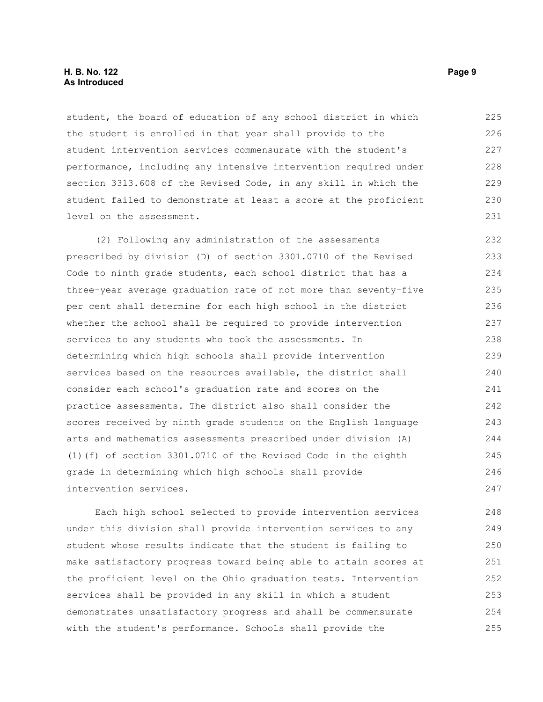## **H. B. No. 122 Page 9 As Introduced**

student, the board of education of any school district in which the student is enrolled in that year shall provide to the student intervention services commensurate with the student's performance, including any intensive intervention required under section 3313.608 of the Revised Code, in any skill in which the student failed to demonstrate at least a score at the proficient level on the assessment. 225 226 227 228 229 230 231

(2) Following any administration of the assessments prescribed by division (D) of section 3301.0710 of the Revised Code to ninth grade students, each school district that has a three-year average graduation rate of not more than seventy-five per cent shall determine for each high school in the district whether the school shall be required to provide intervention services to any students who took the assessments. In determining which high schools shall provide intervention services based on the resources available, the district shall consider each school's graduation rate and scores on the practice assessments. The district also shall consider the scores received by ninth grade students on the English language arts and mathematics assessments prescribed under division (A) (1)(f) of section 3301.0710 of the Revised Code in the eighth grade in determining which high schools shall provide intervention services. 232 233 234 235 236 237 238 239 240 241 242 243 244 245 246 247

Each high school selected to provide intervention services under this division shall provide intervention services to any student whose results indicate that the student is failing to make satisfactory progress toward being able to attain scores at the proficient level on the Ohio graduation tests. Intervention services shall be provided in any skill in which a student demonstrates unsatisfactory progress and shall be commensurate with the student's performance. Schools shall provide the 248 249 250 251 252 253 254 255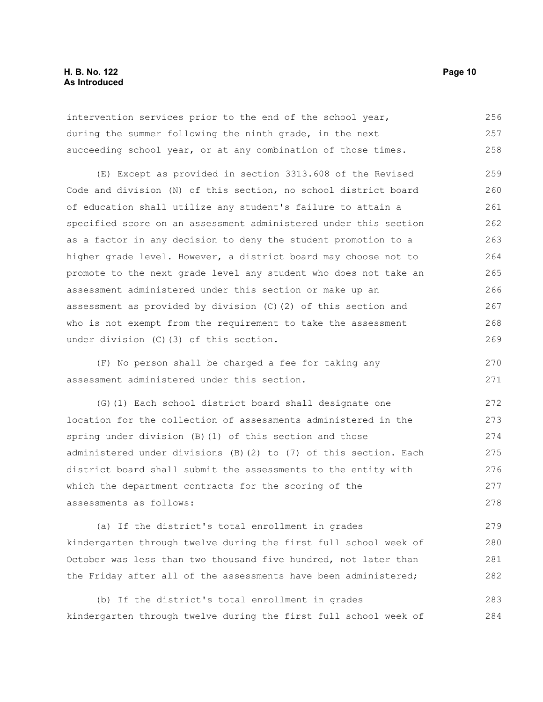## **H. B. No. 122 Page 10 As Introduced**

intervention services prior to the end of the school year, during the summer following the ninth grade, in the next succeeding school year, or at any combination of those times. 256 257 258

(E) Except as provided in section 3313.608 of the Revised Code and division (N) of this section, no school district board of education shall utilize any student's failure to attain a specified score on an assessment administered under this section as a factor in any decision to deny the student promotion to a higher grade level. However, a district board may choose not to promote to the next grade level any student who does not take an assessment administered under this section or make up an assessment as provided by division (C)(2) of this section and who is not exempt from the requirement to take the assessment under division (C)(3) of this section. 259 260 261 262 263 264 265 266 267 268 269

(F) No person shall be charged a fee for taking any assessment administered under this section.

(G)(1) Each school district board shall designate one location for the collection of assessments administered in the spring under division (B)(1) of this section and those administered under divisions (B)(2) to (7) of this section. Each district board shall submit the assessments to the entity with which the department contracts for the scoring of the assessments as follows: 272 273 274 275 276 277 278

(a) If the district's total enrollment in grades kindergarten through twelve during the first full school week of October was less than two thousand five hundred, not later than the Friday after all of the assessments have been administered; 279 280 281 282

(b) If the district's total enrollment in grades kindergarten through twelve during the first full school week of 283 284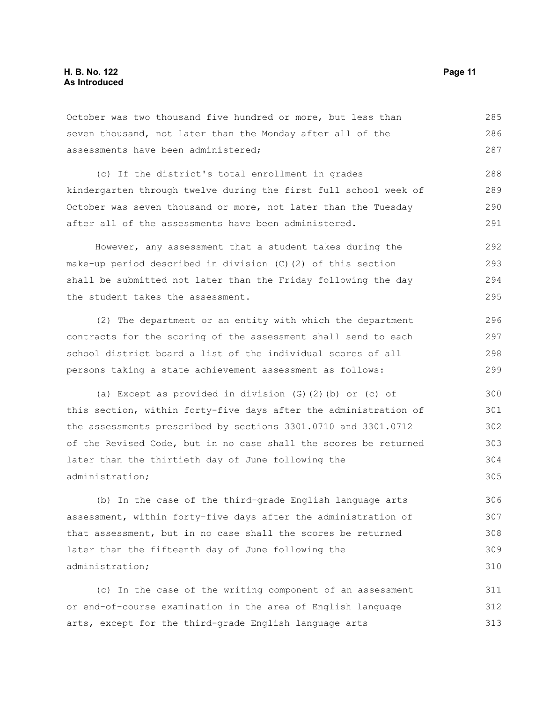October was two thousand five hundred or more, but less than seven thousand, not later than the Monday after all of the assessments have been administered; (c) If the district's total enrollment in grades kindergarten through twelve during the first full school week of October was seven thousand or more, not later than the Tuesday after all of the assessments have been administered. However, any assessment that a student takes during the 285 286 287 288 289 290 291 292

make-up period described in division (C)(2) of this section shall be submitted not later than the Friday following the day the student takes the assessment. 293 294 295

(2) The department or an entity with which the department contracts for the scoring of the assessment shall send to each school district board a list of the individual scores of all persons taking a state achievement assessment as follows:

(a) Except as provided in division (G)(2)(b) or (c) of this section, within forty-five days after the administration of the assessments prescribed by sections 3301.0710 and 3301.0712 of the Revised Code, but in no case shall the scores be returned later than the thirtieth day of June following the administration; 300 301 302 303 304 305

(b) In the case of the third-grade English language arts assessment, within forty-five days after the administration of that assessment, but in no case shall the scores be returned later than the fifteenth day of June following the administration; 306 307 308 309 310

(c) In the case of the writing component of an assessment or end-of-course examination in the area of English language arts, except for the third-grade English language arts 311 312 313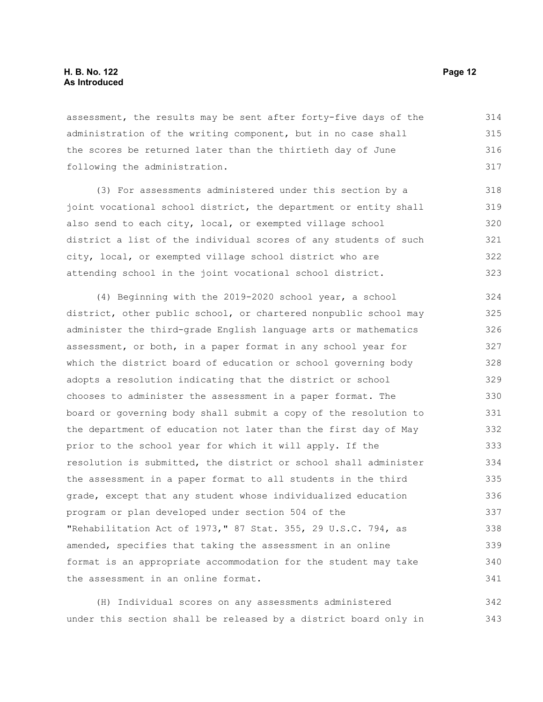assessment, the results may be sent after forty-five days of the administration of the writing component, but in no case shall the scores be returned later than the thirtieth day of June following the administration. 314 315 316 317

(3) For assessments administered under this section by a joint vocational school district, the department or entity shall also send to each city, local, or exempted village school district a list of the individual scores of any students of such city, local, or exempted village school district who are attending school in the joint vocational school district. 318 319 320 321 322 323

(4) Beginning with the 2019-2020 school year, a school district, other public school, or chartered nonpublic school may administer the third-grade English language arts or mathematics assessment, or both, in a paper format in any school year for which the district board of education or school governing body adopts a resolution indicating that the district or school chooses to administer the assessment in a paper format. The board or governing body shall submit a copy of the resolution to the department of education not later than the first day of May prior to the school year for which it will apply. If the resolution is submitted, the district or school shall administer the assessment in a paper format to all students in the third grade, except that any student whose individualized education program or plan developed under section 504 of the "Rehabilitation Act of 1973," 87 Stat. 355, 29 U.S.C. 794, as amended, specifies that taking the assessment in an online format is an appropriate accommodation for the student may take the assessment in an online format. 324 325 326 327 328 329 330 331 332 333 334 335 336 337 338 339 340 341

(H) Individual scores on any assessments administered under this section shall be released by a district board only in 342 343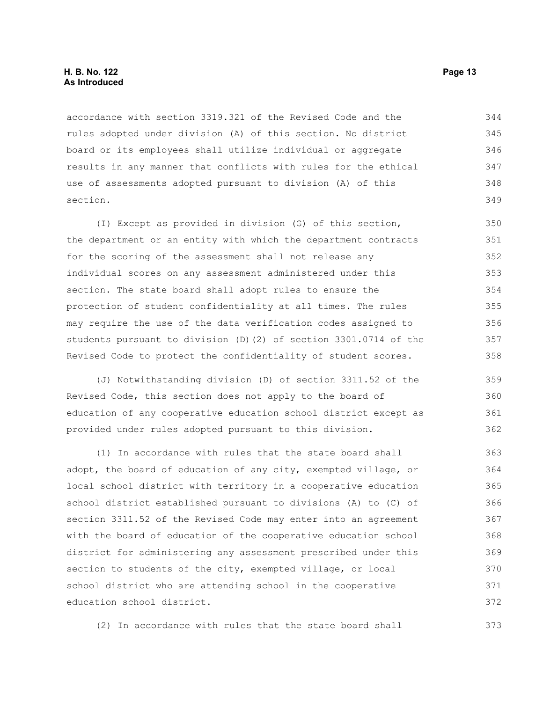accordance with section 3319.321 of the Revised Code and the rules adopted under division (A) of this section. No district board or its employees shall utilize individual or aggregate results in any manner that conflicts with rules for the ethical use of assessments adopted pursuant to division (A) of this section. 344 345 346 347 348 349

(I) Except as provided in division (G) of this section, the department or an entity with which the department contracts for the scoring of the assessment shall not release any individual scores on any assessment administered under this section. The state board shall adopt rules to ensure the protection of student confidentiality at all times. The rules may require the use of the data verification codes assigned to students pursuant to division (D)(2) of section 3301.0714 of the Revised Code to protect the confidentiality of student scores. 350 351 352 353 354 355 356 357 358

(J) Notwithstanding division (D) of section 3311.52 of the Revised Code, this section does not apply to the board of education of any cooperative education school district except as provided under rules adopted pursuant to this division. 359 360 361 362

(1) In accordance with rules that the state board shall adopt, the board of education of any city, exempted village, or local school district with territory in a cooperative education school district established pursuant to divisions (A) to (C) of section 3311.52 of the Revised Code may enter into an agreement with the board of education of the cooperative education school district for administering any assessment prescribed under this section to students of the city, exempted village, or local school district who are attending school in the cooperative education school district. 363 364 365 366 367 368 369 370 371 372

(2) In accordance with rules that the state board shall 373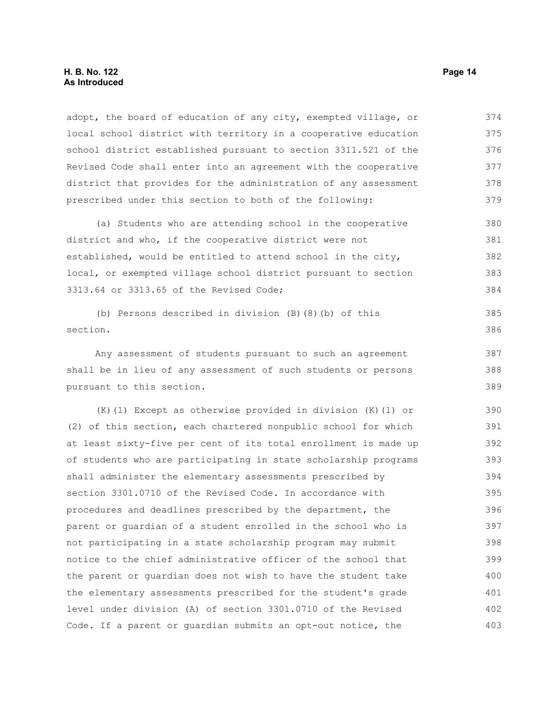## **H. B. No. 122 Page 14 As Introduced**

adopt, the board of education of any city, exempted village, or local school district with territory in a cooperative education school district established pursuant to section 3311.521 of the Revised Code shall enter into an agreement with the cooperative district that provides for the administration of any assessment prescribed under this section to both of the following: 374 375 376 377 378 379

(a) Students who are attending school in the cooperative district and who, if the cooperative district were not established, would be entitled to attend school in the city, local, or exempted village school district pursuant to section 3313.64 or 3313.65 of the Revised Code; 380 381 382 383 384

(b) Persons described in division (B)(8)(b) of this section.

Any assessment of students pursuant to such an agreement shall be in lieu of any assessment of such students or persons pursuant to this section. 387 388

(K)(1) Except as otherwise provided in division (K)(1) or (2) of this section, each chartered nonpublic school for which at least sixty-five per cent of its total enrollment is made up of students who are participating in state scholarship programs shall administer the elementary assessments prescribed by section 3301.0710 of the Revised Code. In accordance with procedures and deadlines prescribed by the department, the parent or guardian of a student enrolled in the school who is not participating in a state scholarship program may submit notice to the chief administrative officer of the school that the parent or guardian does not wish to have the student take the elementary assessments prescribed for the student's grade level under division (A) of section 3301.0710 of the Revised Code. If a parent or guardian submits an opt-out notice, the 390 391 392 393 394 395 396 397 398 399 400 401 402 403

385 386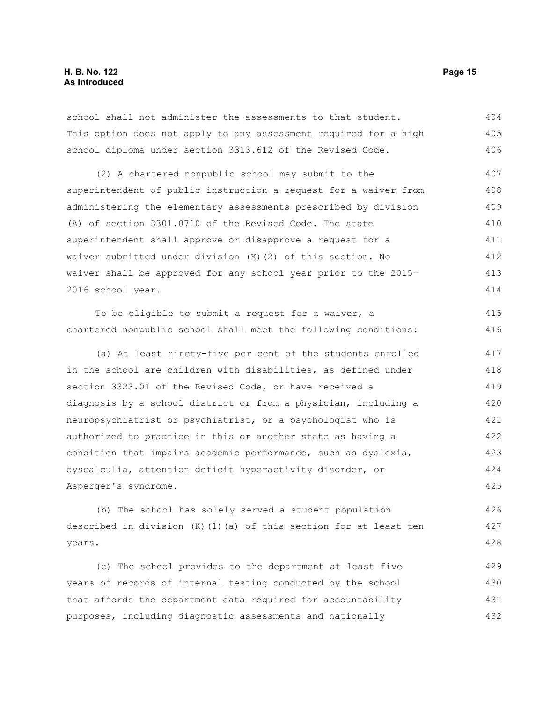school shall not administer the assessments to that student. This option does not apply to any assessment required for a high school diploma under section 3313.612 of the Revised Code. 404 405 406

(2) A chartered nonpublic school may submit to the superintendent of public instruction a request for a waiver from administering the elementary assessments prescribed by division (A) of section 3301.0710 of the Revised Code. The state superintendent shall approve or disapprove a request for a waiver submitted under division (K)(2) of this section. No waiver shall be approved for any school year prior to the 2015- 2016 school year. 407 408 409 410 411 412 413 414

To be eligible to submit a request for a waiver, a chartered nonpublic school shall meet the following conditions: 415 416

(a) At least ninety-five per cent of the students enrolled in the school are children with disabilities, as defined under section 3323.01 of the Revised Code, or have received a diagnosis by a school district or from a physician, including a neuropsychiatrist or psychiatrist, or a psychologist who is authorized to practice in this or another state as having a condition that impairs academic performance, such as dyslexia, dyscalculia, attention deficit hyperactivity disorder, or Asperger's syndrome. 417 418 419 420 421 422 423 424 425

(b) The school has solely served a student population described in division  $(K)$  (1)(a) of this section for at least ten years. 426 427 428

(c) The school provides to the department at least five years of records of internal testing conducted by the school that affords the department data required for accountability purposes, including diagnostic assessments and nationally 429 430 431 432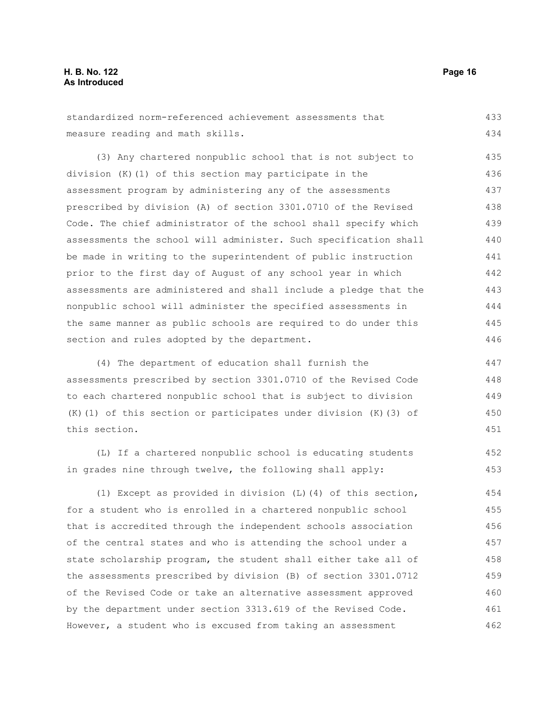standardized norm-referenced achievement assessments that measure reading and math skills. 433 434

(3) Any chartered nonpublic school that is not subject to division (K)(1) of this section may participate in the assessment program by administering any of the assessments prescribed by division (A) of section 3301.0710 of the Revised Code. The chief administrator of the school shall specify which assessments the school will administer. Such specification shall be made in writing to the superintendent of public instruction prior to the first day of August of any school year in which assessments are administered and shall include a pledge that the nonpublic school will administer the specified assessments in the same manner as public schools are required to do under this section and rules adopted by the department. 435 436 437 438 439 440 441 442 443 444 445 446

(4) The department of education shall furnish the assessments prescribed by section 3301.0710 of the Revised Code to each chartered nonpublic school that is subject to division (K)(1) of this section or participates under division (K)(3) of this section. 447 448 449 450 451

(L) If a chartered nonpublic school is educating students in grades nine through twelve, the following shall apply:

(1) Except as provided in division (L)(4) of this section, for a student who is enrolled in a chartered nonpublic school that is accredited through the independent schools association of the central states and who is attending the school under a state scholarship program, the student shall either take all of the assessments prescribed by division (B) of section 3301.0712 of the Revised Code or take an alternative assessment approved by the department under section 3313.619 of the Revised Code. However, a student who is excused from taking an assessment 454 455 456 457 458 459 460 461 462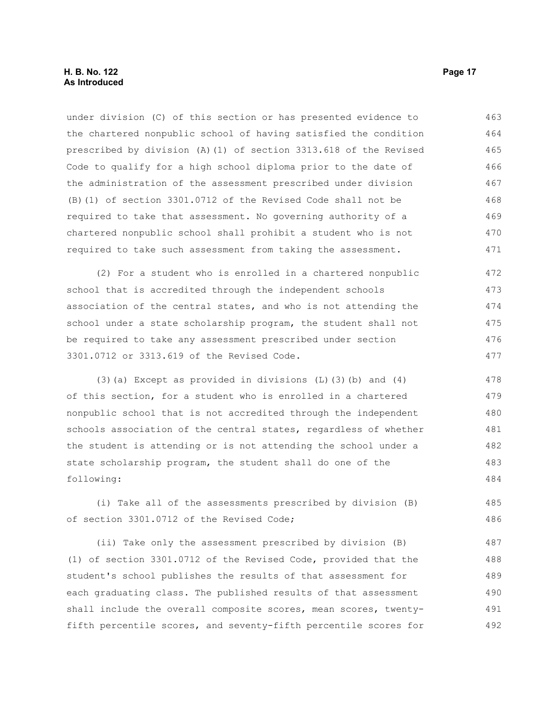under division (C) of this section or has presented evidence to the chartered nonpublic school of having satisfied the condition prescribed by division (A)(1) of section 3313.618 of the Revised Code to qualify for a high school diploma prior to the date of the administration of the assessment prescribed under division (B)(1) of section 3301.0712 of the Revised Code shall not be required to take that assessment. No governing authority of a chartered nonpublic school shall prohibit a student who is not required to take such assessment from taking the assessment. 463 464 465 466 467 468 469 470 471

(2) For a student who is enrolled in a chartered nonpublic school that is accredited through the independent schools association of the central states, and who is not attending the school under a state scholarship program, the student shall not be required to take any assessment prescribed under section 3301.0712 or 3313.619 of the Revised Code. 472 473 474 475 476 477

(3)(a) Except as provided in divisions (L)(3)(b) and (4) of this section, for a student who is enrolled in a chartered nonpublic school that is not accredited through the independent schools association of the central states, regardless of whether the student is attending or is not attending the school under a state scholarship program, the student shall do one of the following: 478 479 480 481 482 483 484

(i) Take all of the assessments prescribed by division (B) of section 3301.0712 of the Revised Code; 485 486

(ii) Take only the assessment prescribed by division (B) (1) of section 3301.0712 of the Revised Code, provided that the student's school publishes the results of that assessment for each graduating class. The published results of that assessment shall include the overall composite scores, mean scores, twentyfifth percentile scores, and seventy-fifth percentile scores for 487 488 489 490 491 492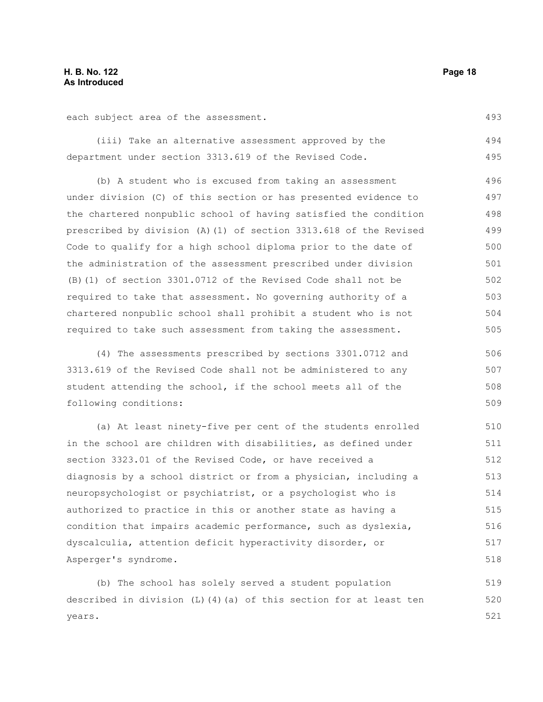each subject area of the assessment.

(iii) Take an alternative assessment approved by the department under section 3313.619 of the Revised Code. 494 495

(b) A student who is excused from taking an assessment under division (C) of this section or has presented evidence to the chartered nonpublic school of having satisfied the condition prescribed by division (A)(1) of section 3313.618 of the Revised Code to qualify for a high school diploma prior to the date of the administration of the assessment prescribed under division (B)(1) of section 3301.0712 of the Revised Code shall not be required to take that assessment. No governing authority of a chartered nonpublic school shall prohibit a student who is not required to take such assessment from taking the assessment. 496 497 498 499 500 501 502 503 504 505

(4) The assessments prescribed by sections 3301.0712 and 3313.619 of the Revised Code shall not be administered to any student attending the school, if the school meets all of the following conditions: 506 507 508 509

(a) At least ninety-five per cent of the students enrolled in the school are children with disabilities, as defined under section 3323.01 of the Revised Code, or have received a diagnosis by a school district or from a physician, including a neuropsychologist or psychiatrist, or a psychologist who is authorized to practice in this or another state as having a condition that impairs academic performance, such as dyslexia, dyscalculia, attention deficit hyperactivity disorder, or Asperger's syndrome. 510 511 512 513 514 515 516 517 518

(b) The school has solely served a student population described in division (L)(4)(a) of this section for at least ten years. 519 520 521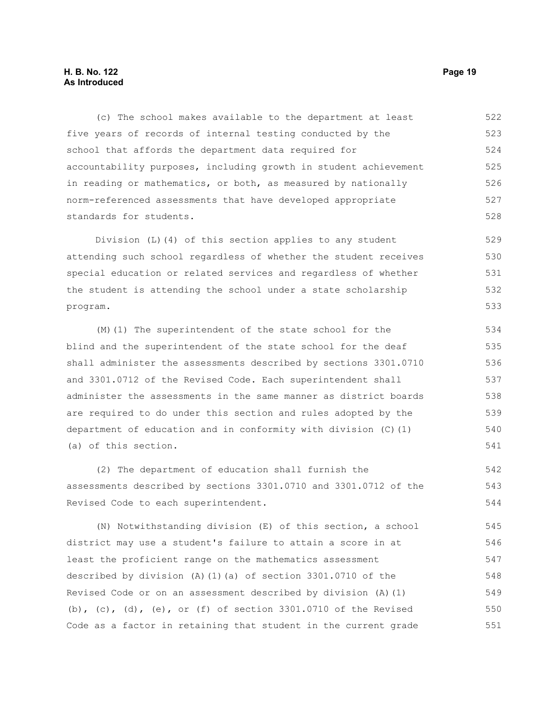## **H. B. No. 122 Page 19 As Introduced**

(c) The school makes available to the department at least five years of records of internal testing conducted by the school that affords the department data required for accountability purposes, including growth in student achievement in reading or mathematics, or both, as measured by nationally norm-referenced assessments that have developed appropriate standards for students. 522 523 524 525 526 527 528

Division (L)(4) of this section applies to any student attending such school regardless of whether the student receives special education or related services and regardless of whether the student is attending the school under a state scholarship program. 529 530 531 532 533

(M)(1) The superintendent of the state school for the blind and the superintendent of the state school for the deaf shall administer the assessments described by sections 3301.0710 and 3301.0712 of the Revised Code. Each superintendent shall administer the assessments in the same manner as district boards are required to do under this section and rules adopted by the department of education and in conformity with division (C)(1) (a) of this section.

(2) The department of education shall furnish the assessments described by sections 3301.0710 and 3301.0712 of the Revised Code to each superintendent.

(N) Notwithstanding division (E) of this section, a school district may use a student's failure to attain a score in at least the proficient range on the mathematics assessment described by division (A)(1)(a) of section 3301.0710 of the Revised Code or on an assessment described by division (A)(1) (b), (c), (d), (e), or (f) of section  $3301.0710$  of the Revised Code as a factor in retaining that student in the current grade 545 546 547 548 549 550 551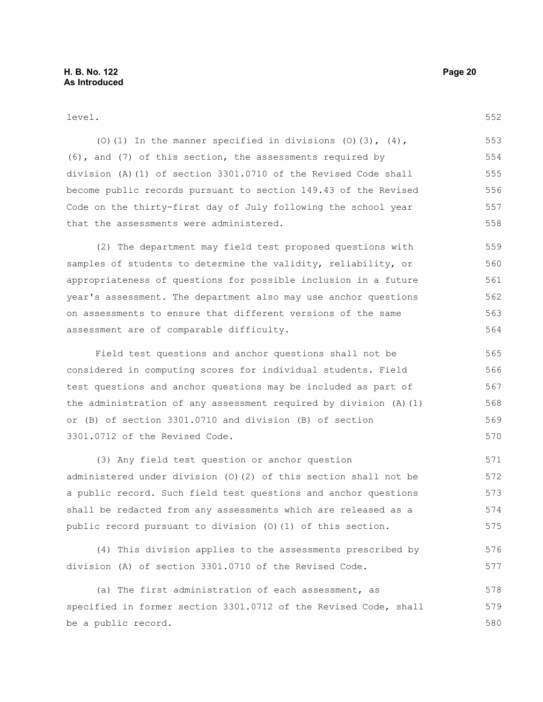#### level.

(O)(1) In the manner specified in divisions (O)(3),  $(4)$ , (6), and (7) of this section, the assessments required by division (A)(1) of section 3301.0710 of the Revised Code shall become public records pursuant to section 149.43 of the Revised Code on the thirty-first day of July following the school year that the assessments were administered. 553 554 555 556 557 558

(2) The department may field test proposed questions with samples of students to determine the validity, reliability, or appropriateness of questions for possible inclusion in a future year's assessment. The department also may use anchor questions on assessments to ensure that different versions of the same assessment are of comparable difficulty. 559 560 561 562 563 564

Field test questions and anchor questions shall not be considered in computing scores for individual students. Field test questions and anchor questions may be included as part of the administration of any assessment required by division (A)(1) or (B) of section 3301.0710 and division (B) of section 3301.0712 of the Revised Code. 565 566 567 568 569 570

(3) Any field test question or anchor question administered under division (O)(2) of this section shall not be a public record. Such field test questions and anchor questions shall be redacted from any assessments which are released as a public record pursuant to division (O)(1) of this section. 571 572 573 574 575

(4) This division applies to the assessments prescribed by division (A) of section 3301.0710 of the Revised Code. 576 577

(a) The first administration of each assessment, as specified in former section 3301.0712 of the Revised Code, shall be a public record. 578 579 580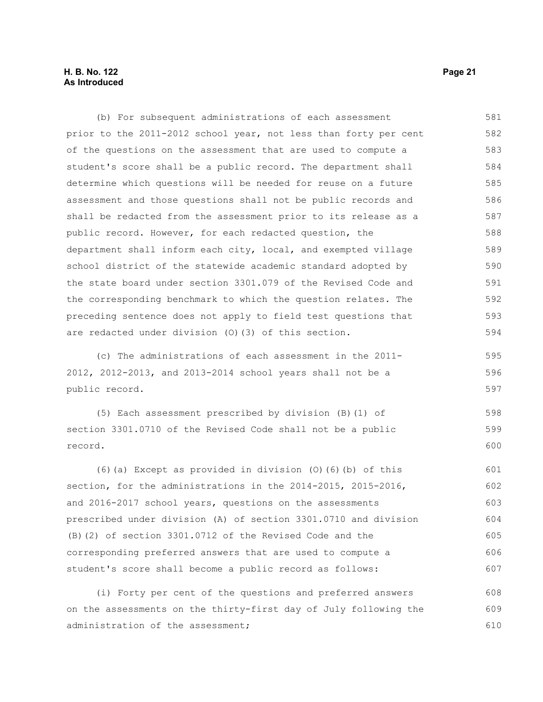## **H. B. No. 122 Page 21 As Introduced**

(b) For subsequent administrations of each assessment prior to the 2011-2012 school year, not less than forty per cent of the questions on the assessment that are used to compute a student's score shall be a public record. The department shall determine which questions will be needed for reuse on a future assessment and those questions shall not be public records and shall be redacted from the assessment prior to its release as a public record. However, for each redacted question, the department shall inform each city, local, and exempted village school district of the statewide academic standard adopted by the state board under section 3301.079 of the Revised Code and the corresponding benchmark to which the question relates. The preceding sentence does not apply to field test questions that are redacted under division (O)(3) of this section. 581 582 583 584 585 586 587 588 589 590 591 592 593 594

(c) The administrations of each assessment in the 2011- 2012, 2012-2013, and 2013-2014 school years shall not be a public record. 595 596 597

(5) Each assessment prescribed by division (B)(1) of section 3301.0710 of the Revised Code shall not be a public record. 598 599 600

(6)(a) Except as provided in division (O)(6)(b) of this section, for the administrations in the 2014-2015, 2015-2016, and 2016-2017 school years, questions on the assessments prescribed under division (A) of section 3301.0710 and division (B)(2) of section 3301.0712 of the Revised Code and the corresponding preferred answers that are used to compute a student's score shall become a public record as follows: 601 602 603 604 605 606 607

(i) Forty per cent of the questions and preferred answers on the assessments on the thirty-first day of July following the administration of the assessment; 608 609 610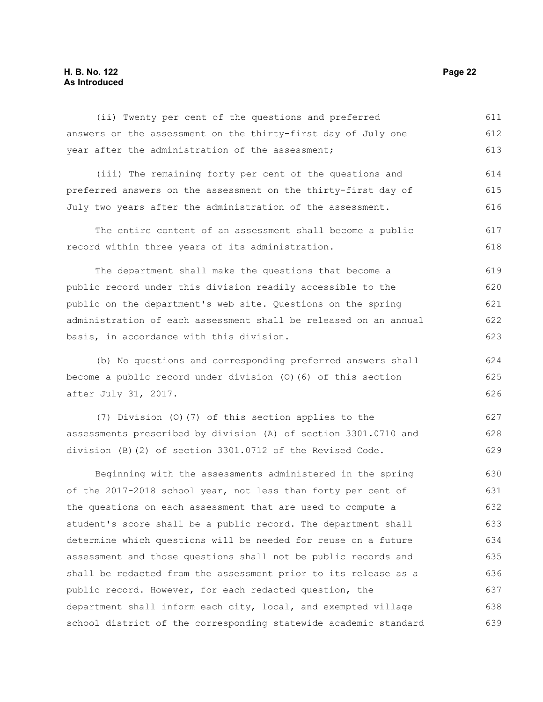## **H. B. No. 122 Page 22 As Introduced**

(ii) Twenty per cent of the questions and preferred answers on the assessment on the thirty-first day of July one year after the administration of the assessment; 611 612 613

(iii) The remaining forty per cent of the questions and preferred answers on the assessment on the thirty-first day of July two years after the administration of the assessment. 614 615 616

The entire content of an assessment shall become a public record within three years of its administration. 617 618

The department shall make the questions that become a public record under this division readily accessible to the public on the department's web site. Questions on the spring administration of each assessment shall be released on an annual basis, in accordance with this division. 619 620 621 622 623

(b) No questions and corresponding preferred answers shall become a public record under division (O)(6) of this section after July 31, 2017.

(7) Division (O)(7) of this section applies to the assessments prescribed by division (A) of section 3301.0710 and division (B)(2) of section 3301.0712 of the Revised Code.

Beginning with the assessments administered in the spring of the 2017-2018 school year, not less than forty per cent of the questions on each assessment that are used to compute a student's score shall be a public record. The department shall determine which questions will be needed for reuse on a future assessment and those questions shall not be public records and shall be redacted from the assessment prior to its release as a public record. However, for each redacted question, the department shall inform each city, local, and exempted village school district of the corresponding statewide academic standard 630 631 632 633 634 635 636 637 638 639

624 625 626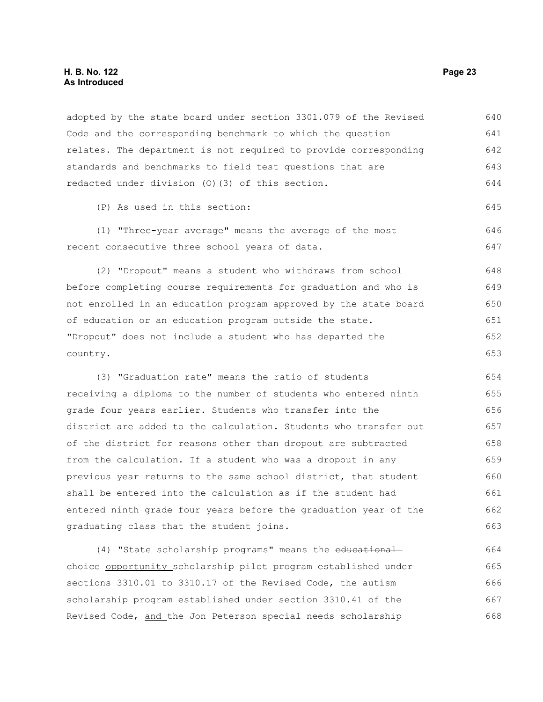## **H. B. No. 122 Page 23 As Introduced**

adopted by the state board under section 3301.079 of the Revised Code and the corresponding benchmark to which the question relates. The department is not required to provide corresponding standards and benchmarks to field test questions that are redacted under division (O)(3) of this section. 640 641 642 643 644

(P) As used in this section:

(1) "Three-year average" means the average of the most recent consecutive three school years of data. 646 647

(2) "Dropout" means a student who withdraws from school before completing course requirements for graduation and who is not enrolled in an education program approved by the state board of education or an education program outside the state. "Dropout" does not include a student who has departed the country. 648 649 650 651 652 653

(3) "Graduation rate" means the ratio of students receiving a diploma to the number of students who entered ninth grade four years earlier. Students who transfer into the district are added to the calculation. Students who transfer out of the district for reasons other than dropout are subtracted from the calculation. If a student who was a dropout in any previous year returns to the same school district, that student shall be entered into the calculation as if the student had entered ninth grade four years before the graduation year of the graduating class that the student joins. 654 655 656 657 658 659 660 661 662 663

(4) "State scholarship programs" means the educationalchoice opportunity scholarship pilot program established under sections 3310.01 to 3310.17 of the Revised Code, the autism scholarship program established under section 3310.41 of the Revised Code, and the Jon Peterson special needs scholarship 664 665 666 667 668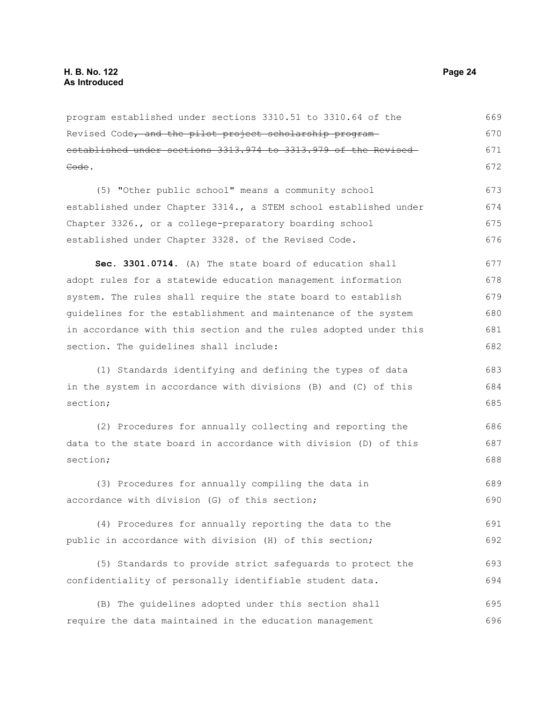program established under sections 3310.51 to 3310.64 of the Revised Code, and the pilot project scholarship program established under sections 3313.974 to 3313.979 of the Revised Code. (5) "Other public school" means a community school established under Chapter 3314., a STEM school established under Chapter 3326., or a college-preparatory boarding school established under Chapter 3328. of the Revised Code. **Sec. 3301.0714.** (A) The state board of education shall adopt rules for a statewide education management information system. The rules shall require the state board to establish guidelines for the establishment and maintenance of the system in accordance with this section and the rules adopted under this section. The guidelines shall include: (1) Standards identifying and defining the types of data in the system in accordance with divisions (B) and (C) of this section; (2) Procedures for annually collecting and reporting the data to the state board in accordance with division (D) of this section; (3) Procedures for annually compiling the data in accordance with division (G) of this section; (4) Procedures for annually reporting the data to the public in accordance with division (H) of this section; (5) Standards to provide strict safeguards to protect the confidentiality of personally identifiable student data. (B) The guidelines adopted under this section shall require the data maintained in the education management 669 670 671 672 673 674 675 676 677 678 679 680 681 682 683 684 685 686 687 688 689 690 691 692 693 694 695 696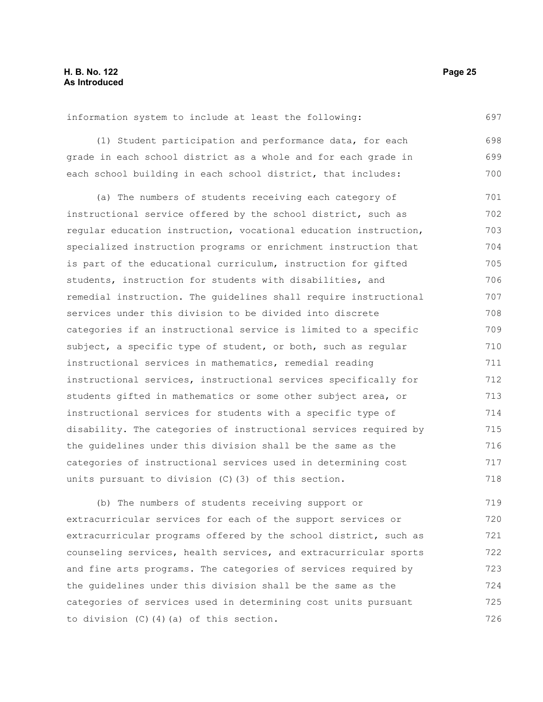information system to include at least the following:

(1) Student participation and performance data, for each grade in each school district as a whole and for each grade in each school building in each school district, that includes: 698 699 700

(a) The numbers of students receiving each category of instructional service offered by the school district, such as regular education instruction, vocational education instruction, specialized instruction programs or enrichment instruction that is part of the educational curriculum, instruction for gifted students, instruction for students with disabilities, and remedial instruction. The guidelines shall require instructional services under this division to be divided into discrete categories if an instructional service is limited to a specific subject, a specific type of student, or both, such as regular instructional services in mathematics, remedial reading instructional services, instructional services specifically for students gifted in mathematics or some other subject area, or instructional services for students with a specific type of disability. The categories of instructional services required by the guidelines under this division shall be the same as the categories of instructional services used in determining cost units pursuant to division (C)(3) of this section. 701 702 703 704 705 706 707 708 709 710 711 712 713 714 715 716 717 718

(b) The numbers of students receiving support or extracurricular services for each of the support services or extracurricular programs offered by the school district, such as counseling services, health services, and extracurricular sports and fine arts programs. The categories of services required by the guidelines under this division shall be the same as the categories of services used in determining cost units pursuant to division (C)(4)(a) of this section. 719 720 721 722 723 724 725 726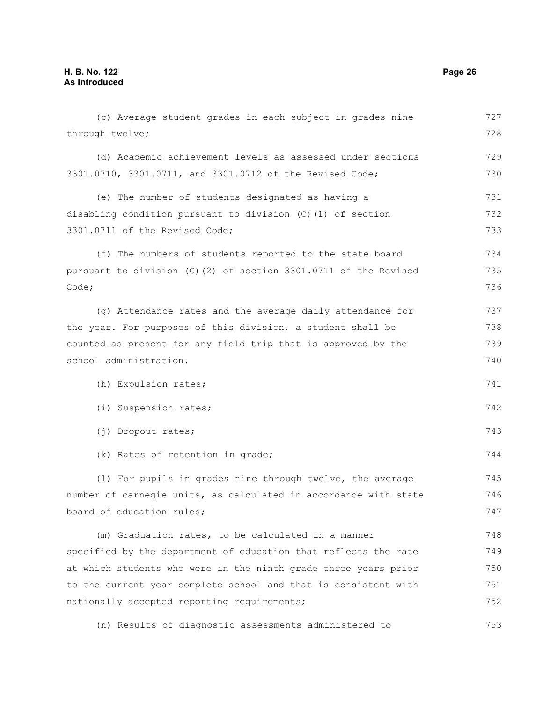(c) Average student grades in each subject in grades nine through twelve; (d) Academic achievement levels as assessed under sections 3301.0710, 3301.0711, and 3301.0712 of the Revised Code; (e) The number of students designated as having a disabling condition pursuant to division (C)(1) of section 3301.0711 of the Revised Code; (f) The numbers of students reported to the state board pursuant to division (C)(2) of section 3301.0711 of the Revised Code; (g) Attendance rates and the average daily attendance for the year. For purposes of this division, a student shall be counted as present for any field trip that is approved by the school administration. (h) Expulsion rates; (i) Suspension rates; (j) Dropout rates; (k) Rates of retention in grade; (l) For pupils in grades nine through twelve, the average number of carnegie units, as calculated in accordance with state board of education rules; (m) Graduation rates, to be calculated in a manner specified by the department of education that reflects the rate at which students who were in the ninth grade three years prior to the current year complete school and that is consistent with nationally accepted reporting requirements; (n) Results of diagnostic assessments administered to 727 728 729 730 731 732 733 734 735 736 737 738 739 740 741 742 743 744 745 746 747 748 749 750 751 752 753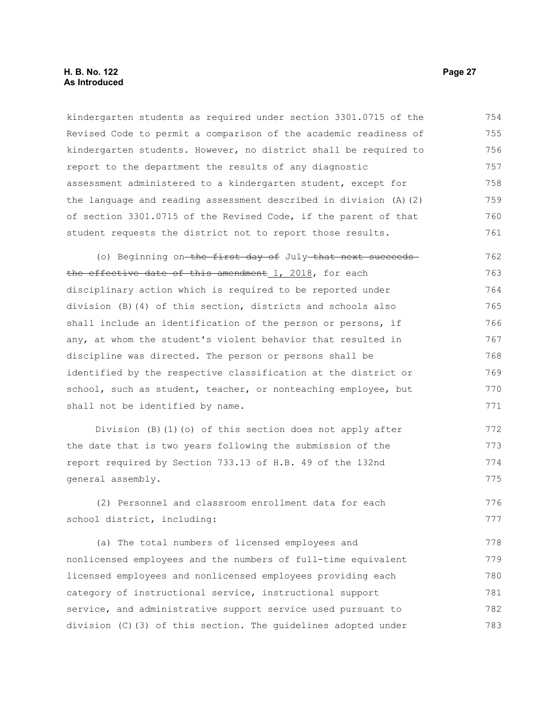kindergarten students as required under section 3301.0715 of the Revised Code to permit a comparison of the academic readiness of kindergarten students. However, no district shall be required to report to the department the results of any diagnostic assessment administered to a kindergarten student, except for the language and reading assessment described in division (A)(2) of section 3301.0715 of the Revised Code, if the parent of that student requests the district not to report those results. 754 755 756 757 758 759 760 761

(o) Beginning on-the first day of July-that next succeedsthe effective date of this amendment 1, 2018, for each disciplinary action which is required to be reported under division (B)(4) of this section, districts and schools also shall include an identification of the person or persons, if any, at whom the student's violent behavior that resulted in discipline was directed. The person or persons shall be identified by the respective classification at the district or school, such as student, teacher, or nonteaching employee, but shall not be identified by name. 762 763 764 765 766 767 768 769 770 771

Division (B)(1)(o) of this section does not apply after the date that is two years following the submission of the report required by Section 733.13 of H.B. 49 of the 132nd general assembly. 772 773 774 775

(2) Personnel and classroom enrollment data for each school district, including: 776 777

(a) The total numbers of licensed employees and nonlicensed employees and the numbers of full-time equivalent licensed employees and nonlicensed employees providing each category of instructional service, instructional support service, and administrative support service used pursuant to division (C)(3) of this section. The guidelines adopted under 778 779 780 781 782 783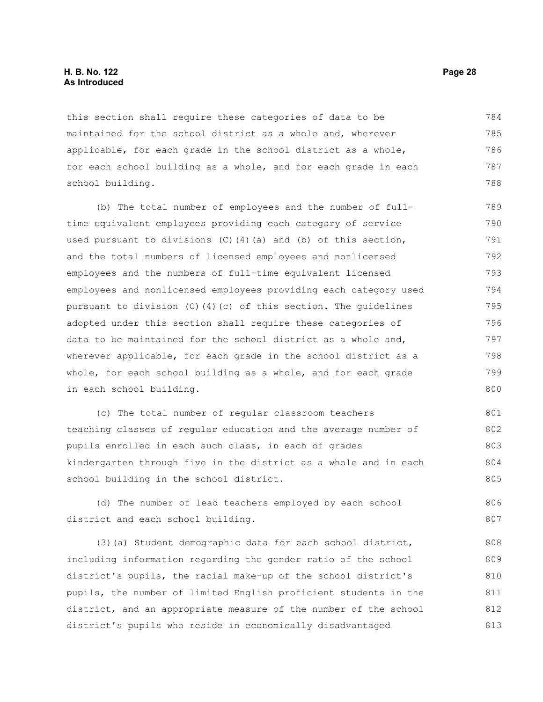## **H. B. No. 122 Page 28 As Introduced**

this section shall require these categories of data to be maintained for the school district as a whole and, wherever applicable, for each grade in the school district as a whole, for each school building as a whole, and for each grade in each school building. 784 785 786 787 788

(b) The total number of employees and the number of fulltime equivalent employees providing each category of service used pursuant to divisions  $(C)$  (4)(a) and (b) of this section, and the total numbers of licensed employees and nonlicensed employees and the numbers of full-time equivalent licensed employees and nonlicensed employees providing each category used pursuant to division (C)(4)(c) of this section. The guidelines adopted under this section shall require these categories of data to be maintained for the school district as a whole and, wherever applicable, for each grade in the school district as a whole, for each school building as a whole, and for each grade in each school building. 789 790 791 792 793 794 795 796 797 798 799 800

(c) The total number of regular classroom teachers teaching classes of regular education and the average number of pupils enrolled in each such class, in each of grades kindergarten through five in the district as a whole and in each school building in the school district. 801 802 803 804 805

(d) The number of lead teachers employed by each school district and each school building. 806 807

(3)(a) Student demographic data for each school district, including information regarding the gender ratio of the school district's pupils, the racial make-up of the school district's pupils, the number of limited English proficient students in the district, and an appropriate measure of the number of the school district's pupils who reside in economically disadvantaged 808 809 810 811 812 813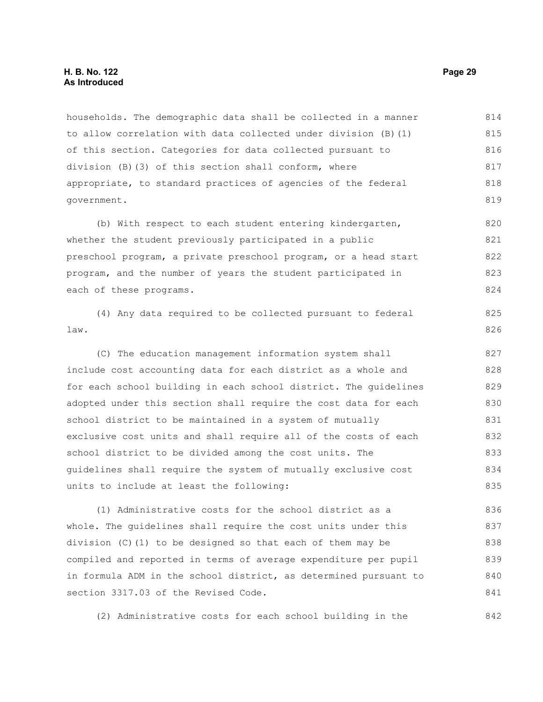households. The demographic data shall be collected in a manner to allow correlation with data collected under division (B)(1) of this section. Categories for data collected pursuant to division (B)(3) of this section shall conform, where appropriate, to standard practices of agencies of the federal government. 814 815 816 817 818 819

(b) With respect to each student entering kindergarten, whether the student previously participated in a public preschool program, a private preschool program, or a head start program, and the number of years the student participated in each of these programs. 820 821 822 823 824

(4) Any data required to be collected pursuant to federal law. 825 826

(C) The education management information system shall include cost accounting data for each district as a whole and for each school building in each school district. The guidelines adopted under this section shall require the cost data for each school district to be maintained in a system of mutually exclusive cost units and shall require all of the costs of each school district to be divided among the cost units. The guidelines shall require the system of mutually exclusive cost units to include at least the following: 827 828 829 830 831 832 833 834 835

(1) Administrative costs for the school district as a whole. The guidelines shall require the cost units under this division (C)(1) to be designed so that each of them may be compiled and reported in terms of average expenditure per pupil in formula ADM in the school district, as determined pursuant to section 3317.03 of the Revised Code. 836 837 838 839 840 841

(2) Administrative costs for each school building in the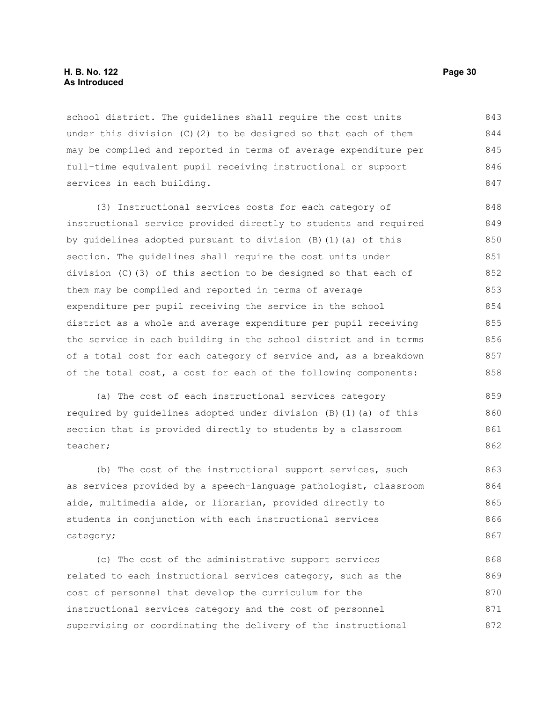## **H. B. No. 122 Page 30 As Introduced**

school district. The guidelines shall require the cost units under this division (C)(2) to be designed so that each of them may be compiled and reported in terms of average expenditure per full-time equivalent pupil receiving instructional or support services in each building. 843 844 845 846 847

(3) Instructional services costs for each category of instructional service provided directly to students and required by guidelines adopted pursuant to division (B)(1)(a) of this section. The guidelines shall require the cost units under division (C)(3) of this section to be designed so that each of them may be compiled and reported in terms of average expenditure per pupil receiving the service in the school district as a whole and average expenditure per pupil receiving the service in each building in the school district and in terms of a total cost for each category of service and, as a breakdown of the total cost, a cost for each of the following components: 848 849 850 851 852 853 854 855 856 857 858

(a) The cost of each instructional services category required by guidelines adopted under division (B)(1)(a) of this section that is provided directly to students by a classroom teacher; 859 860 861 862

(b) The cost of the instructional support services, such as services provided by a speech-language pathologist, classroom aide, multimedia aide, or librarian, provided directly to students in conjunction with each instructional services category;

(c) The cost of the administrative support services related to each instructional services category, such as the cost of personnel that develop the curriculum for the instructional services category and the cost of personnel supervising or coordinating the delivery of the instructional 868 869 870 871 872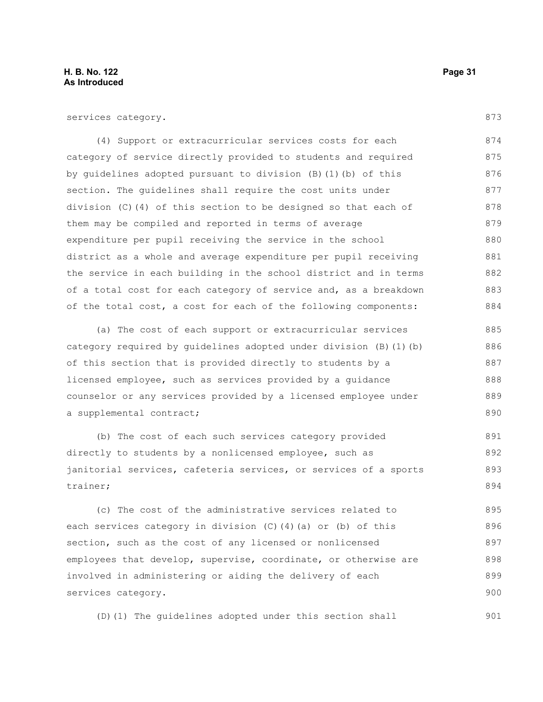873

890

services category.

(4) Support or extracurricular services costs for each category of service directly provided to students and required by guidelines adopted pursuant to division (B)(1)(b) of this section. The guidelines shall require the cost units under division (C)(4) of this section to be designed so that each of them may be compiled and reported in terms of average expenditure per pupil receiving the service in the school district as a whole and average expenditure per pupil receiving the service in each building in the school district and in terms of a total cost for each category of service and, as a breakdown of the total cost, a cost for each of the following components: 874 875 876 877 878 879 880 881 882 883 884

(a) The cost of each support or extracurricular services category required by guidelines adopted under division (B)(1)(b) of this section that is provided directly to students by a licensed employee, such as services provided by a guidance counselor or any services provided by a licensed employee under a supplemental contract; 885 886 887 888 889

(b) The cost of each such services category provided directly to students by a nonlicensed employee, such as janitorial services, cafeteria services, or services of a sports trainer; 891 892 893 894

(c) The cost of the administrative services related to each services category in division (C)(4)(a) or (b) of this section, such as the cost of any licensed or nonlicensed employees that develop, supervise, coordinate, or otherwise are involved in administering or aiding the delivery of each services category. 895 896 897 898 899 900

(D)(1) The guidelines adopted under this section shall 901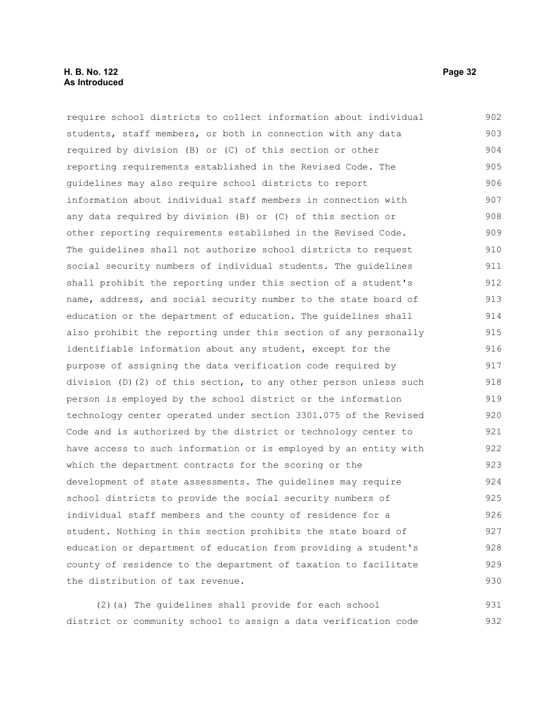## **H. B. No. 122 Page 32 As Introduced**

require school districts to collect information about individual students, staff members, or both in connection with any data required by division (B) or (C) of this section or other reporting requirements established in the Revised Code. The guidelines may also require school districts to report information about individual staff members in connection with any data required by division (B) or (C) of this section or other reporting requirements established in the Revised Code. The guidelines shall not authorize school districts to request social security numbers of individual students. The guidelines shall prohibit the reporting under this section of a student's name, address, and social security number to the state board of education or the department of education. The guidelines shall also prohibit the reporting under this section of any personally identifiable information about any student, except for the purpose of assigning the data verification code required by division (D)(2) of this section, to any other person unless such person is employed by the school district or the information technology center operated under section 3301.075 of the Revised Code and is authorized by the district or technology center to have access to such information or is employed by an entity with which the department contracts for the scoring or the development of state assessments. The guidelines may require school districts to provide the social security numbers of individual staff members and the county of residence for a student. Nothing in this section prohibits the state board of education or department of education from providing a student's county of residence to the department of taxation to facilitate the distribution of tax revenue. 902 903 904 905 906 907 908 909 910 911 912 913 914 915 916 917 918 919 920 921 922 923 924 925 926 927 928 929 930

(2)(a) The guidelines shall provide for each school district or community school to assign a data verification code 931 932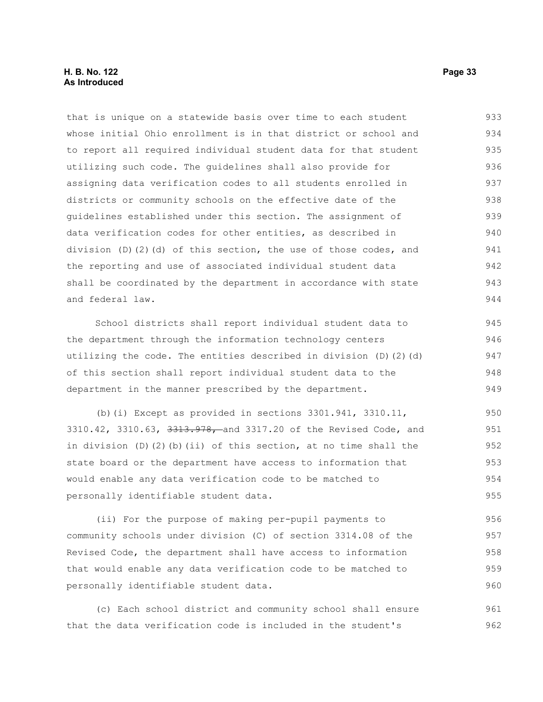## **H. B. No. 122 Page 33 As Introduced**

that is unique on a statewide basis over time to each student whose initial Ohio enrollment is in that district or school and to report all required individual student data for that student utilizing such code. The guidelines shall also provide for assigning data verification codes to all students enrolled in districts or community schools on the effective date of the guidelines established under this section. The assignment of data verification codes for other entities, as described in division (D)(2)(d) of this section, the use of those codes, and the reporting and use of associated individual student data shall be coordinated by the department in accordance with state and federal law. 933 934 935 936 937 938 939 940 941 942 943 944

School districts shall report individual student data to the department through the information technology centers utilizing the code. The entities described in division (D)(2)(d) of this section shall report individual student data to the department in the manner prescribed by the department.

(b)(i) Except as provided in sections  $3301.941$ ,  $3310.11$ , 3310.42, 3310.63, 3313.978, and 3317.20 of the Revised Code, and in division  $(D)$   $(2)$   $(b)$   $(ii)$  of this section, at no time shall the state board or the department have access to information that would enable any data verification code to be matched to personally identifiable student data. 950 951 952 953 954 955

(ii) For the purpose of making per-pupil payments to community schools under division (C) of section 3314.08 of the Revised Code, the department shall have access to information that would enable any data verification code to be matched to personally identifiable student data. 956 957 958 959 960

(c) Each school district and community school shall ensure that the data verification code is included in the student's 961 962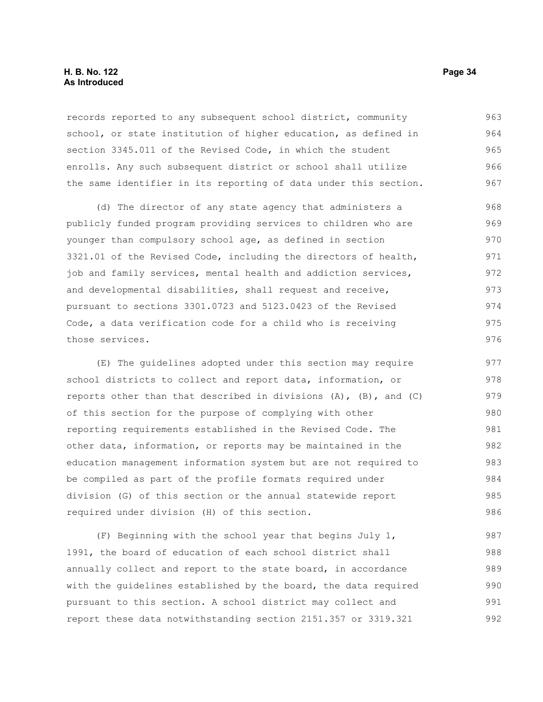## **H. B. No. 122 Page 34 As Introduced**

records reported to any subsequent school district, community school, or state institution of higher education, as defined in section 3345.011 of the Revised Code, in which the student enrolls. Any such subsequent district or school shall utilize the same identifier in its reporting of data under this section. 963 964 965 966 967

(d) The director of any state agency that administers a publicly funded program providing services to children who are younger than compulsory school age, as defined in section 3321.01 of the Revised Code, including the directors of health, job and family services, mental health and addiction services, and developmental disabilities, shall request and receive, pursuant to sections 3301.0723 and 5123.0423 of the Revised Code, a data verification code for a child who is receiving those services.

(E) The guidelines adopted under this section may require school districts to collect and report data, information, or reports other than that described in divisions  $(A)$ ,  $(B)$ , and  $(C)$ of this section for the purpose of complying with other reporting requirements established in the Revised Code. The other data, information, or reports may be maintained in the education management information system but are not required to be compiled as part of the profile formats required under division (G) of this section or the annual statewide report required under division (H) of this section. 977 978 979 980 981 982 983 984 985 986

(F) Beginning with the school year that begins July 1, 1991, the board of education of each school district shall annually collect and report to the state board, in accordance with the guidelines established by the board, the data required pursuant to this section. A school district may collect and report these data notwithstanding section 2151.357 or 3319.321 987 988 989 990 991 992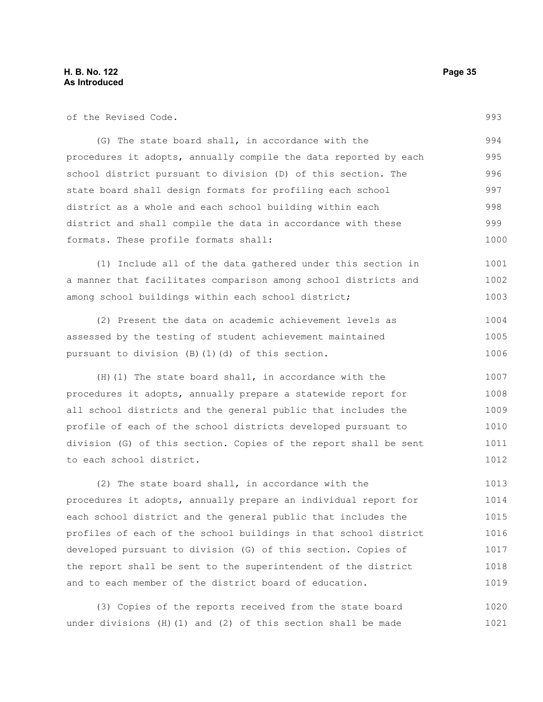| of the Revised Code.                                             | 993  |
|------------------------------------------------------------------|------|
| (G) The state board shall, in accordance with the                | 994  |
| procedures it adopts, annually compile the data reported by each |      |
| school district pursuant to division (D) of this section. The    | 996  |
| state board shall design formats for profiling each school       | 997  |
| district as a whole and each school building within each         | 998  |
| district and shall compile the data in accordance with these     | 999  |
| formats. These profile formats shall:                            | 1000 |
| (1) Include all of the data gathered under this section in       | 1001 |
| a manner that facilitates comparison among school districts and  | 1002 |
| among school buildings within each school district;              | 1003 |
| (2) Present the data on academic achievement levels as           | 1004 |
| assessed by the testing of student achievement maintained        | 1005 |
| pursuant to division (B) (1) (d) of this section.                | 1006 |
| $(H)$ (1) The state board shall, in accordance with the          | 1007 |
| procedures it adopts, annually prepare a statewide report for    | 1008 |
| all school districts and the general public that includes the    | 1009 |
| profile of each of the school districts developed pursuant to    | 1010 |
| division (G) of this section. Copies of the report shall be sent | 1011 |
| to each school district.                                         | 1012 |
| (2) The state board shall, in accordance with the                | 1013 |
| procedures it adopts, annually prepare an individual report for  | 1014 |
| each school district and the general public that includes the    | 1015 |
| profiles of each of the school buildings in that school district | 1016 |
| developed pursuant to division (G) of this section. Copies of    | 1017 |
| the report shall be sent to the superintendent of the district   | 1018 |
| and to each member of the district board of education.           | 1019 |

(3) Copies of the reports received from the state board under divisions (H)(1) and (2) of this section shall be made 1020 1021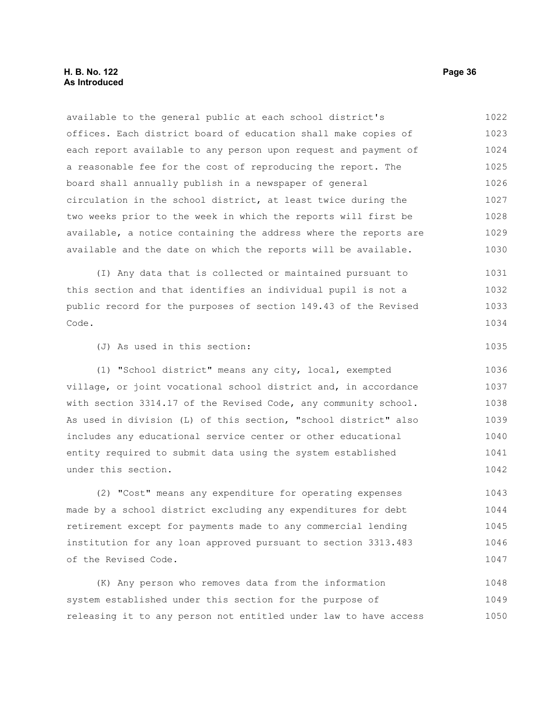available to the general public at each school district's offices. Each district board of education shall make copies of each report available to any person upon request and payment of a reasonable fee for the cost of reproducing the report. The board shall annually publish in a newspaper of general circulation in the school district, at least twice during the two weeks prior to the week in which the reports will first be available, a notice containing the address where the reports are available and the date on which the reports will be available. 1022 1023 1024 1025 1026 1027 1028 1029 1030

(I) Any data that is collected or maintained pursuant to this section and that identifies an individual pupil is not a public record for the purposes of section 149.43 of the Revised Code. 1031 1032 1033 1034

(J) As used in this section:

(1) "School district" means any city, local, exempted village, or joint vocational school district and, in accordance with section 3314.17 of the Revised Code, any community school. As used in division (L) of this section, "school district" also includes any educational service center or other educational entity required to submit data using the system established under this section. 1036 1037 1038 1039 1040 1041 1042

(2) "Cost" means any expenditure for operating expenses made by a school district excluding any expenditures for debt retirement except for payments made to any commercial lending institution for any loan approved pursuant to section 3313.483 of the Revised Code. 1043 1044 1045 1046 1047

(K) Any person who removes data from the information system established under this section for the purpose of releasing it to any person not entitled under law to have access 1048 1049 1050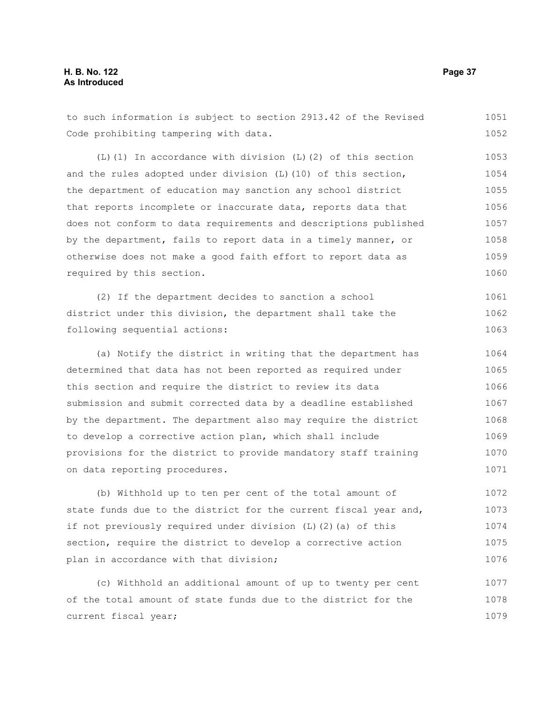to such information is subject to section 2913.42 of the Revised Code prohibiting tampering with data. 1051 1052

(L)(1) In accordance with division (L)(2) of this section and the rules adopted under division (L)(10) of this section, the department of education may sanction any school district that reports incomplete or inaccurate data, reports data that does not conform to data requirements and descriptions published by the department, fails to report data in a timely manner, or otherwise does not make a good faith effort to report data as required by this section. 1053 1054 1055 1056 1057 1058 1059 1060

(2) If the department decides to sanction a school district under this division, the department shall take the following sequential actions: 1061 1062 1063

(a) Notify the district in writing that the department has determined that data has not been reported as required under this section and require the district to review its data submission and submit corrected data by a deadline established by the department. The department also may require the district to develop a corrective action plan, which shall include provisions for the district to provide mandatory staff training on data reporting procedures. 1064 1065 1066 1067 1068 1069 1070 1071

(b) Withhold up to ten per cent of the total amount of state funds due to the district for the current fiscal year and, if not previously required under division (L)(2)(a) of this section, require the district to develop a corrective action plan in accordance with that division; 1072 1073 1074 1075 1076

(c) Withhold an additional amount of up to twenty per cent of the total amount of state funds due to the district for the current fiscal year; 1077 1078 1079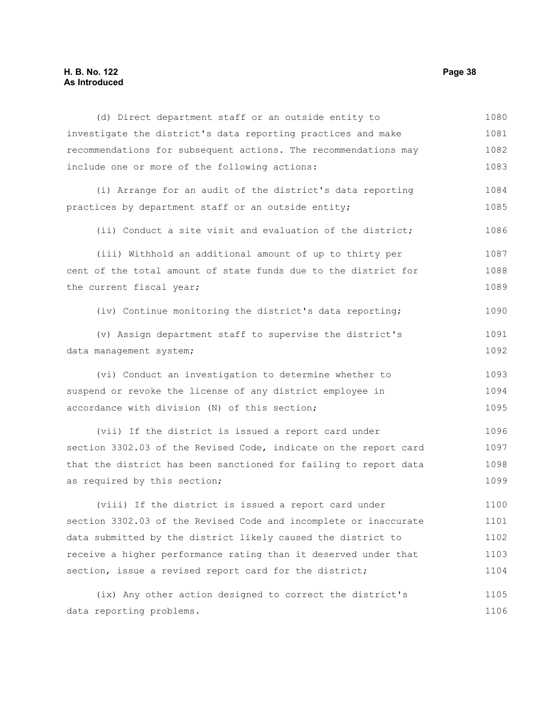# **H. B. No. 122 Page 38 As Introduced**

| (d) Direct department staff or an outside entity to              | 1080 |
|------------------------------------------------------------------|------|
| investigate the district's data reporting practices and make     | 1081 |
| recommendations for subsequent actions. The recommendations may  | 1082 |
| include one or more of the following actions:                    | 1083 |
| (i) Arrange for an audit of the district's data reporting        | 1084 |
| practices by department staff or an outside entity;              | 1085 |
| (ii) Conduct a site visit and evaluation of the district;        | 1086 |
| (iii) Withhold an additional amount of up to thirty per          | 1087 |
| cent of the total amount of state funds due to the district for  | 1088 |
| the current fiscal year;                                         | 1089 |
| (iv) Continue monitoring the district's data reporting;          | 1090 |
| (v) Assign department staff to supervise the district's          | 1091 |
| data management system;                                          | 1092 |
| (vi) Conduct an investigation to determine whether to            | 1093 |
| suspend or revoke the license of any district employee in        | 1094 |
| accordance with division (N) of this section;                    | 1095 |
| (vii) If the district is issued a report card under              | 1096 |
| section 3302.03 of the Revised Code, indicate on the report card | 1097 |
| that the district has been sanctioned for failing to report data | 1098 |
| as required by this section;                                     | 1099 |
| (viii) If the district is issued a report card under             | 1100 |
| section 3302.03 of the Revised Code and incomplete or inaccurate | 1101 |
| data submitted by the district likely caused the district to     | 1102 |
| receive a higher performance rating than it deserved under that  | 1103 |
| section, issue a revised report card for the district;           | 1104 |
| (ix) Any other action designed to correct the district's         | 1105 |
| data reporting problems.                                         | 1106 |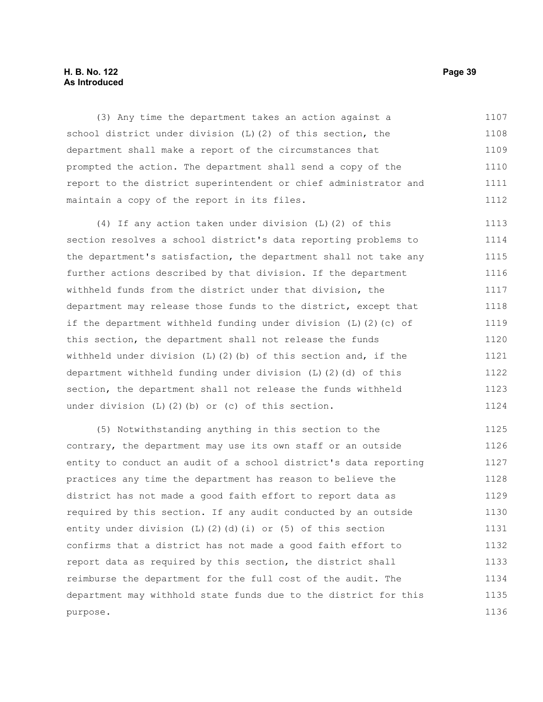#### **H. B. No. 122 Page 39 As Introduced**

(3) Any time the department takes an action against a school district under division (L)(2) of this section, the department shall make a report of the circumstances that prompted the action. The department shall send a copy of the report to the district superintendent or chief administrator and maintain a copy of the report in its files. 1107 1108 1109 1110 1111 1112

(4) If any action taken under division (L)(2) of this section resolves a school district's data reporting problems to the department's satisfaction, the department shall not take any further actions described by that division. If the department withheld funds from the district under that division, the department may release those funds to the district, except that if the department withheld funding under division (L)(2)(c) of this section, the department shall not release the funds withheld under division  $(L)$   $(2)$   $(b)$  of this section and, if the department withheld funding under division (L)(2)(d) of this section, the department shall not release the funds withheld under division (L)(2)(b) or (c) of this section. 1113 1114 1115 1116 1117 1118 1119 1120 1121 1122 1123 1124

(5) Notwithstanding anything in this section to the contrary, the department may use its own staff or an outside entity to conduct an audit of a school district's data reporting practices any time the department has reason to believe the district has not made a good faith effort to report data as required by this section. If any audit conducted by an outside entity under division (L)(2)(d)(i) or (5) of this section confirms that a district has not made a good faith effort to report data as required by this section, the district shall reimburse the department for the full cost of the audit. The department may withhold state funds due to the district for this purpose. 1125 1126 1127 1128 1129 1130 1131 1132 1133 1134 1135 1136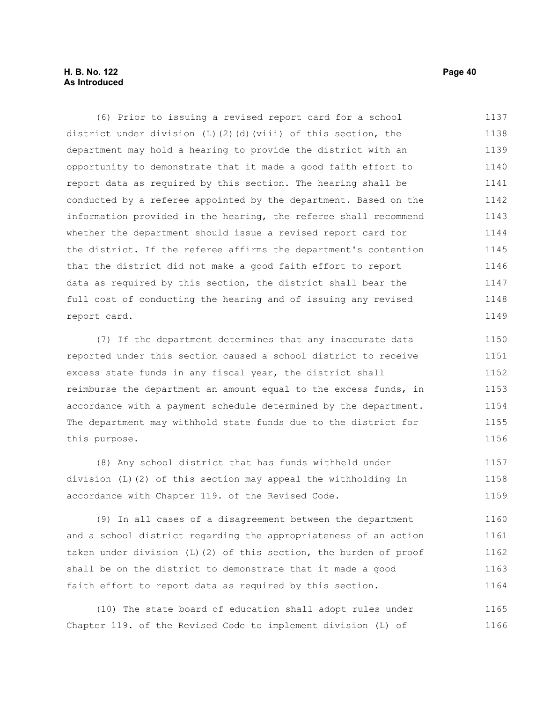### **H. B. No. 122 Page 40 As Introduced**

(6) Prior to issuing a revised report card for a school district under division (L)(2)(d)(viii) of this section, the department may hold a hearing to provide the district with an opportunity to demonstrate that it made a good faith effort to report data as required by this section. The hearing shall be conducted by a referee appointed by the department. Based on the information provided in the hearing, the referee shall recommend whether the department should issue a revised report card for the district. If the referee affirms the department's contention that the district did not make a good faith effort to report data as required by this section, the district shall bear the full cost of conducting the hearing and of issuing any revised report card. 1137 1138 1139 1140 1141 1142 1143 1144 1145 1146 1147 1148 1149

(7) If the department determines that any inaccurate data reported under this section caused a school district to receive excess state funds in any fiscal year, the district shall reimburse the department an amount equal to the excess funds, in accordance with a payment schedule determined by the department. The department may withhold state funds due to the district for this purpose. 1150 1151 1152 1153 1154 1155 1156

(8) Any school district that has funds withheld under division (L)(2) of this section may appeal the withholding in accordance with Chapter 119. of the Revised Code. 1157 1158 1159

(9) In all cases of a disagreement between the department and a school district regarding the appropriateness of an action taken under division (L)(2) of this section, the burden of proof shall be on the district to demonstrate that it made a good faith effort to report data as required by this section. 1160 1161 1162 1163 1164

(10) The state board of education shall adopt rules under Chapter 119. of the Revised Code to implement division (L) of 1165 1166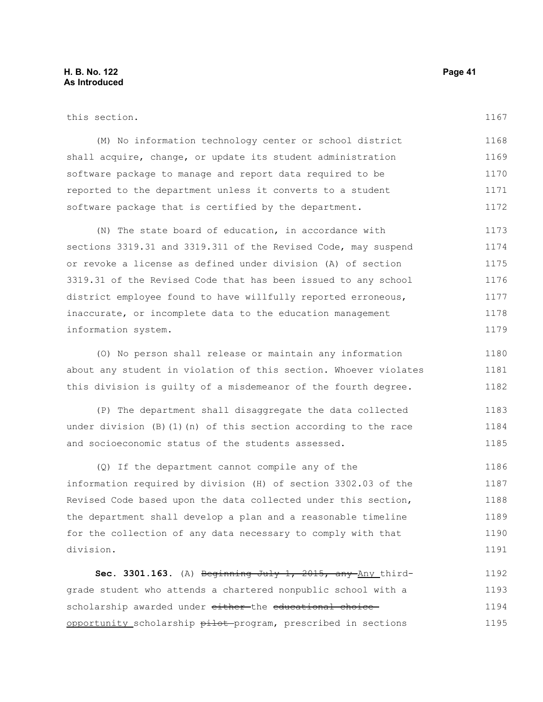information system.

1167

> 1180 1181 1182

| this section.                                                  |
|----------------------------------------------------------------|
| (M) No information technology center or school district        |
| shall acquire, change, or update its student administration    |
| software package to manage and report data required to be      |
| reported to the department unless it converts to a student     |
| software package that is certified by the department.          |
| (N) The state board of education, in accordance with           |
| sections 3319.31 and 3319.311 of the Revised Code, may suspend |
| or revoke a license as defined under division (A) of section   |
| 3319.31 of the Revised Code that has been issued to any school |

district employee found to have willfully reported erroneous,

inaccurate, or incomplete data to the education management

(O) No person shall release or maintain any information about any student in violation of this section. Whoever violates this division is guilty of a misdemeanor of the fourth degree.

(P) The department shall disaggregate the data collected under division  $(B)$  (1)(n) of this section according to the race and socioeconomic status of the students assessed. 1183 1184 1185

(Q) If the department cannot compile any of the information required by division (H) of section 3302.03 of the Revised Code based upon the data collected under this section, the department shall develop a plan and a reasonable timeline for the collection of any data necessary to comply with that division. 1186 1187 1188 1189 1190 1191

**Sec. 3301.163.** (A) Beginning July 1, 2015, any Any thirdgrade student who attends a chartered nonpublic school with a scholarship awarded under either the educational choice opportunity scholarship pilot program, prescribed in sections 1192 1193 1194 1195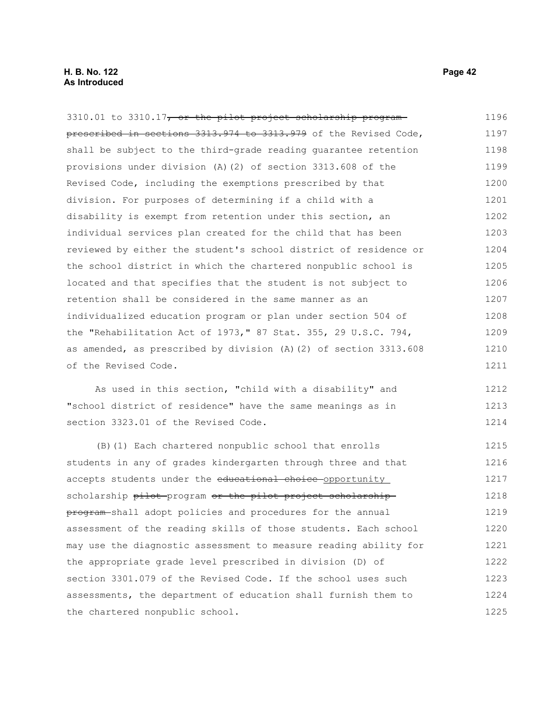3310.01 to 3310.17, or the pilot project scholarship program prescribed in sections 3313.974 to 3313.979 of the Revised Code, shall be subject to the third-grade reading guarantee retention provisions under division (A)(2) of section 3313.608 of the Revised Code, including the exemptions prescribed by that division. For purposes of determining if a child with a disability is exempt from retention under this section, an individual services plan created for the child that has been reviewed by either the student's school district of residence or the school district in which the chartered nonpublic school is located and that specifies that the student is not subject to retention shall be considered in the same manner as an individualized education program or plan under section 504 of the "Rehabilitation Act of 1973," 87 Stat. 355, 29 U.S.C. 794, as amended, as prescribed by division (A)(2) of section 3313.608 of the Revised Code. 1196 1197 1198 1199 1200 1201 1202 1203 1204 1205 1206 1207 1208 1209 1210 1211

As used in this section, "child with a disability" and "school district of residence" have the same meanings as in section 3323.01 of the Revised Code. 1212 1213 1214

(B)(1) Each chartered nonpublic school that enrolls students in any of grades kindergarten through three and that accepts students under the educational choice opportunity scholarship pilot program or the pilot project scholarship program shall adopt policies and procedures for the annual assessment of the reading skills of those students. Each school may use the diagnostic assessment to measure reading ability for the appropriate grade level prescribed in division (D) of section 3301.079 of the Revised Code. If the school uses such assessments, the department of education shall furnish them to the chartered nonpublic school. 1215 1216 1217 1218 1219 1220 1221 1222 1223 1224 1225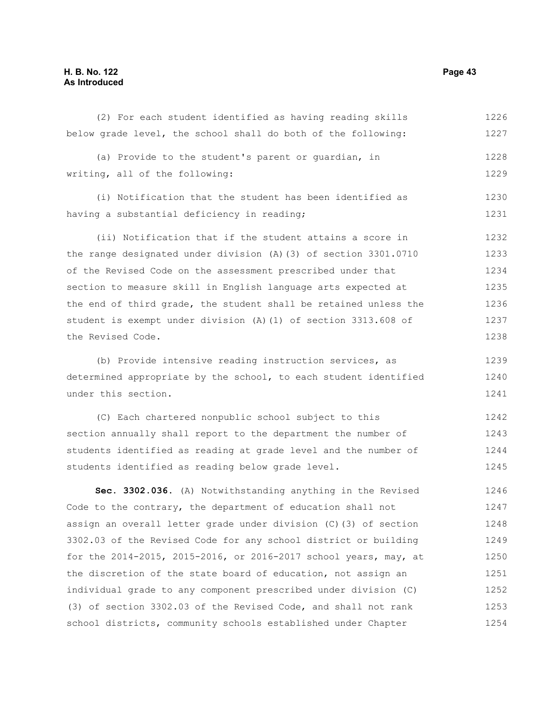## **H. B. No. 122 Page 43 As Introduced**

| below grade level, the school shall do both of the following:    | 1227 |
|------------------------------------------------------------------|------|
| (a) Provide to the student's parent or quardian, in              | 1228 |
| writing, all of the following:                                   | 1229 |
| (i) Notification that the student has been identified as         | 1230 |
| having a substantial deficiency in reading;                      | 1231 |
| (ii) Notification that if the student attains a score in         | 1232 |
| the range designated under division (A) (3) of section 3301.0710 | 1233 |
| of the Revised Code on the assessment prescribed under that      | 1234 |
| section to measure skill in English language arts expected at    | 1235 |
| the end of third grade, the student shall be retained unless the | 1236 |
| student is exempt under division (A) (1) of section 3313.608 of  | 1237 |
| the Revised Code.                                                | 1238 |
| (b) Provide intensive reading instruction services, as           | 1239 |
| determined appropriate by the school, to each student identified | 1240 |
| under this section.                                              | 1241 |
| (C) Each chartered nonpublic school subject to this              | 1242 |
| section annually shall report to the department the number of    | 1243 |
| students identified as reading at grade level and the number of  | 1244 |
| students identified as reading below grade level.                | 1245 |
| Sec. 3302.036. (A) Notwithstanding anything in the Revised       | 1246 |
| Code to the contrary, the department of education shall not      | 1247 |
| assign an overall letter grade under division (C) (3) of section | 1248 |
| 3302.03 of the Revised Code for any school district or building  | 1249 |
| for the 2014-2015, 2015-2016, or 2016-2017 school years, may, at | 1250 |
| the discretion of the state board of education, not assign an    | 1251 |
| individual grade to any component prescribed under division (C)  | 1252 |
| (3) of section 3302.03 of the Revised Code, and shall not rank   | 1253 |
| school districts, community schools established under Chapter    | 1254 |

(2) For each student identified as having reading skills

1226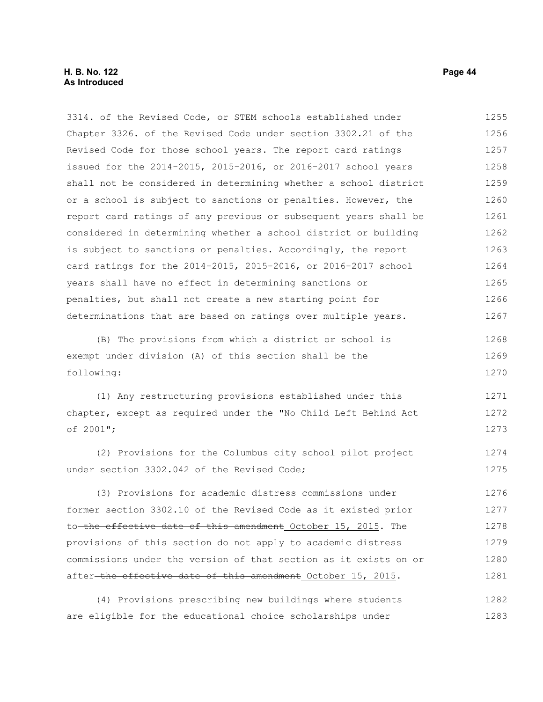#### **H. B. No. 122 Page 44 As Introduced**

3314. of the Revised Code, or STEM schools established under Chapter 3326. of the Revised Code under section 3302.21 of the Revised Code for those school years. The report card ratings issued for the 2014-2015, 2015-2016, or 2016-2017 school years shall not be considered in determining whether a school district or a school is subject to sanctions or penalties. However, the report card ratings of any previous or subsequent years shall be considered in determining whether a school district or building is subject to sanctions or penalties. Accordingly, the report card ratings for the 2014-2015, 2015-2016, or 2016-2017 school years shall have no effect in determining sanctions or penalties, but shall not create a new starting point for determinations that are based on ratings over multiple years. (B) The provisions from which a district or school is exempt under division (A) of this section shall be the following: (1) Any restructuring provisions established under this chapter, except as required under the "No Child Left Behind Act of 2001"; (2) Provisions for the Columbus city school pilot project under section 3302.042 of the Revised Code; (3) Provisions for academic distress commissions under former section 3302.10 of the Revised Code as it existed prior to the effective date of this amendment October 15, 2015. The provisions of this section do not apply to academic distress commissions under the version of that section as it exists on or after-the effective date of this amendment October 15, 2015. 1255 1256 1257 1258 1259 1260 1261 1262 1263 1264 1265 1266 1267 1268 1269 1270 1271 1272 1273 1274 1275 1276 1277 1278 1279 1280 1281

(4) Provisions prescribing new buildings where students are eligible for the educational choice scholarships under 1282 1283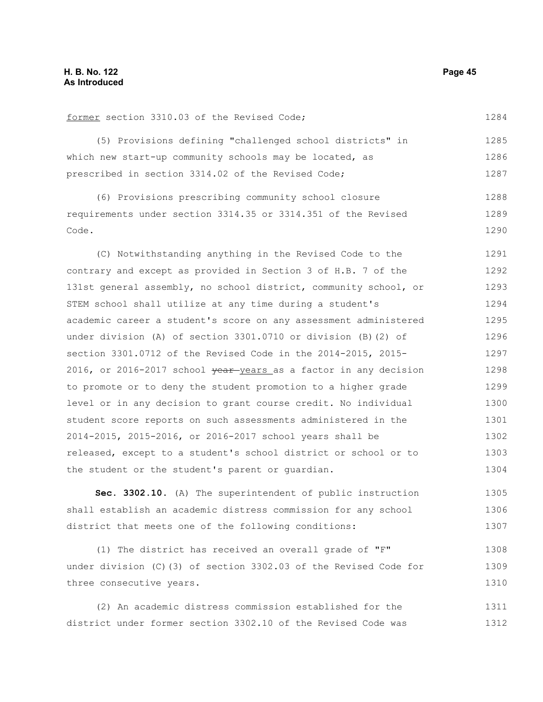#### former section 3310.03 of the Revised Code; (5) Provisions defining "challenged school districts" in which new start-up community schools may be located, as prescribed in section 3314.02 of the Revised Code; (6) Provisions prescribing community school closure requirements under section 3314.35 or 3314.351 of the Revised Code. (C) Notwithstanding anything in the Revised Code to the 1284 1285 1286 1287 1288 1289 1290 1291

contrary and except as provided in Section 3 of H.B. 7 of the 131st general assembly, no school district, community school, or STEM school shall utilize at any time during a student's academic career a student's score on any assessment administered under division (A) of section 3301.0710 or division (B)(2) of section 3301.0712 of the Revised Code in the 2014-2015, 2015- 2016, or 2016-2017 school  $\frac{1}{2}$  y ear y ears as a factor in any decision to promote or to deny the student promotion to a higher grade level or in any decision to grant course credit. No individual student score reports on such assessments administered in the 2014-2015, 2015-2016, or 2016-2017 school years shall be released, except to a student's school district or school or to the student or the student's parent or guardian. 1292 1293 1294 1295 1296 1297 1298 1299 1300 1301 1302 1303 1304

**Sec. 3302.10.** (A) The superintendent of public instruction shall establish an academic distress commission for any school district that meets one of the following conditions: 1305 1306 1307

(1) The district has received an overall grade of "F" under division (C)(3) of section 3302.03 of the Revised Code for three consecutive years. 1308 1309 1310

(2) An academic distress commission established for the district under former section 3302.10 of the Revised Code was 1311 1312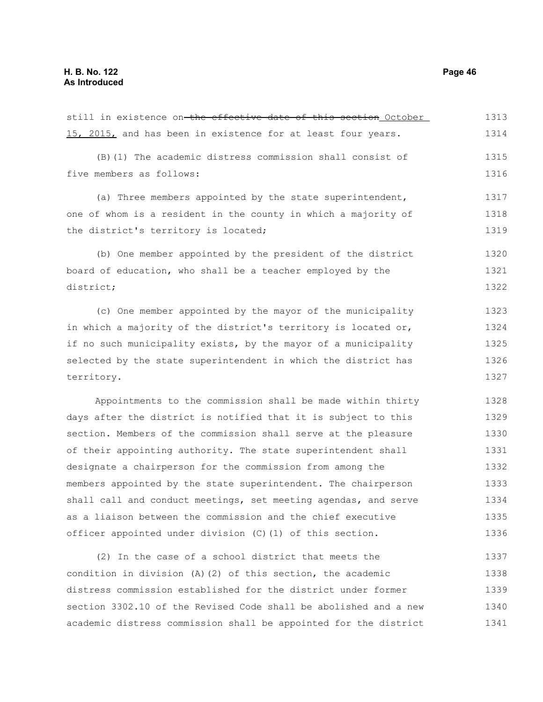still in existence on the effective date of this section October 15, 2015, and has been in existence for at least four years. (B)(1) The academic distress commission shall consist of five members as follows: (a) Three members appointed by the state superintendent, one of whom is a resident in the county in which a majority of the district's territory is located; (b) One member appointed by the president of the district board of education, who shall be a teacher employed by the district; (c) One member appointed by the mayor of the municipality in which a majority of the district's territory is located or, if no such municipality exists, by the mayor of a municipality selected by the state superintendent in which the district has territory. Appointments to the commission shall be made within thirty days after the district is notified that it is subject to this section. Members of the commission shall serve at the pleasure of their appointing authority. The state superintendent shall designate a chairperson for the commission from among the members appointed by the state superintendent. The chairperson shall call and conduct meetings, set meeting agendas, and serve as a liaison between the commission and the chief executive officer appointed under division (C)(1) of this section. (2) In the case of a school district that meets the condition in division (A)(2) of this section, the academic distress commission established for the district under former 1313 1314 1315 1316 1317 1318 1319 1320 1321 1322 1323 1324 1325 1326 1327 1328 1329 1330 1331 1332 1333 1334 1335 1336 1337 1338 1339

section 3302.10 of the Revised Code shall be abolished and a new academic distress commission shall be appointed for the district

1340 1341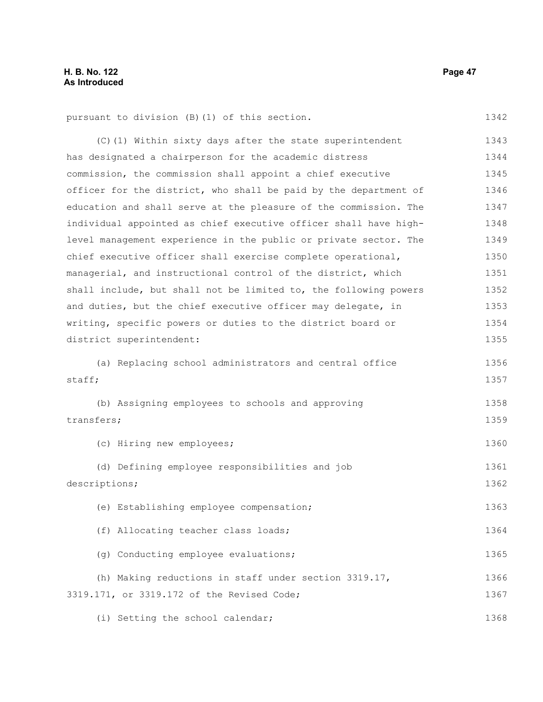1342

1356 1357

1358 1359

1360

1361 1362

1363

1364

1365

(C)(1) Within sixty days after the state superintendent has designated a chairperson for the academic distress commission, the commission shall appoint a chief executive officer for the district, who shall be paid by the department of education and shall serve at the pleasure of the commission. The individual appointed as chief executive officer shall have highlevel management experience in the public or private sector. The chief executive officer shall exercise complete operational, managerial, and instructional control of the district, which shall include, but shall not be limited to, the following powers and duties, but the chief executive officer may delegate, in writing, specific powers or duties to the district board or district superintendent: (a) Replacing school administrators and central office staff; (b) Assigning employees to schools and approving transfers; (c) Hiring new employees; (d) Defining employee responsibilities and job descriptions; (e) Establishing employee compensation; (f) Allocating teacher class loads;

(h) Making reductions in staff under section 3319.17, 3319.171, or 3319.172 of the Revised Code; 1366 1367

(g) Conducting employee evaluations;

(i) Setting the school calendar; 1368

pursuant to division (B)(1) of this section.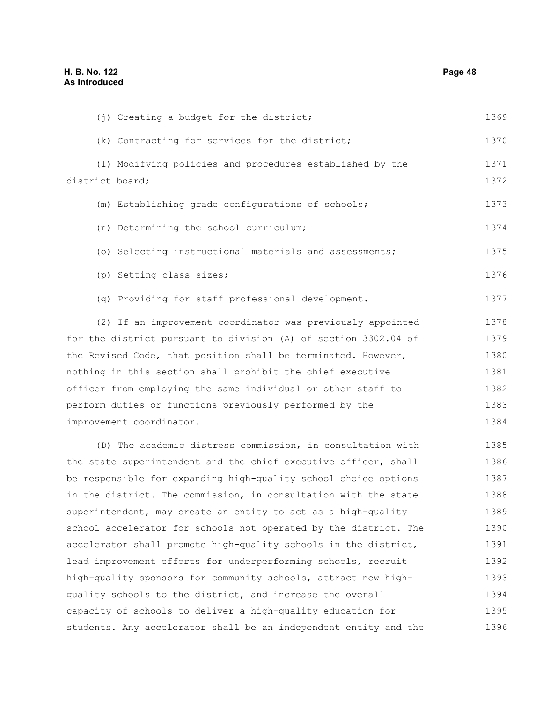(j) Creating a budget for the district;

(k) Contracting for services for the district; (l) Modifying policies and procedures established by the district board; (m) Establishing grade configurations of schools; (n) Determining the school curriculum; (o) Selecting instructional materials and assessments; (p) Setting class sizes; (q) Providing for staff professional development. (2) If an improvement coordinator was previously appointed for the district pursuant to division (A) of section 3302.04 of the Revised Code, that position shall be terminated. However, nothing in this section shall prohibit the chief executive officer from employing the same individual or other staff to perform duties or functions previously performed by the improvement coordinator. (D) The academic distress commission, in consultation with the state superintendent and the chief executive officer, shall be responsible for expanding high-quality school choice options in the district. The commission, in consultation with the state superintendent, may create an entity to act as a high-quality school accelerator for schools not operated by the district. The accelerator shall promote high-quality schools in the district, lead improvement efforts for underperforming schools, recruit high-quality sponsors for community schools, attract new highquality schools to the district, and increase the overall capacity of schools to deliver a high-quality education for 1370 1371 1372 1373 1374 1375 1376 1377 1378 1379 1380 1381 1382 1383 1384 1385 1386 1387 1388 1389 1390 1391 1392 1393 1394 1395

students. Any accelerator shall be an independent entity and the 1396

1369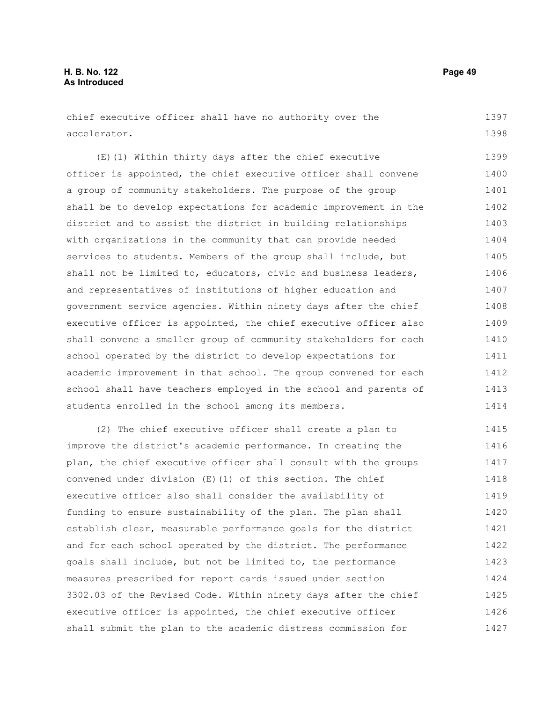chief executive officer shall have no authority over the accelerator. 1397 1398

(E)(1) Within thirty days after the chief executive officer is appointed, the chief executive officer shall convene a group of community stakeholders. The purpose of the group shall be to develop expectations for academic improvement in the district and to assist the district in building relationships with organizations in the community that can provide needed services to students. Members of the group shall include, but shall not be limited to, educators, civic and business leaders, and representatives of institutions of higher education and government service agencies. Within ninety days after the chief executive officer is appointed, the chief executive officer also shall convene a smaller group of community stakeholders for each school operated by the district to develop expectations for academic improvement in that school. The group convened for each school shall have teachers employed in the school and parents of students enrolled in the school among its members. 1399 1400 1401 1402 1403 1404 1405 1406 1407 1408 1409 1410 1411 1412 1413 1414

(2) The chief executive officer shall create a plan to improve the district's academic performance. In creating the plan, the chief executive officer shall consult with the groups convened under division (E)(1) of this section. The chief executive officer also shall consider the availability of funding to ensure sustainability of the plan. The plan shall establish clear, measurable performance goals for the district and for each school operated by the district. The performance goals shall include, but not be limited to, the performance measures prescribed for report cards issued under section 3302.03 of the Revised Code. Within ninety days after the chief executive officer is appointed, the chief executive officer shall submit the plan to the academic distress commission for 1415 1416 1417 1418 1419 1420 1421 1422 1423 1424 1425 1426 1427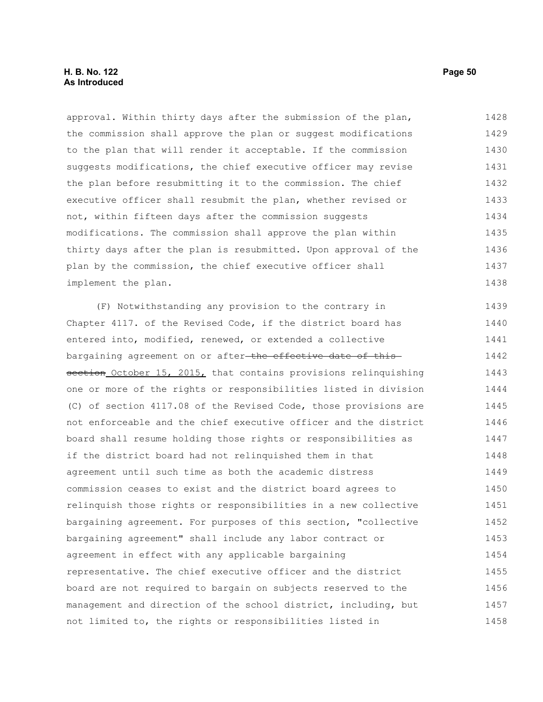### **H. B. No. 122 Page 50 As Introduced**

approval. Within thirty days after the submission of the plan, the commission shall approve the plan or suggest modifications to the plan that will render it acceptable. If the commission suggests modifications, the chief executive officer may revise the plan before resubmitting it to the commission. The chief executive officer shall resubmit the plan, whether revised or not, within fifteen days after the commission suggests modifications. The commission shall approve the plan within thirty days after the plan is resubmitted. Upon approval of the plan by the commission, the chief executive officer shall implement the plan. 1428 1429 1430 1431 1432 1433 1434 1435 1436 1437 1438

(F) Notwithstanding any provision to the contrary in Chapter 4117. of the Revised Code, if the district board has entered into, modified, renewed, or extended a collective bargaining agreement on or after the effective date of this section October 15, 2015, that contains provisions relinquishing one or more of the rights or responsibilities listed in division (C) of section 4117.08 of the Revised Code, those provisions are not enforceable and the chief executive officer and the district board shall resume holding those rights or responsibilities as if the district board had not relinquished them in that agreement until such time as both the academic distress commission ceases to exist and the district board agrees to relinquish those rights or responsibilities in a new collective bargaining agreement. For purposes of this section, "collective bargaining agreement" shall include any labor contract or agreement in effect with any applicable bargaining representative. The chief executive officer and the district board are not required to bargain on subjects reserved to the management and direction of the school district, including, but not limited to, the rights or responsibilities listed in 1439 1440 1441 1442 1443 1444 1445 1446 1447 1448 1449 1450 1451 1452 1453 1454 1455 1456 1457 1458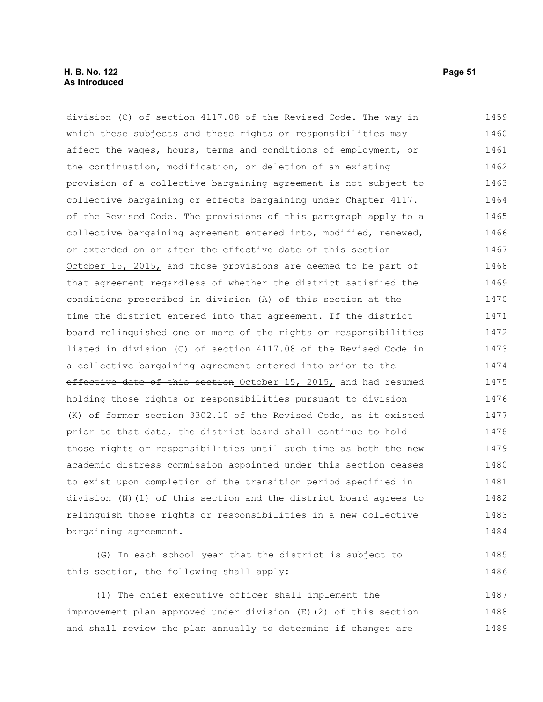#### **H. B. No. 122 Page 51 As Introduced**

division (C) of section 4117.08 of the Revised Code. The way in which these subjects and these rights or responsibilities may affect the wages, hours, terms and conditions of employment, or the continuation, modification, or deletion of an existing provision of a collective bargaining agreement is not subject to collective bargaining or effects bargaining under Chapter 4117. of the Revised Code. The provisions of this paragraph apply to a collective bargaining agreement entered into, modified, renewed, or extended on or after-the effective date of this section-October 15, 2015, and those provisions are deemed to be part of that agreement regardless of whether the district satisfied the conditions prescribed in division (A) of this section at the time the district entered into that agreement. If the district board relinquished one or more of the rights or responsibilities listed in division (C) of section 4117.08 of the Revised Code in a collective bargaining agreement entered into prior to-theeffective date of this section October 15, 2015, and had resumed holding those rights or responsibilities pursuant to division (K) of former section 3302.10 of the Revised Code, as it existed prior to that date, the district board shall continue to hold those rights or responsibilities until such time as both the new academic distress commission appointed under this section ceases to exist upon completion of the transition period specified in division (N)(1) of this section and the district board agrees to relinquish those rights or responsibilities in a new collective bargaining agreement. (G) In each school year that the district is subject to this section, the following shall apply: (1) The chief executive officer shall implement the 1459 1460 1461 1462 1463 1464 1465 1466 1467 1468 1469 1470 1471 1472 1473 1474 1475 1476 1477 1478 1479 1480 1481 1482 1483 1484 1485 1486 1487

improvement plan approved under division (E)(2) of this section and shall review the plan annually to determine if changes are 1488 1489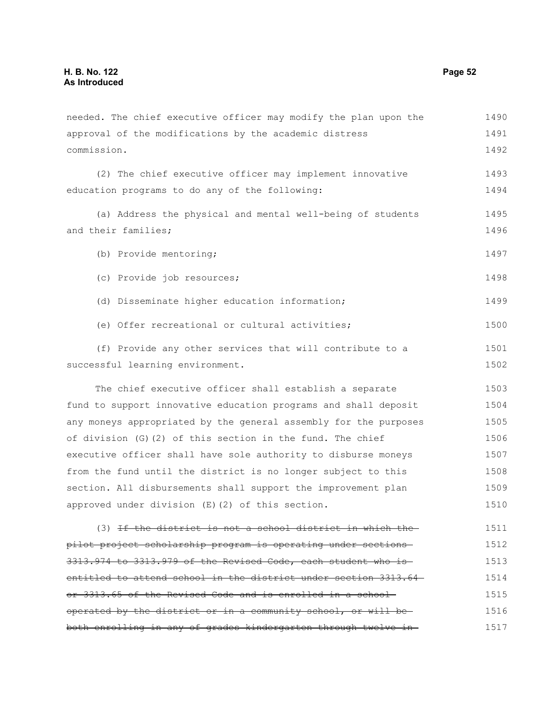approval of the modifications by the academic distress commission. (2) The chief executive officer may implement innovative education programs to do any of the following: (a) Address the physical and mental well-being of students and their families; (b) Provide mentoring; (c) Provide job resources; (d) Disseminate higher education information; (e) Offer recreational or cultural activities; (f) Provide any other services that will contribute to a successful learning environment. The chief executive officer shall establish a separate fund to support innovative education programs and shall deposit any moneys appropriated by the general assembly for the purposes of division (G)(2) of this section in the fund. The chief executive officer shall have sole authority to disburse moneys from the fund until the district is no longer subject to this section. All disbursements shall support the improvement plan approved under division (E)(2) of this section. (3) If the district is not a school district in which the pilot project scholarship program is operating under sections 3313.974 to 3313.979 of the Revised Code, each student who is entitled to attend school in the district under section 3313.64or 3313.65 of the Revised Code and is enrolled in a school operated by the district or in a community school, or will be 1491 1492 1493 1494 1495 1496 1497 1498 1499 1500 1501 1502 1503 1504 1505 1506 1507 1508 1509 1510 1511 1512 1513 1514 1515 1516

both enrolling in any of grades kindergarten through twelve in

needed. The chief executive officer may modify the plan upon the

1490

1517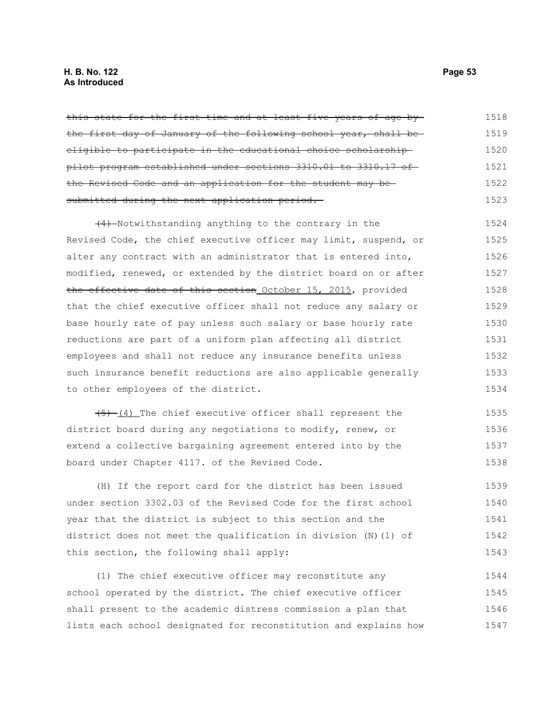### **H. B. No. 122 Page 53 As Introduced**

| this state for the first time and at least five years of age by  | 1518 |
|------------------------------------------------------------------|------|
| the first day of January of the following school year, shall be  | 1519 |
| eligible to participate in the educational choice scholarship-   | 1520 |
| pilot program established under sections 3310.01 to 3310.17 of   | 1521 |
| the Revised Code and an application for the student may be-      | 1522 |
| submitted during the next application period.                    | 1523 |
| (4) Notwithstanding anything to the contrary in the              | 1524 |
| Revised Code, the chief executive officer may limit, suspend, or | 1525 |
| alter any contract with an administrator that is entered into,   | 1526 |
| modified, renewed, or extended by the district board on or after | 1527 |
| the effective date of this section October 15, 2015, provided    | 1528 |
| that the chief executive officer shall not reduce any salary or  | 1529 |
| base hourly rate of pay unless such salary or base hourly rate   | 1530 |
| reductions are part of a uniform plan affecting all district     | 1531 |
| employees and shall not reduce any insurance benefits unless     | 1532 |
| such insurance benefit reductions are also applicable generally  | 1533 |
| to other employees of the district.                              | 1534 |
| $(4)$ The chief executive officer shall represent the            | 1535 |
| district board during any negotiations to modify, renew, or      | 1536 |
| extend a collective bargaining agreement entered into by the     | 1537 |
| board under Chapter 4117. of the Revised Code.                   | 1538 |
| (H) If the report card for the district has been issued          | 1539 |
| under section 3302.03 of the Revised Code for the first school   | 1540 |
| year that the district is subject to this section and the        | 1541 |

year that the district is subject to this section and the district does not meet the qualification in division (N)(1) of this section, the following shall apply:  $\mathsf{L} \mathfrak{O}^{\mathcal{A}}$ 1542 1543

(1) The chief executive officer may reconstitute any school operated by the district. The chief executive officer shall present to the academic distress commission a plan that lists each school designated for reconstitution and explains how 1544 1545 1546 1547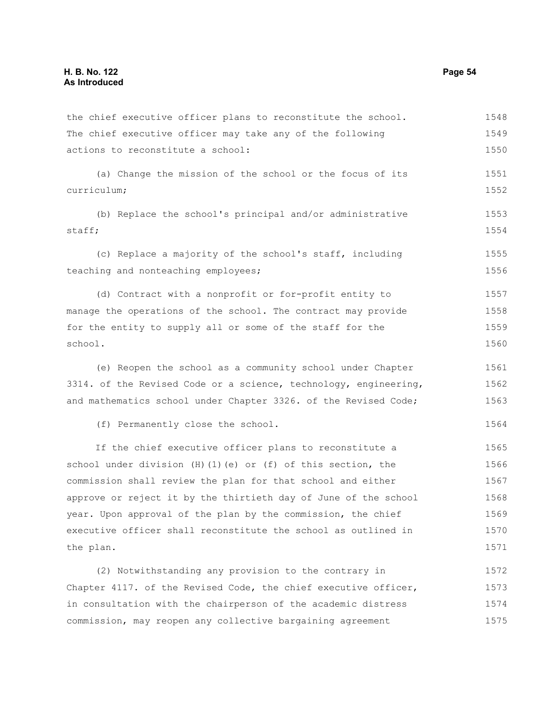the chief executive officer plans to reconstitute the school. The chief executive officer may take any of the following actions to reconstitute a school: (a) Change the mission of the school or the focus of its curriculum; (b) Replace the school's principal and/or administrative staff; (c) Replace a majority of the school's staff, including teaching and nonteaching employees; (d) Contract with a nonprofit or for-profit entity to manage the operations of the school. The contract may provide for the entity to supply all or some of the staff for the school. (e) Reopen the school as a community school under Chapter 3314. of the Revised Code or a science, technology, engineering, and mathematics school under Chapter 3326. of the Revised Code; (f) Permanently close the school. If the chief executive officer plans to reconstitute a school under division  $(H)(1)(e)$  or  $(f)$  of this section, the commission shall review the plan for that school and either approve or reject it by the thirtieth day of June of the school year. Upon approval of the plan by the commission, the chief executive officer shall reconstitute the school as outlined in the plan. (2) Notwithstanding any provision to the contrary in Chapter 4117. of the Revised Code, the chief executive officer, in consultation with the chairperson of the academic distress 1548 1549 1550 1551 1552 1553 1554 1555 1556 1557 1558 1559 1560 1561 1562 1563 1564 1565 1566 1567 1568 1569 1570 1571 1572 1573 1574

commission, may reopen any collective bargaining agreement

1575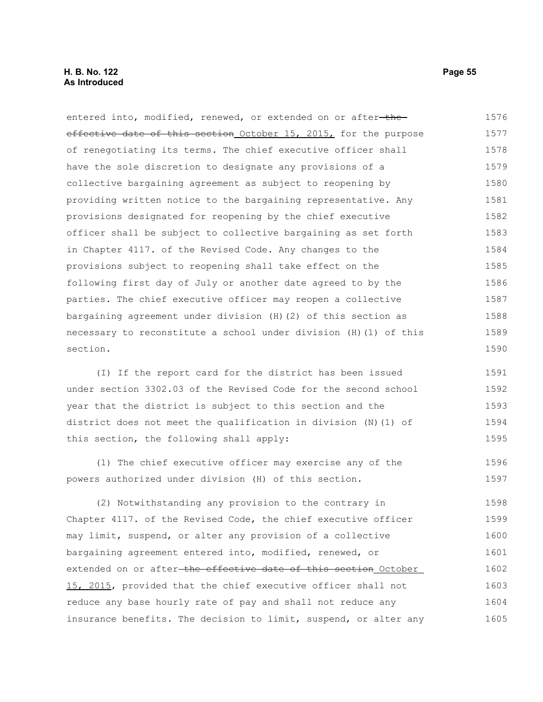entered into, modified, renewed, or extended on or after-theeffective date of this section October 15, 2015, for the purpose of renegotiating its terms. The chief executive officer shall have the sole discretion to designate any provisions of a collective bargaining agreement as subject to reopening by providing written notice to the bargaining representative. Any provisions designated for reopening by the chief executive officer shall be subject to collective bargaining as set forth in Chapter 4117. of the Revised Code. Any changes to the provisions subject to reopening shall take effect on the following first day of July or another date agreed to by the parties. The chief executive officer may reopen a collective bargaining agreement under division (H)(2) of this section as necessary to reconstitute a school under division (H)(1) of this section. 1576 1577 1578 1579 1580 1581 1582 1583 1584 1585 1586 1587 1588 1589 1590

(I) If the report card for the district has been issued under section 3302.03 of the Revised Code for the second school year that the district is subject to this section and the district does not meet the qualification in division (N)(1) of this section, the following shall apply: 1591 1592 1593 1594 1595

(1) The chief executive officer may exercise any of the powers authorized under division (H) of this section. 1596 1597

(2) Notwithstanding any provision to the contrary in Chapter 4117. of the Revised Code, the chief executive officer may limit, suspend, or alter any provision of a collective bargaining agreement entered into, modified, renewed, or extended on or after the effective date of this section October 15, 2015, provided that the chief executive officer shall not reduce any base hourly rate of pay and shall not reduce any insurance benefits. The decision to limit, suspend, or alter any 1598 1599 1600 1601 1602 1603 1604 1605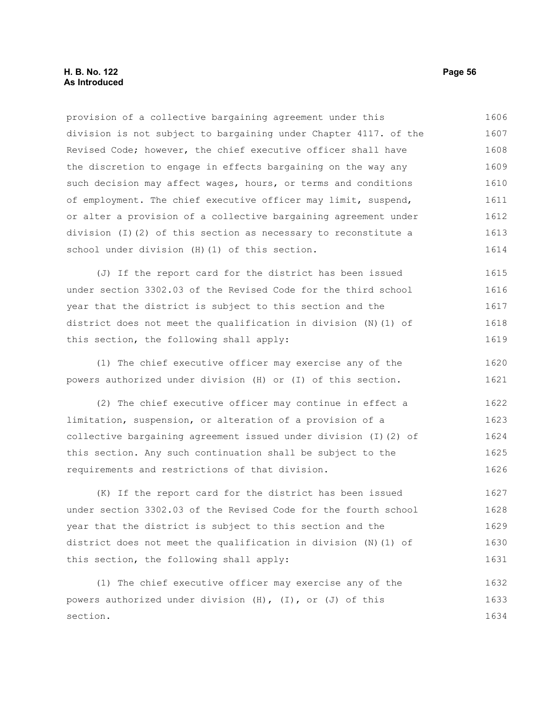provision of a collective bargaining agreement under this division is not subject to bargaining under Chapter 4117. of the Revised Code; however, the chief executive officer shall have the discretion to engage in effects bargaining on the way any such decision may affect wages, hours, or terms and conditions of employment. The chief executive officer may limit, suspend, or alter a provision of a collective bargaining agreement under division (I)(2) of this section as necessary to reconstitute a school under division (H)(1) of this section. (J) If the report card for the district has been issued under section 3302.03 of the Revised Code for the third school year that the district is subject to this section and the district does not meet the qualification in division (N)(1) of this section, the following shall apply: (1) The chief executive officer may exercise any of the powers authorized under division (H) or (I) of this section. (2) The chief executive officer may continue in effect a limitation, suspension, or alteration of a provision of a collective bargaining agreement issued under division (I)(2) of this section. Any such continuation shall be subject to the requirements and restrictions of that division. (K) If the report card for the district has been issued under section 3302.03 of the Revised Code for the fourth school year that the district is subject to this section and the district does not meet the qualification in division (N)(1) of this section, the following shall apply: (1) The chief executive officer may exercise any of the 1606 1607 1608 1609 1610 1611 1612 1613 1614 1615 1616 1617 1618 1619 1620 1621 1622 1623 1624 1625 1626 1627 1628 1629 1630 1631 1632

powers authorized under division (H), (I), or (J) of this section. 1633 1634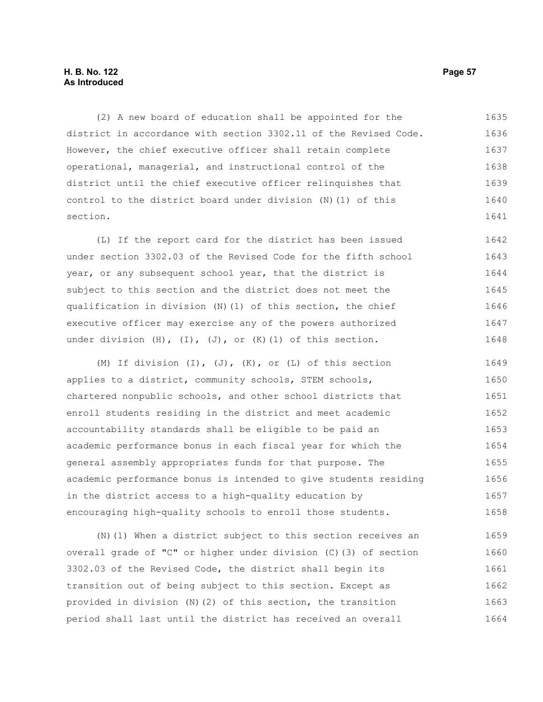#### **H. B. No. 122 Page 57 As Introduced**

(2) A new board of education shall be appointed for the district in accordance with section 3302.11 of the Revised Code. However, the chief executive officer shall retain complete operational, managerial, and instructional control of the district until the chief executive officer relinquishes that control to the district board under division (N)(1) of this section. 1635 1636 1637 1638 1639 1640 1641

(L) If the report card for the district has been issued under section 3302.03 of the Revised Code for the fifth school year, or any subsequent school year, that the district is subject to this section and the district does not meet the qualification in division (N)(1) of this section, the chief executive officer may exercise any of the powers authorized under division  $(H)$ ,  $(I)$ ,  $(J)$ , or  $(K)$   $(1)$  of this section. 1642 1643 1644 1645 1646 1647 1648

(M) If division  $(I)$ ,  $(J)$ ,  $(K)$ , or  $(L)$  of this section applies to a district, community schools, STEM schools, chartered nonpublic schools, and other school districts that enroll students residing in the district and meet academic accountability standards shall be eligible to be paid an academic performance bonus in each fiscal year for which the general assembly appropriates funds for that purpose. The academic performance bonus is intended to give students residing in the district access to a high-quality education by encouraging high-quality schools to enroll those students. 1649 1650 1651 1652 1653 1654 1655 1656 1657 1658

(N)(1) When a district subject to this section receives an overall grade of "C" or higher under division (C)(3) of section 3302.03 of the Revised Code, the district shall begin its transition out of being subject to this section. Except as provided in division (N)(2) of this section, the transition period shall last until the district has received an overall 1659 1660 1661 1662 1663 1664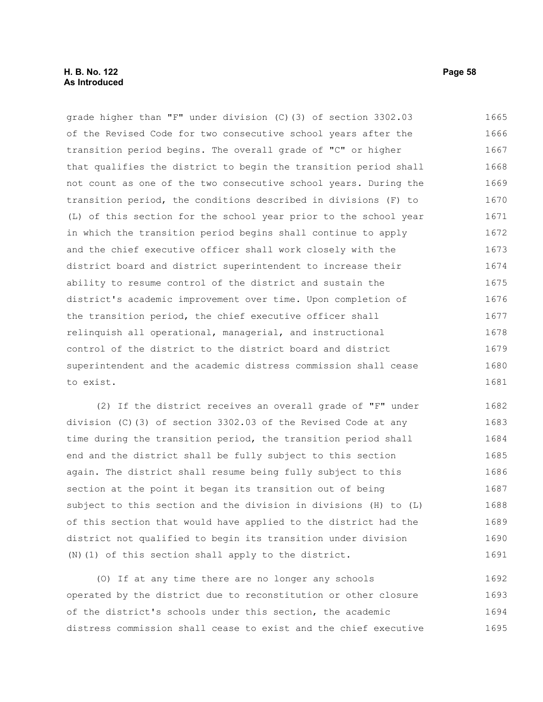#### **H. B. No. 122 Page 58 As Introduced**

grade higher than "F" under division (C)(3) of section 3302.03 of the Revised Code for two consecutive school years after the transition period begins. The overall grade of "C" or higher that qualifies the district to begin the transition period shall not count as one of the two consecutive school years. During the transition period, the conditions described in divisions (F) to (L) of this section for the school year prior to the school year in which the transition period begins shall continue to apply and the chief executive officer shall work closely with the district board and district superintendent to increase their ability to resume control of the district and sustain the district's academic improvement over time. Upon completion of the transition period, the chief executive officer shall relinquish all operational, managerial, and instructional control of the district to the district board and district superintendent and the academic distress commission shall cease to exist. 1665 1666 1667 1668 1669 1670 1671 1672 1673 1674 1675 1676 1677 1678 1679 1680 1681

(2) If the district receives an overall grade of "F" under division (C)(3) of section 3302.03 of the Revised Code at any time during the transition period, the transition period shall end and the district shall be fully subject to this section again. The district shall resume being fully subject to this section at the point it began its transition out of being subject to this section and the division in divisions (H) to (L) of this section that would have applied to the district had the district not qualified to begin its transition under division (N)(1) of this section shall apply to the district. 1682 1683 1684 1685 1686 1687 1688 1689 1690 1691

(O) If at any time there are no longer any schools operated by the district due to reconstitution or other closure of the district's schools under this section, the academic distress commission shall cease to exist and the chief executive 1692 1693 1694 1695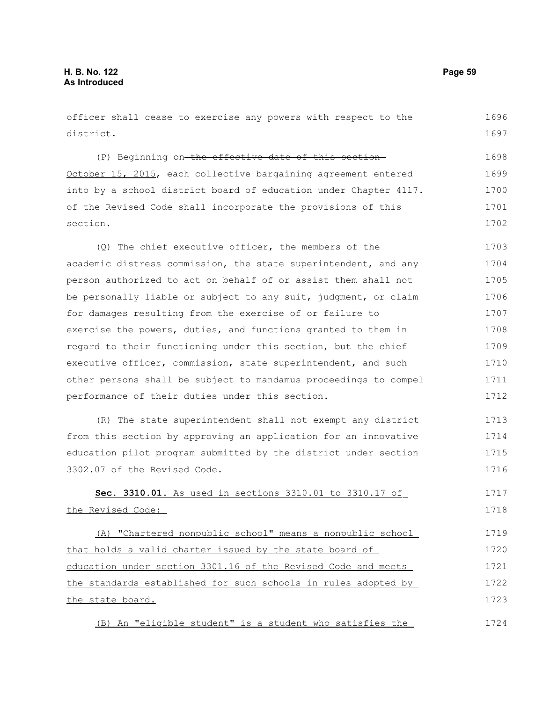| officer shall cease to exercise any powers with respect to the   | 1696 |
|------------------------------------------------------------------|------|
| district.                                                        | 1697 |
| (P) Beginning on the effective date of this section              | 1698 |
| October 15, 2015, each collective bargaining agreement entered   | 1699 |
| into by a school district board of education under Chapter 4117. | 1700 |
| of the Revised Code shall incorporate the provisions of this     | 1701 |
| section.                                                         | 1702 |
| (Q) The chief executive officer, the members of the              | 1703 |
| academic distress commission, the state superintendent, and any  | 1704 |
| person authorized to act on behalf of or assist them shall not   | 1705 |
| be personally liable or subject to any suit, judgment, or claim  | 1706 |
| for damages resulting from the exercise of or failure to         | 1707 |
| exercise the powers, duties, and functions granted to them in    | 1708 |
| regard to their functioning under this section, but the chief    | 1709 |
| executive officer, commission, state superintendent, and such    | 1710 |
| other persons shall be subject to mandamus proceedings to compel | 1711 |
| performance of their duties under this section.                  | 1712 |
| (R) The state superintendent shall not exempt any district       | 1713 |
| from this section by approving an application for an innovative  | 1714 |
| education pilot program submitted by the district under section  | 1715 |
| 3302.07 of the Revised Code.                                     | 1716 |
| Sec. 3310.01. As used in sections 3310.01 to 3310.17 of          | 1717 |
| the Revised Code:                                                | 1718 |
| (A) "Chartered nonpublic school" means a nonpublic school        | 1719 |
| that holds a valid charter issued by the state board of          | 1720 |
| education under section 3301.16 of the Revised Code and meets    | 1721 |
| the standards established for such schools in rules adopted by   | 1722 |
| the state board.                                                 | 1723 |
| (B) An "eligible student" is a student who satisfies the         | 1724 |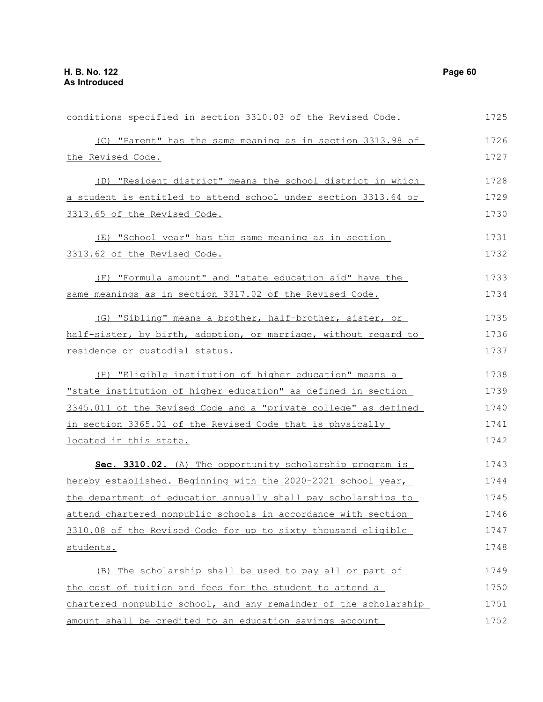| conditions specified in section 3310.03 of the Revised Code.     | 1725 |
|------------------------------------------------------------------|------|
| (C) "Parent" has the same meaning as in section 3313.98 of       | 1726 |
| the Revised Code.                                                | 1727 |
| (D) "Resident district" means the school district in which       | 1728 |
| a student is entitled to attend school under section 3313.64 or  | 1729 |
| 3313.65 of the Revised Code.                                     | 1730 |
| (E) "School year" has the same meaning as in section             | 1731 |
| 3313.62 of the Revised Code.                                     | 1732 |
| (F) "Formula amount" and "state education aid" have the          | 1733 |
| same meanings as in section 3317.02 of the Revised Code.         | 1734 |
| (G) "Sibling" means a brother, half-brother, sister, or          | 1735 |
| half-sister, by birth, adoption, or marriage, without regard to  | 1736 |
| residence or custodial status.                                   | 1737 |
| (H) "Eligible institution of higher education" means a           | 1738 |
| "state institution of higher education" as defined in section    | 1739 |
| 3345.011 of the Revised Code and a "private college" as defined  | 1740 |
| in section 3365.01 of the Revised Code that is physically        | 1741 |
| located in this state.                                           | 1742 |
| Sec. 3310.02. (A) The opportunity scholarship program is         | 1743 |
| hereby established. Beginning with the 2020-2021 school year,    | 1744 |
| the department of education annually shall pay scholarships to   | 1745 |
| attend chartered nonpublic schools in accordance with section    | 1746 |
| 3310.08 of the Revised Code for up to sixty thousand eligible    | 1747 |
| students.                                                        | 1748 |
| (B) The scholarship shall be used to pay all or part of          | 1749 |
| the cost of tuition and fees for the student to attend a         | 1750 |
| chartered nonpublic school, and any remainder of the scholarship | 1751 |
| amount shall be credited to an education savings account         | 1752 |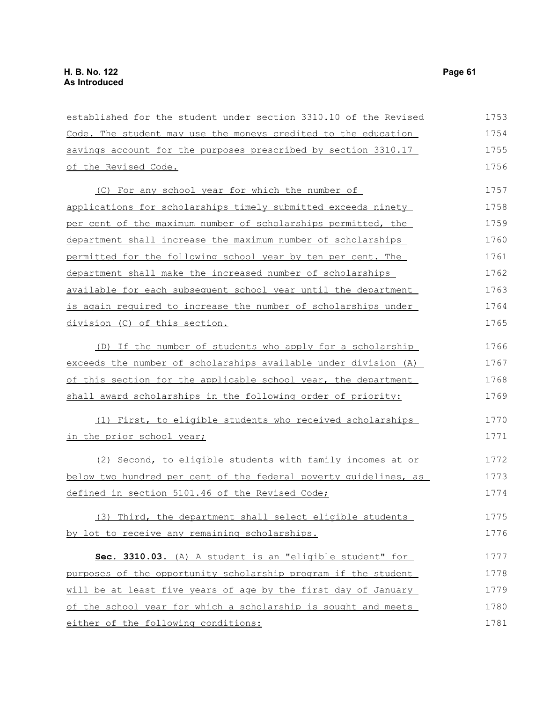| established for the student under section 3310.10 of the Revised | 1753 |
|------------------------------------------------------------------|------|
| Code. The student may use the moneys credited to the education   | 1754 |
| savings account for the purposes prescribed by section 3310.17   | 1755 |
| of the Revised Code.                                             | 1756 |
| (C) For any school year for which the number of                  | 1757 |
| applications for scholarships timely submitted exceeds ninety    | 1758 |
| per cent of the maximum number of scholarships permitted, the    | 1759 |
| department shall increase the maximum number of scholarships     | 1760 |
| permitted for the following school year by ten per cent. The     | 1761 |
| department shall make the increased number of scholarships       | 1762 |
| available for each subsequent school year until the department   | 1763 |
| is again required to increase the number of scholarships under   | 1764 |
| division (C) of this section.                                    | 1765 |
| (D) If the number of students who apply for a scholarship        | 1766 |
| exceeds the number of scholarships available under division (A)  | 1767 |
| of this section for the applicable school year, the department   | 1768 |
| shall award scholarships in the following order of priority:     | 1769 |
| (1) First, to eligible students who received scholarships        | 1770 |
| in the prior school year;                                        | 1771 |
| (2) Second, to eligible students with family incomes at or       | 1772 |
| below two hundred per cent of the federal poverty quidelines, as | 1773 |
| defined in section 5101.46 of the Revised Code;                  | 1774 |
| (3) Third, the department shall select eligible students         | 1775 |
| by lot to receive any remaining scholarships.                    | 1776 |
| Sec. 3310.03. (A) A student is an "eligible student" for         | 1777 |
| purposes of the opportunity scholarship program if the student   | 1778 |
| will be at least five years of age by the first day of January   | 1779 |
| of the school year for which a scholarship is sought and meets   | 1780 |
| either of the following conditions:                              | 1781 |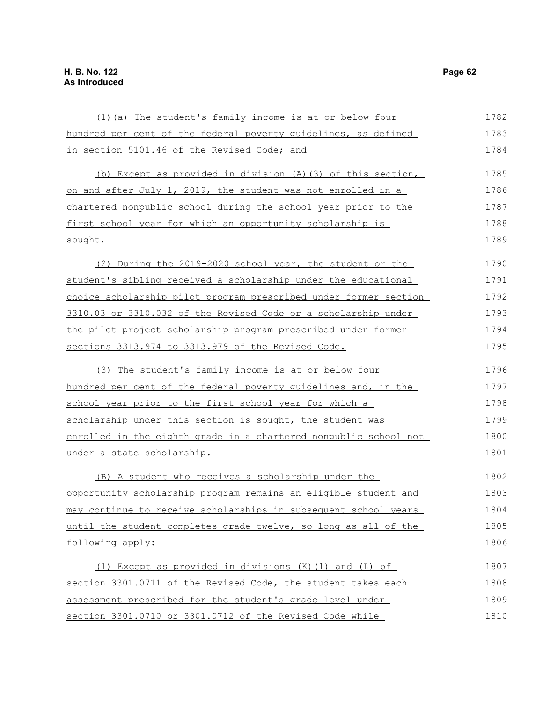| (1) (a) The student's family income is at or below four          | 1782 |
|------------------------------------------------------------------|------|
| hundred per cent of the federal poverty quidelines, as defined   | 1783 |
| in section 5101.46 of the Revised Code; and                      | 1784 |
| (b) Except as provided in division (A) (3) of this section,      | 1785 |
| on and after July 1, 2019, the student was not enrolled in a     | 1786 |
| chartered nonpublic school during the school year prior to the   | 1787 |
| first school year for which an opportunity scholarship is        | 1788 |
| sought.                                                          | 1789 |
| (2) During the 2019-2020 school year, the student or the         | 1790 |
| student's sibling received a scholarship under the educational   | 1791 |
| choice scholarship pilot program prescribed under former section | 1792 |
| 3310.03 or 3310.032 of the Revised Code or a scholarship under   | 1793 |
| the pilot project scholarship program prescribed under former    | 1794 |
| sections 3313.974 to 3313.979 of the Revised Code.               | 1795 |
| (3) The student's family income is at or below four              | 1796 |
| hundred per cent of the federal poverty guidelines and, in the   | 1797 |
| school year prior to the first school year for which a           | 1798 |
| scholarship under this section is sought, the student was        | 1799 |
| enrolled in the eighth grade in a chartered nonpublic school not | 1800 |
| under a state scholarship.                                       | 1801 |
| (B) A student who receives a scholarship under the               | 1802 |
| opportunity scholarship program remains an eligible student and  | 1803 |
| may continue to receive scholarships in subsequent school years  | 1804 |
| until the student completes grade twelve, so long as all of the  | 1805 |
| following apply:                                                 | 1806 |
| (1) Except as provided in divisions $(K)$ (1) and (L) of         | 1807 |
| section 3301.0711 of the Revised Code, the student takes each    | 1808 |
| assessment prescribed for the student's grade level under        | 1809 |
| section 3301.0710 or 3301.0712 of the Revised Code while         | 1810 |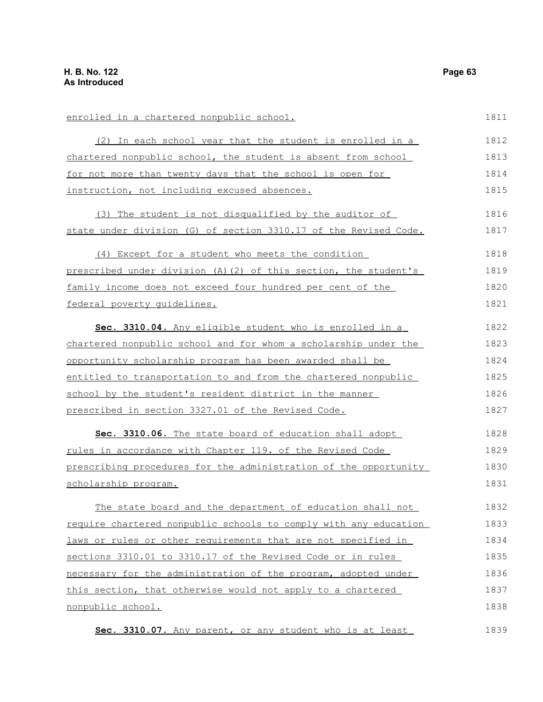enrolled in a chartered nonpublic school. (2) In each school year that the student is enrolled in a chartered nonpublic school, the student is absent from school for not more than twenty days that the school is open for instruction, not including excused absences. (3) The student is not disqualified by the auditor of state under division (G) of section 3310.17 of the Revised Code. (4) Except for a student who meets the condition prescribed under division (A)(2) of this section, the student's family income does not exceed four hundred per cent of the federal poverty guidelines. **Sec. 3310.04.** Any eligible student who is enrolled in a chartered nonpublic school and for whom a scholarship under the opportunity scholarship program has been awarded shall be entitled to transportation to and from the chartered nonpublic school by the student's resident district in the manner prescribed in section 3327.01 of the Revised Code. **Sec. 3310.06.** The state board of education shall adopt rules in accordance with Chapter 119. of the Revised Code prescribing procedures for the administration of the opportunity scholarship program. The state board and the department of education shall not require chartered nonpublic schools to comply with any education laws or rules or other requirements that are not specified in sections 3310.01 to 3310.17 of the Revised Code or in rules necessary for the administration of the program, adopted under this section, that otherwise would not apply to a chartered nonpublic school. 1811 1812 1813 1814 1815 1816 1817 1818 1819 1820 1821 1822 1823 1824 1825 1826 1827 1828 1829 1830 1831 1832 1833 1834 1835 1836 1837 1838

 **Sec. 3310.07.** Any parent, or any student who is at least 1839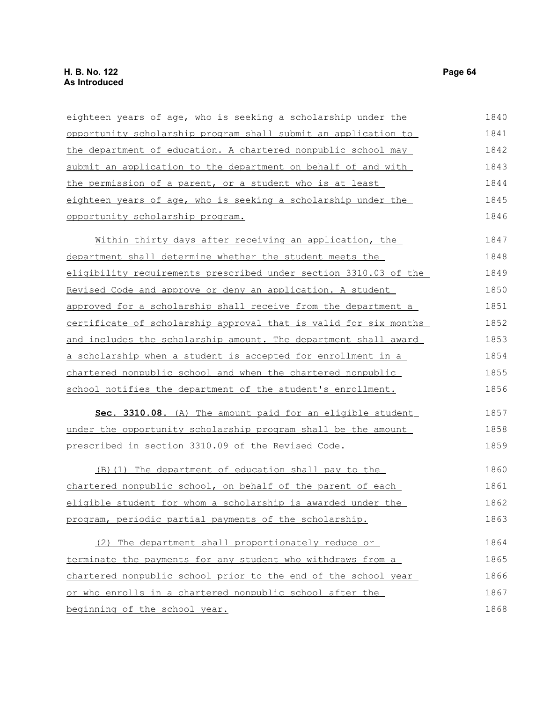| eighteen years of age, who is seeking a scholarship under the    | 1840 |
|------------------------------------------------------------------|------|
| opportunity scholarship program shall submit an application to   | 1841 |
| the department of education. A chartered nonpublic school may    | 1842 |
| submit an application to the department on behalf of and with    | 1843 |
| the permission of a parent, or a student who is at least         | 1844 |
| eighteen years of age, who is seeking a scholarship under the    | 1845 |
| opportunity scholarship program.                                 | 1846 |
| Within thirty days after receiving an application, the           | 1847 |
| department shall determine whether the student meets the         | 1848 |
| eligibility requirements prescribed under section 3310.03 of the | 1849 |
| Revised Code and approve or deny an application. A student       | 1850 |
| approved for a scholarship shall receive from the department a   | 1851 |
| certificate of scholarship approval that is valid for six months | 1852 |
| and includes the scholarship amount. The department shall award  | 1853 |
| a scholarship when a student is accepted for enrollment in a     | 1854 |
| chartered nonpublic school and when the chartered nonpublic      | 1855 |
| school notifies the department of the student's enrollment.      | 1856 |
| Sec. 3310.08. (A) The amount paid for an eligible student        | 1857 |
| under the opportunity scholarship program shall be the amount    | 1858 |
| prescribed in section 3310.09 of the Revised Code.               | 1859 |
| (B) (1) The department of education shall pay to the             | 1860 |
| chartered nonpublic school, on behalf of the parent of each      | 1861 |
| eligible student for whom a scholarship is awarded under the     | 1862 |
| program, periodic partial payments of the scholarship.           | 1863 |
| (2) The department shall proportionately reduce or               | 1864 |
| terminate the payments for any student who withdraws from a      | 1865 |
| chartered nonpublic school prior to the end of the school year   | 1866 |
| or who enrolls in a chartered nonpublic school after the         | 1867 |
| beginning of the school year.                                    | 1868 |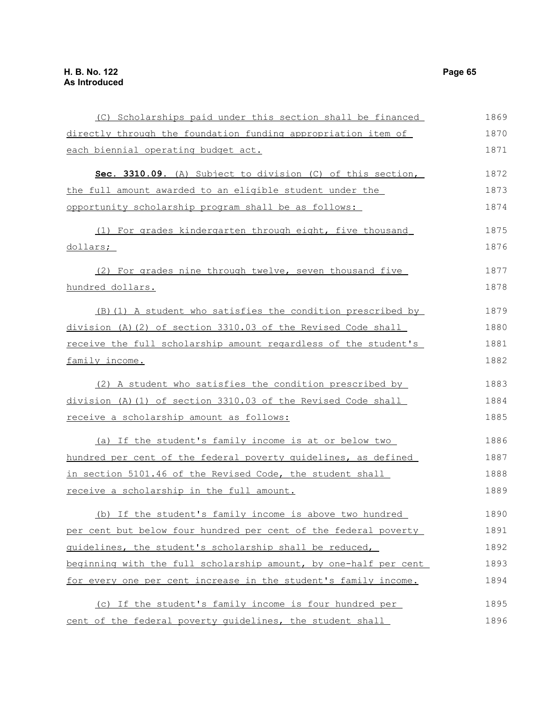(C) Scholarships paid under this section shall be financed directly through the foundation funding appropriation item of each biennial operating budget act. **Sec. 3310.09.** (A) Subject to division (C) of this section, the full amount awarded to an eligible student under the opportunity scholarship program shall be as follows: ( 1) For grades kindergarten through eight, five thousand dollars; (2) For grades nine through twelve, seven thousand five hundred dollars. (B)(1) A student who satisfies the condition prescribed by division (A)(2) of section 3310.03 of the Revised Code shall receive the full scholarship amount regardless of the student's family income. (2) A student who satisfies the condition prescribed by division (A)(1) of section 3310.03 of the Revised Code shall receive a scholarship amount as follows: (a) If the student's family income is at or below two hundred per cent of the federal poverty guidelines, as defined in section 5101.46 of the Revised Code, the student shall receive a scholarship in the full amount. (b) If the student's family income is above two hundred per cent but below four hundred per cent of the federal poverty guidelines, the student's scholarship shall be reduced, beginning with the full scholarship amount, by one-half per cent for every one per cent increase in the student's family income. (c) If the student's family income is four hundred per cent of the federal poverty guidelines, the student shall 1869 1870 1871 1872 1873 1874 1875 1876 1877 1878 1879 1880 1881 1882 1883 1884 1885 1886 1887 1888 1889 1890 1891 1892 1893 1894 1895 1896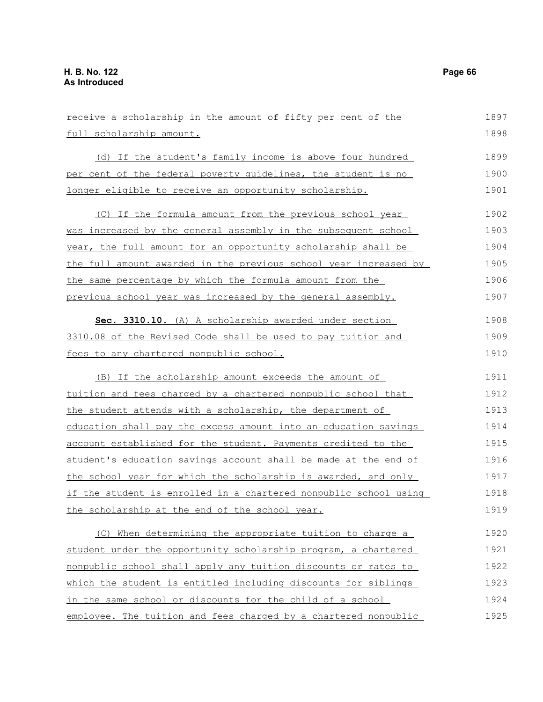receive a scholarship in the amount of fifty per cent of the full scholarship amount. (d) If the student's family income is above four hundred per cent of the federal poverty guidelines, the student is no longer eligible to receive an opportunity scholarship. (C) If the formula amount from the previous school year was increased by the general assembly in the subsequent school year, the full amount for an opportunity scholarship shall be the full amount awarded in the previous school year increased by the same percentage by which the formula amount from the previous school year was increased by the general assembly. **Sec. 3310.10.** (A) A scholarship awarded under section 3310.08 of the Revised Code shall be used to pay tuition and fees to any chartered nonpublic school. (B) If the scholarship amount exceeds the amount of tuition and fees charged by a chartered nonpublic school that the student attends with a scholarship, the department of education shall pay the excess amount into an education savings account established for the student. Payments credited to the student's education savings account shall be made at the end of the school year for which the scholarship is awarded, and only if the student is enrolled in a chartered nonpublic school using the scholarship at the end of the school year. (C) When determining the appropriate tuition to charge a student under the opportunity scholarship program, a chartered nonpublic school shall apply any tuition discounts or rates to 1897 1898 1899 1900 1901 1902 1903 1904 1905 1906 1907 1908 1909 1910 1911 1912 1913 1914 1915 1916 1917 1918 1919 1920 1921 1922

which the student is entitled including discounts for siblings in the same school or discounts for the child of a school employee. The tuition and fees charged by a chartered nonpublic 1923 1924 1925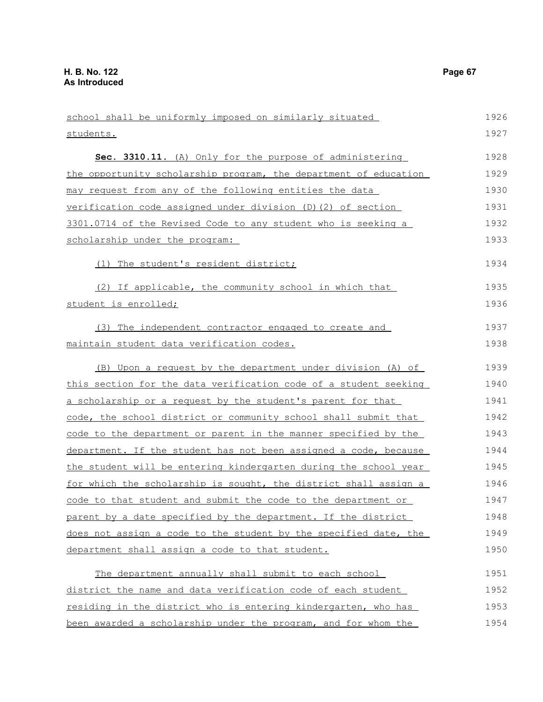school shall be uniformly imposed on similarly situated students. **Sec. 3310.11.** (A) Only for the purpose of administering the opportunity scholarship program, the department of education may request from any of the following entities the data verification code assigned under division (D)(2) of section 3301.0714 of the Revised Code to any student who is seeking a scholarship under the program: (1) The student's resident district; (2) If applicable, the community school in which that student is enrolled; (3) The independent contractor engaged to create and maintain student data verification codes. (B) Upon a request by the department under division (A) of this section for the data verification code of a student seeking a scholarship or a request by the student's parent for that code, the school district or community school shall submit that code to the department or parent in the manner specified by the department. If the student has not been assigned a code, because the student will be entering kindergarten during the school year for which the scholarship is sought, the district shall assign a code to that student and submit the code to the department or parent by a date specified by the department. If the district does not assign a code to the student by the specified date, the department shall assign a code to that student. The department annually shall submit to each school district the name and data verification code of each student residing in the district who is entering kindergarten, who has 1926 1927 1928 1929 1930 1931 1932 1933 1934 1935 1936 1937 1938 1939 1940 1941 1942 1943 1944 1945 1946 1947 1948 1949 1950 1951 1952 1953

been awarded a scholarship under the program, and for whom the 1954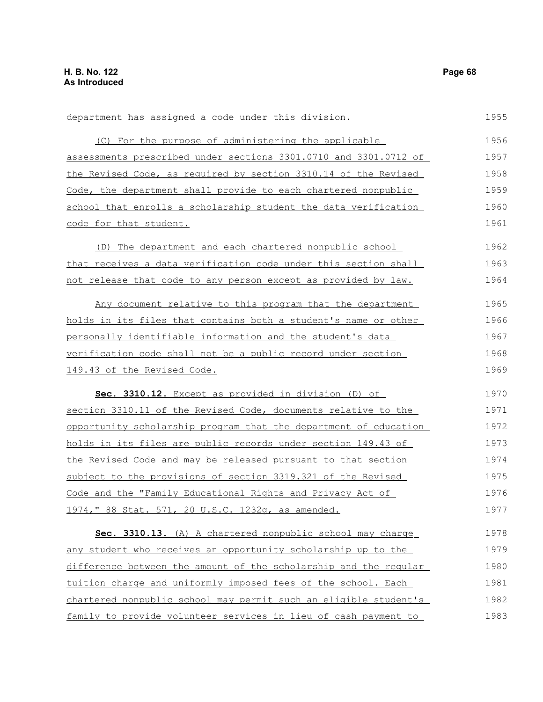department has assigned a code under this division. (C) For the purpose of administering the applicable assessments prescribed under sections 3301.0710 and 3301.0712 of the Revised Code, as required by section 3310.14 of the Revised Code, the department shall provide to each chartered nonpublic school that enrolls a scholarship student the data verification code for that student. (D) The department and each chartered nonpublic school that receives a data verification code under this section shall not release that code to any person except as provided by law. Any document relative to this program that the department holds in its files that contains both a student's name or other personally identifiable information and the student's data verification code shall not be a public record under section 149.43 of the Revised Code. **Sec. 3310.12.** Except as provided in division (D) of section 3310.11 of the Revised Code, documents relative to the opportunity scholarship program that the department of education holds in its files are public records under section 149.43 of the Revised Code and may be released pursuant to that section subject to the provisions of section 3319.321 of the Revised Code and the "Family Educational Rights and Privacy Act of 1974," 88 Stat. 571, 20 U.S.C. 1232g, as amended. **Sec. 3310.13.** (A) A chartered nonpublic school may charge any student who receives an opportunity scholarship up to the difference between the amount of the scholarship and the regular tuition charge and uniformly imposed fees of the school. Each chartered nonpublic school may permit such an eligible student's family to provide volunteer services in lieu of cash payment to 1955 1956 1957 1958 1959 1960 1961 1962 1963 1964 1965 1966 1967 1968 1969 1970 1971 1972 1973 1974 1975 1976 1977 1978 1979 1980 1981 1982 1983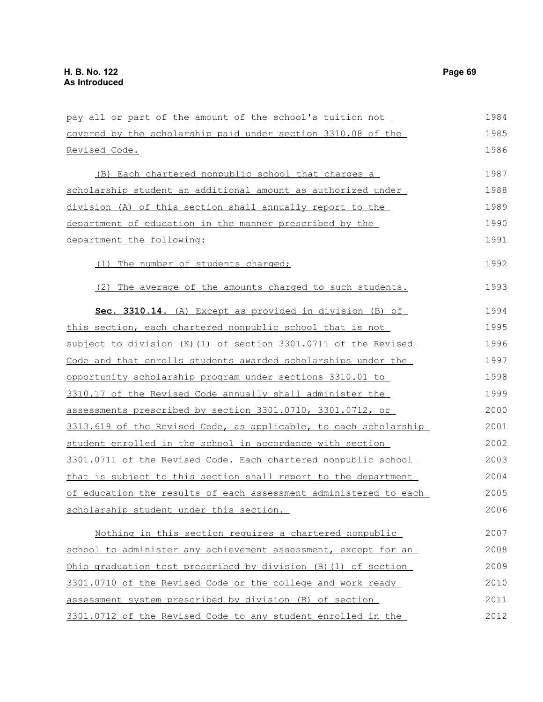| pay all or part of the amount of the school's tuition not        | 1984 |
|------------------------------------------------------------------|------|
| covered by the scholarship paid under section 3310.08 of the     | 1985 |
| <u>Revised Code.</u>                                             | 1986 |
| (B) Each chartered nonpublic school that charges a               | 1987 |
| scholarship student an additional amount as authorized under     | 1988 |
| division (A) of this section shall annually report to the        | 1989 |
| department of education in the manner prescribed by the          | 1990 |
| department the following:                                        | 1991 |
| (1) The number of students charged;                              | 1992 |
| (2) The average of the amounts charged to such students.         | 1993 |
| Sec. 3310.14. (A) Except as provided in division (B) of          | 1994 |
| this section, each chartered nonpublic school that is not        | 1995 |
| subject to division (K) (1) of section 3301.0711 of the Revised  | 1996 |
| Code and that enrolls students awarded scholarships under the    | 1997 |
| opportunity scholarship program under sections 3310.01 to        | 1998 |
| 3310.17 of the Revised Code annually shall administer the        | 1999 |
| assessments prescribed by section 3301.0710, 3301.0712, or       | 2000 |
| 3313.619 of the Revised Code, as applicable, to each scholarship | 2001 |
| student enrolled in the school in accordance with section        | 2002 |
| 3301.0711 of the Revised Code. Each chartered nonpublic school   | 2003 |
| that is subject to this section shall report to the department   | 2004 |
| of education the results of each assessment administered to each | 2005 |
| <u>scholarship student under this section.</u>                   | 2006 |
| Nothing in this section requires a chartered nonpublic           | 2007 |
| school to administer any achievement assessment, except for an   | 2008 |
| Ohio graduation test prescribed by division (B) (1) of section   | 2009 |
| 3301.0710 of the Revised Code or the college and work ready      | 2010 |
| assessment system prescribed by division (B) of section          | 2011 |
| 3301.0712 of the Revised Code to any student enrolled in the     | 2012 |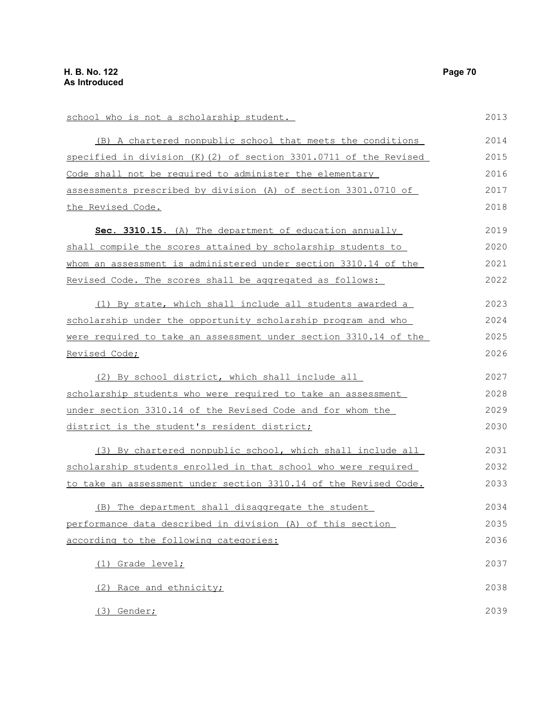school who is not a scholarship student. (B) A chartered nonpublic school that meets the conditions specified in division (K)(2) of section 3301.0711 of the Revised Code shall not be required to administer the elementary assessments prescribed by division (A) of section 3301.0710 of the Revised Code. **Sec. 3310.15.** (A) The department of education annually shall compile the scores attained by scholarship students to whom an assessment is administered under section 3310.14 of the Revised Code. The scores shall be aggregated as follows: (1) By state, which shall include all students awarded a scholarship under the opportunity scholarship program and who were required to take an assessment under section 3310.14 of the Revised Code; (2) By school district, which shall include all scholarship students who were required to take an assessment under section 3310.14 of the Revised Code and for whom the district is the student's resident district; (3) By chartered nonpublic school, which shall include all scholarship students enrolled in that school who were required to take an assessment under section 3310.14 of the Revised Code. (B) The department shall disaggregate the student performance data described in division (A) of this section according to the following categories: (1) Grade level; (2) Race and ethnicity; (3) Gender; 2013 2014 2015 2016 2017 2018 2019 2020 2021 2022 2023 2024 2025 2026 2027 2028 2029 2030 2031 2032 2033 2034 2035 2036 2037 2038 2039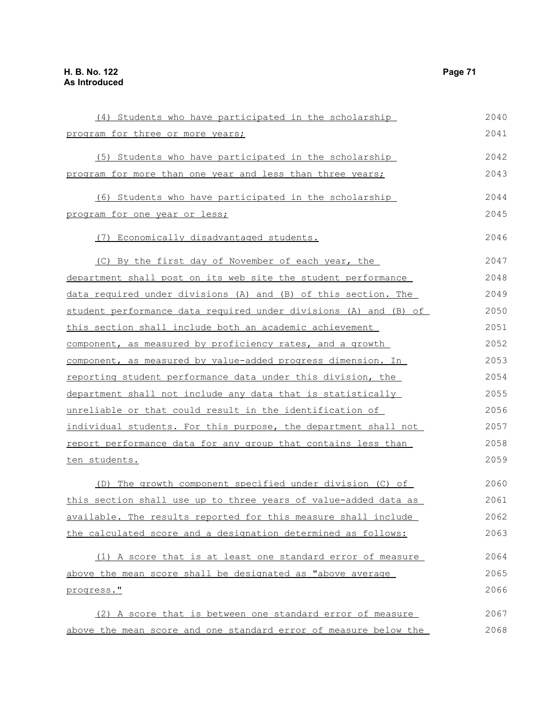| (4) Students who have participated in the scholarship            | 2040 |
|------------------------------------------------------------------|------|
| program for three or more years;                                 | 2041 |
| (5) Students who have participated in the scholarship            | 2042 |
| program for more than one year and less than three years;        | 2043 |
| (6) Students who have participated in the scholarship            | 2044 |
| program for one year or less;                                    | 2045 |
| (7) Economically disadvantaged students.                         | 2046 |
| (C) By the first day of November of each year, the               | 2047 |
| department shall post on its web site the student performance    | 2048 |
| data required under divisions (A) and (B) of this section. The   | 2049 |
| student performance data required under divisions (A) and (B) of | 2050 |
| this section shall include both an academic achievement          | 2051 |
| component, as measured by proficiency rates, and a growth        | 2052 |
| component, as measured by value-added progress dimension. In     | 2053 |
| reporting student performance data under this division, the      | 2054 |
| department shall not include any data that is statistically      | 2055 |
| unreliable or that could result in the identification of         | 2056 |
| individual students. For this purpose, the department shall not  | 2057 |
| report performance data for any group that contains less than    | 2058 |
| ten students.                                                    | 2059 |
| (D) The growth component specified under division (C) of         | 2060 |
| this section shall use up to three years of value-added data as  | 2061 |
| available. The results reported for this measure shall include   | 2062 |
| the calculated score and a designation determined as follows:    | 2063 |

(1) A score that is at least one standard error of measure above the mean score shall be designated as "above average progress." 2064 2065 2066

(2) A score that is between one standard error of measure above the mean score and one standard error of measure below the 2067 2068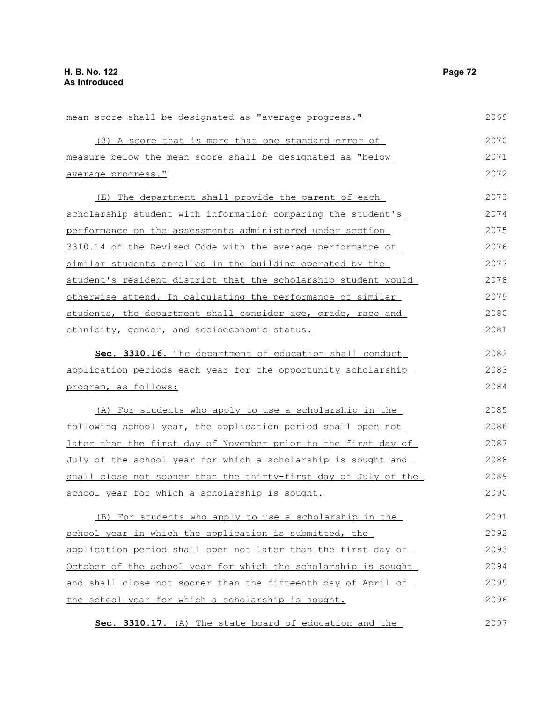| 2069 |
|------|
| 2070 |
| 2071 |
| 2072 |
| 2073 |
| 2074 |
| 2075 |
| 2076 |
| 2077 |
| 2078 |
| 2079 |
| 2080 |
| 2081 |
| 2082 |
| 2083 |
| 2084 |
|      |
| 2085 |
| 2086 |
| 2087 |
| 2088 |
| 2089 |
| 2090 |
| 2091 |
| 2092 |
| 2093 |
| 2094 |
| 2095 |
| 2096 |
| 2097 |
|      |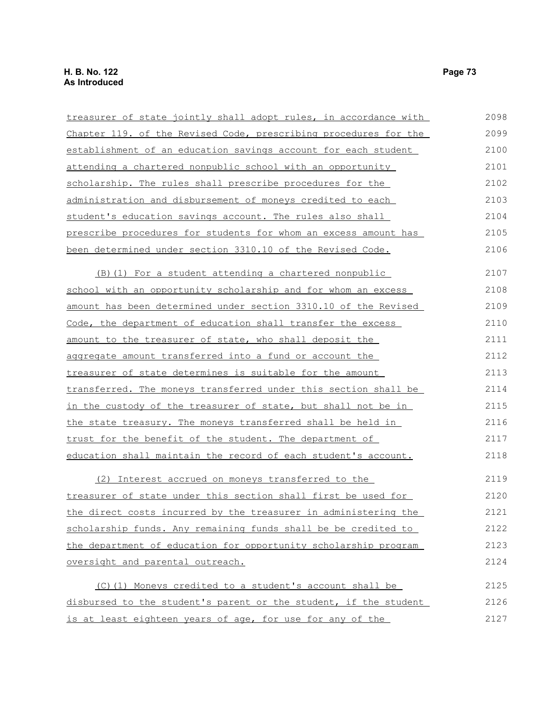| treasurer of state jointly shall adopt rules, in accordance with | 2098 |
|------------------------------------------------------------------|------|
| Chapter 119. of the Revised Code, prescribing procedures for the | 2099 |
| establishment of an education savings account for each student   | 2100 |
| attending a chartered nonpublic school with an opportunity       | 2101 |
| scholarship. The rules shall prescribe procedures for the        | 2102 |
| administration and disbursement of moneys credited to each       | 2103 |
| student's education savings account. The rules also shall        | 2104 |
| prescribe procedures for students for whom an excess amount has  | 2105 |
| been determined under section 3310.10 of the Revised Code.       | 2106 |
| (B) (1) For a student attending a chartered nonpublic            | 2107 |
| school with an opportunity scholarship and for whom an excess    | 2108 |
| amount has been determined under section 3310.10 of the Revised  | 2109 |
| Code, the department of education shall transfer the excess      | 2110 |
| amount to the treasurer of state, who shall deposit the          | 2111 |
| aggregate amount transferred into a fund or account the          | 2112 |
| <u>treasurer of state determines is suitable for the amount</u>  | 2113 |
| transferred. The moneys transferred under this section shall be  | 2114 |
| in the custody of the treasurer of state, but shall not be in    | 2115 |
| the state treasury. The moneys transferred shall be held in      | 2116 |
| trust for the benefit of the student. The department of          | 2117 |
| education shall maintain the record of each student's account.   | 2118 |
| (2) Interest accrued on moneys transferred to the                | 2119 |
| treasurer of state under this section shall first be used for    | 2120 |
| the direct costs incurred by the treasurer in administering the  | 2121 |
| scholarship funds. Any remaining funds shall be be credited to   | 2122 |
| the department of education for opportunity scholarship program  | 2123 |
| oversight and parental outreach.                                 | 2124 |
| (C)(1) Moneys credited to a student's account shall be           | 2125 |
| disbursed to the student's parent or the student, if the student | 2126 |
| is at least eighteen years of age, for use for any of the        | 2127 |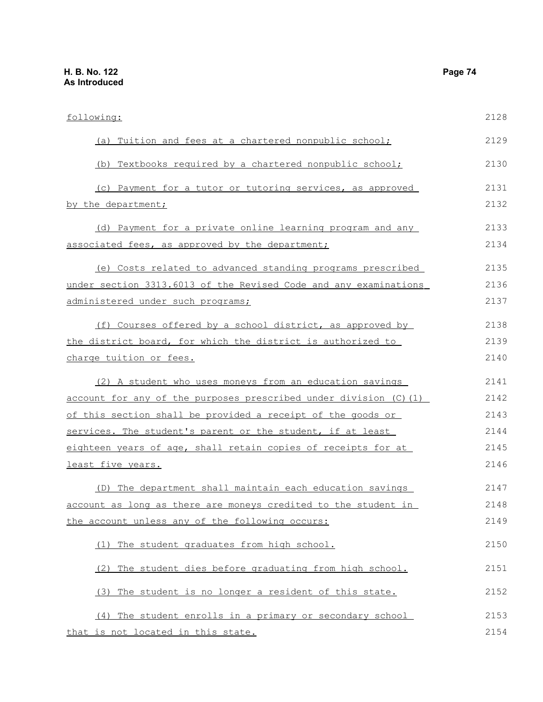| following:                                                              | 2128 |
|-------------------------------------------------------------------------|------|
| (a) Tuition and fees at a chartered nonpublic school;                   | 2129 |
| (b) Textbooks required by a chartered nonpublic school;                 | 2130 |
| (c) Payment for a tutor or tutoring services, as approved               | 2131 |
| by the department;                                                      | 2132 |
| (d) Payment for a private online learning program and any               | 2133 |
| associated fees, as approved by the department;                         | 2134 |
| (e) Costs related to advanced standing programs prescribed              | 2135 |
| under section 3313.6013 of the Revised Code and any examinations        | 2136 |
| administered under such programs;                                       | 2137 |
| (f) Courses offered by a school district, as approved by                | 2138 |
| the district board, for which the district is authorized to             | 2139 |
| charge tuition or fees.                                                 | 2140 |
| (2) A student who uses moneys from an education savings                 | 2141 |
| <u>account for any of the purposes prescribed under division (C)(1)</u> | 2142 |
| of this section shall be provided a receipt of the goods or             | 2143 |
| services. The student's parent or the student, if at least              | 2144 |
| eighteen years of age, shall retain copies of receipts for at           | 2145 |
| least five years.                                                       | 2146 |
| (D) The department shall maintain each education savings                | 2147 |
| account as long as there are moneys credited to the student in          | 2148 |
| the account unless any of the following occurs:                         | 2149 |
| (1) The student graduates from high school.                             | 2150 |
| (2) The student dies before graduating from high school.                | 2151 |
| (3) The student is no longer a resident of this state.                  | 2152 |
| (4) The student enrolls in a primary or secondary school                | 2153 |
| that is not located in this state.                                      | 2154 |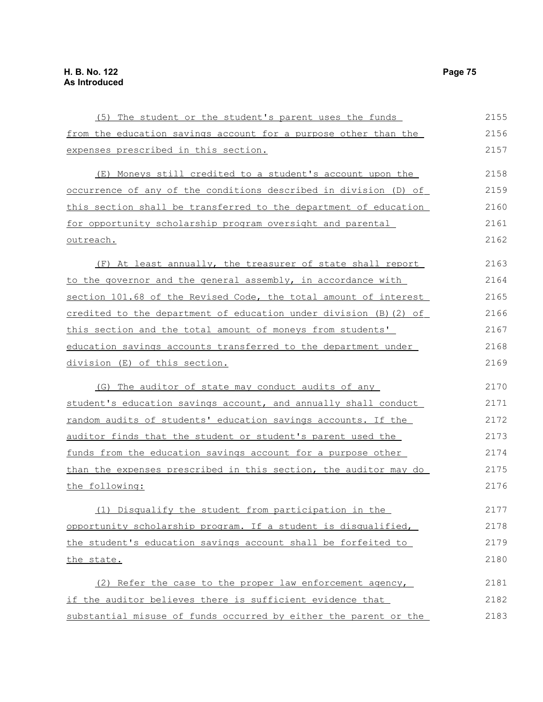| (5) The student or the student's parent uses the funds                  | 2155 |
|-------------------------------------------------------------------------|------|
| from the education savings account for a purpose other than the         | 2156 |
| expenses prescribed in this section.                                    | 2157 |
| (E) Moneys still credited to a student's account upon the               | 2158 |
| <u>occurrence of any of the conditions described in division (D) of</u> | 2159 |
| this section shall be transferred to the department of education        | 2160 |
| for opportunity scholarship program oversight and parental              | 2161 |
| outreach.                                                               | 2162 |
| (F) At least annually, the treasurer of state shall report              | 2163 |
| to the governor and the general assembly, in accordance with            | 2164 |
| section 101.68 of the Revised Code, the total amount of interest        | 2165 |
| credited to the department of education under division $(B)$ $(2)$ of   | 2166 |
| this section and the total amount of moneys from students'              | 2167 |
| education savings accounts transferred to the department under          | 2168 |
| division (E) of this section.                                           | 2169 |
| (G) The auditor of state may conduct audits of any                      | 2170 |
| student's education savings account, and annually shall conduct         | 2171 |
| random audits of students' education savings accounts. If the           | 2172 |
| auditor finds that the student or student's parent used the             | 2173 |
| <u>funds from the education savings account for a purpose other</u>     | 2174 |
| than the expenses prescribed in this section, the auditor may do        | 2175 |
| the following:                                                          | 2176 |
| (1) Disqualify the student from participation in the                    | 2177 |
| opportunity scholarship program. If a student is disqualified,          | 2178 |
| the student's education savings account shall be forfeited to           | 2179 |
| the state.                                                              | 2180 |
| (2) Refer the case to the proper law enforcement agency,                | 2181 |
| if the auditor believes there is sufficient evidence that               | 2182 |
| substantial misuse of funds occurred by either the parent or the        | 2183 |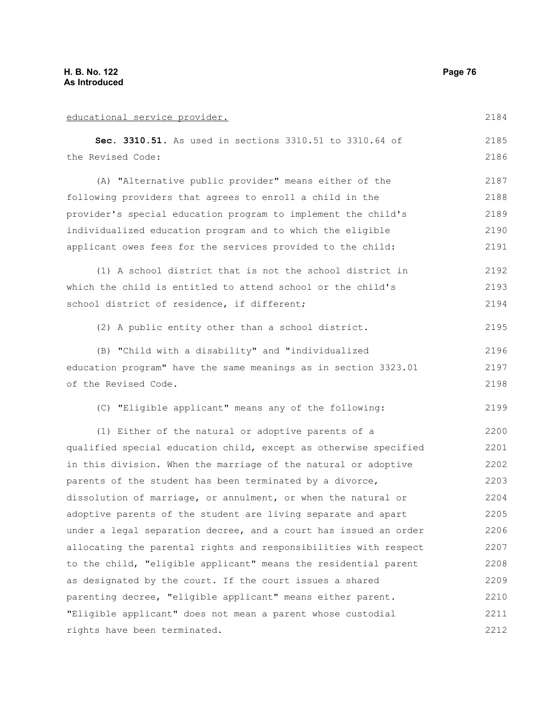| educational service provider.                                    | 2184 |
|------------------------------------------------------------------|------|
| Sec. 3310.51. As used in sections 3310.51 to 3310.64 of          | 2185 |
| the Revised Code:                                                | 2186 |
| (A) "Alternative public provider" means either of the            | 2187 |
| following providers that agrees to enroll a child in the         | 2188 |
| provider's special education program to implement the child's    | 2189 |
| individualized education program and to which the eligible       | 2190 |
| applicant owes fees for the services provided to the child:      | 2191 |
| (1) A school district that is not the school district in         | 2192 |
| which the child is entitled to attend school or the child's      | 2193 |
| school district of residence, if different;                      | 2194 |
| (2) A public entity other than a school district.                | 2195 |
| (B) "Child with a disability" and "individualized                | 2196 |
| education program" have the same meanings as in section 3323.01  | 2197 |
| of the Revised Code.                                             | 2198 |
| (C) "Eligible applicant" means any of the following:             | 2199 |
| (1) Either of the natural or adoptive parents of a               | 2200 |
| qualified special education child, except as otherwise specified | 2201 |
| in this division. When the marriage of the natural or adoptive   | 2202 |
| parents of the student has been terminated by a divorce,         | 2203 |
| dissolution of marriage, or annulment, or when the natural or    | 2204 |
| adoptive parents of the student are living separate and apart    | 2205 |
| under a legal separation decree, and a court has issued an order | 2206 |
| allocating the parental rights and responsibilities with respect | 2207 |
| to the child, "eligible applicant" means the residential parent  | 2208 |
| as designated by the court. If the court issues a shared         | 2209 |
| parenting decree, "eligible applicant" means either parent.      | 2210 |
| "Eligible applicant" does not mean a parent whose custodial      | 2211 |
| rights have been terminated.                                     | 2212 |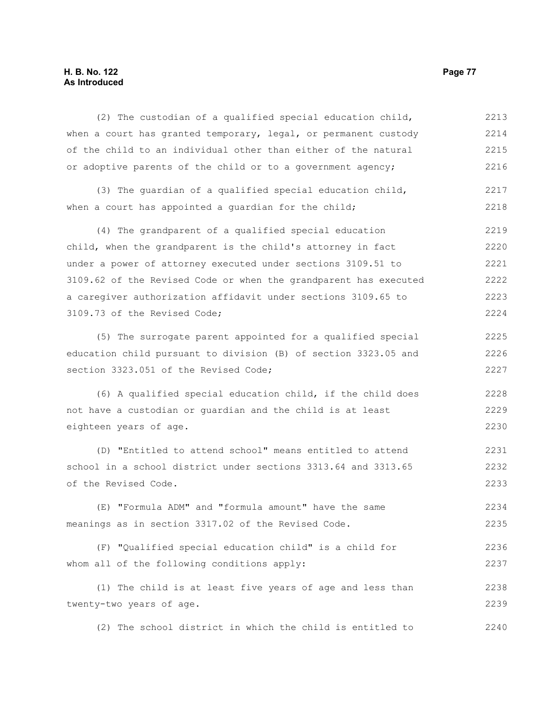## **H. B. No. 122 Page 77 As Introduced**

(2) The custodian of a qualified special education child, when a court has granted temporary, legal, or permanent custody of the child to an individual other than either of the natural or adoptive parents of the child or to a government agency; (3) The guardian of a qualified special education child, when a court has appointed a quardian for the child; (4) The grandparent of a qualified special education child, when the grandparent is the child's attorney in fact under a power of attorney executed under sections 3109.51 to 3109.62 of the Revised Code or when the grandparent has executed a caregiver authorization affidavit under sections 3109.65 to 3109.73 of the Revised Code; (5) The surrogate parent appointed for a qualified special education child pursuant to division (B) of section 3323.05 and section 3323.051 of the Revised Code; (6) A qualified special education child, if the child does not have a custodian or guardian and the child is at least eighteen years of age. (D) "Entitled to attend school" means entitled to attend school in a school district under sections 3313.64 and 3313.65 of the Revised Code. (E) "Formula ADM" and "formula amount" have the same meanings as in section 3317.02 of the Revised Code. (F) "Qualified special education child" is a child for whom all of the following conditions apply: (1) The child is at least five years of age and less than 2213 2214 2215 2216 2217 2218 2219 2220 2221 2222 2223 2224 2225 2226 2227 2228 2229 2230 2231 2232 2233 2234 2235 2236 2237 2238

twenty-two years of age.

(2) The school district in which the child is entitled to 2240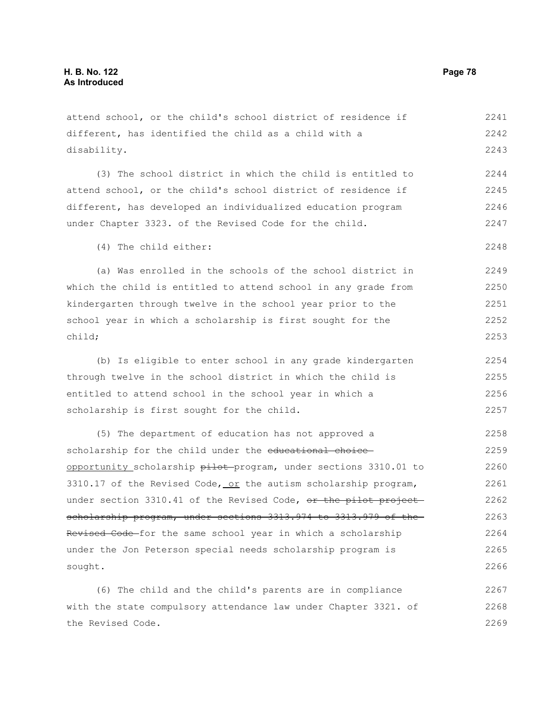attend school, or the child's school district of residence if different, has identified the child as a child with a disability. 2241 2242 2243

(3) The school district in which the child is entitled to attend school, or the child's school district of residence if different, has developed an individualized education program under Chapter 3323. of the Revised Code for the child. 2244 2245 2246 2247

(4) The child either:

(a) Was enrolled in the schools of the school district in which the child is entitled to attend school in any grade from kindergarten through twelve in the school year prior to the school year in which a scholarship is first sought for the child; 2249 2250 2251 2252 2253

(b) Is eligible to enter school in any grade kindergarten through twelve in the school district in which the child is entitled to attend school in the school year in which a scholarship is first sought for the child. 2254 2255 2256 2257

(5) The department of education has not approved a scholarship for the child under the educational choiceopportunity scholarship pilot program, under sections 3310.01 to 3310.17 of the Revised Code, or the autism scholarship program, under section 3310.41 of the Revised Code, or the pilot project scholarship program, under sections 3313.974 to 3313.979 of the Revised Code-for the same school year in which a scholarship under the Jon Peterson special needs scholarship program is sought. 2258 2259 2260 2261 2262 2263 2264 2265 2266

(6) The child and the child's parents are in compliance with the state compulsory attendance law under Chapter 3321. of the Revised Code. 2267 2268 2269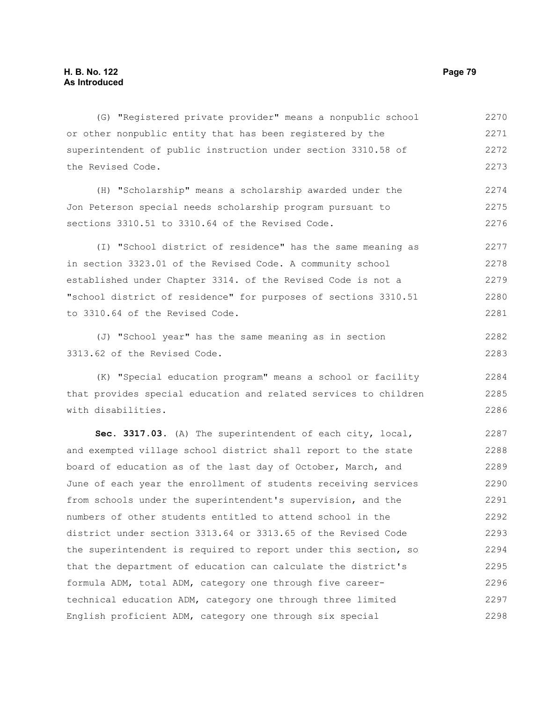(G) "Registered private provider" means a nonpublic school or other nonpublic entity that has been registered by the superintendent of public instruction under section 3310.58 of the Revised Code. (H) "Scholarship" means a scholarship awarded under the Jon Peterson special needs scholarship program pursuant to sections 3310.51 to 3310.64 of the Revised Code. (I) "School district of residence" has the same meaning as in section 3323.01 of the Revised Code. A community school established under Chapter 3314. of the Revised Code is not a "school district of residence" for purposes of sections 3310.51 to 3310.64 of the Revised Code. (J) "School year" has the same meaning as in section 3313.62 of the Revised Code. (K) "Special education program" means a school or facility that provides special education and related services to children with disabilities. **Sec. 3317.03.** (A) The superintendent of each city, local, and exempted village school district shall report to the state board of education as of the last day of October, March, and 2270 2271 2272 2273 2274 2275 2276 2277 2278 2279 2280 2281 2282 2283 2284 2285 2286 2287 2288 2289 2290

June of each year the enrollment of students receiving services from schools under the superintendent's supervision, and the numbers of other students entitled to attend school in the district under section 3313.64 or 3313.65 of the Revised Code the superintendent is required to report under this section, so that the department of education can calculate the district's formula ADM, total ADM, category one through five careertechnical education ADM, category one through three limited English proficient ADM, category one through six special 2291 2292 2293 2294 2295 2296 2297 2298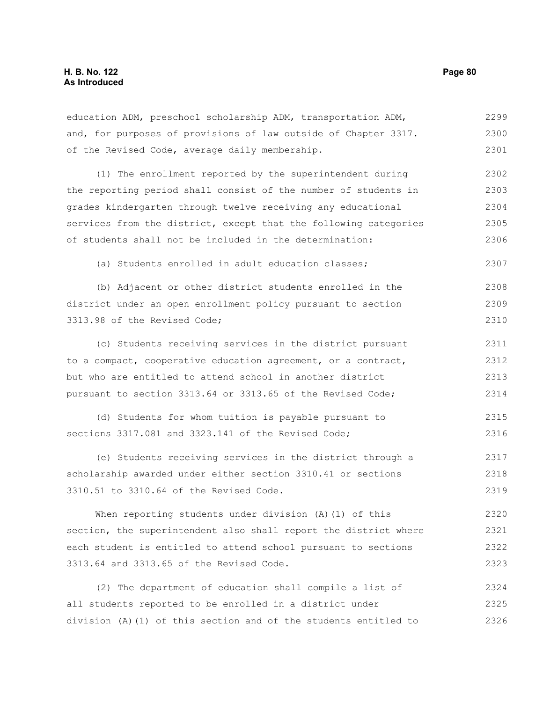2325 2326

| education ADM, preschool scholarship ADM, transportation ADM,    | 2299 |
|------------------------------------------------------------------|------|
| and, for purposes of provisions of law outside of Chapter 3317.  | 2300 |
| of the Revised Code, average daily membership.                   | 2301 |
| (1) The enrollment reported by the superintendent during         | 2302 |
| the reporting period shall consist of the number of students in  | 2303 |
| grades kindergarten through twelve receiving any educational     | 2304 |
| services from the district, except that the following categories | 2305 |
| of students shall not be included in the determination:          | 2306 |
| (a) Students enrolled in adult education classes;                | 2307 |
| (b) Adjacent or other district students enrolled in the          | 2308 |
| district under an open enrollment policy pursuant to section     | 2309 |
| 3313.98 of the Revised Code;                                     | 2310 |
| (c) Students receiving services in the district pursuant         | 2311 |
| to a compact, cooperative education agreement, or a contract,    | 2312 |
| but who are entitled to attend school in another district        | 2313 |
| pursuant to section 3313.64 or 3313.65 of the Revised Code;      | 2314 |
| (d) Students for whom tuition is payable pursuant to             | 2315 |
| sections 3317.081 and 3323.141 of the Revised Code;              | 2316 |
| (e) Students receiving services in the district through a        | 2317 |
| scholarship awarded under either section 3310.41 or sections     | 2318 |
| 3310.51 to 3310.64 of the Revised Code.                          | 2319 |
| When reporting students under division $(A)$ $(1)$ of this       | 2320 |
| section, the superintendent also shall report the district where | 2321 |
| each student is entitled to attend school pursuant to sections   | 2322 |
| 3313.64 and 3313.65 of the Revised Code.                         | 2323 |
| The department of education shall compile a list of<br>(2)       | 2324 |

all students reported to be enrolled in a district under

division (A)(1) of this section and of the students entitled to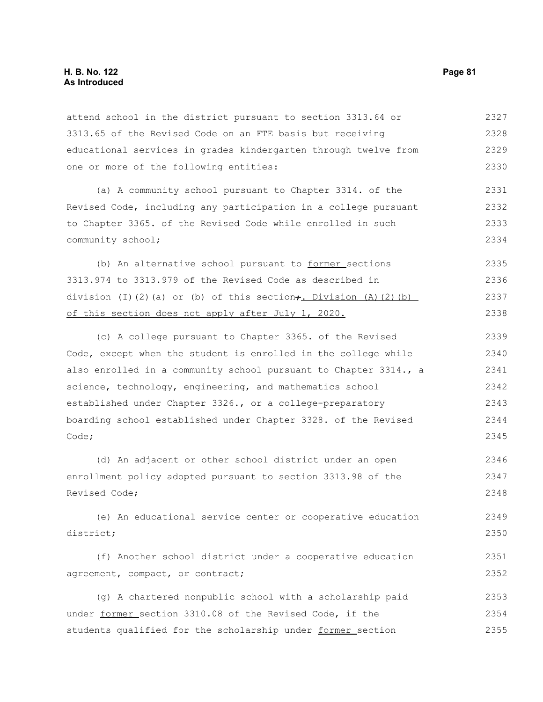### **H. B. No. 122 Page 81 As Introduced**

attend school in the district pursuant to section 3313.64 or 3313.65 of the Revised Code on an FTE basis but receiving educational services in grades kindergarten through twelve from one or more of the following entities: 2327 2328 2329 2330

(a) A community school pursuant to Chapter 3314. of the Revised Code, including any participation in a college pursuant to Chapter 3365. of the Revised Code while enrolled in such community school; 2331 2332 2333 2334

(b) An alternative school pursuant to former sections 3313.974 to 3313.979 of the Revised Code as described in division (I)(2)(a) or (b) of this section $\div$ . Division (A)(2)(b) of this section does not apply after July 1, 2020. 2335 2336 2337 2338

(c) A college pursuant to Chapter 3365. of the Revised Code, except when the student is enrolled in the college while also enrolled in a community school pursuant to Chapter 3314., a science, technology, engineering, and mathematics school established under Chapter 3326., or a college-preparatory boarding school established under Chapter 3328. of the Revised Code; 2339 2340 2341 2342 2343 2344 2345

(d) An adjacent or other school district under an open enrollment policy adopted pursuant to section 3313.98 of the Revised Code; 2346 2347 2348

(e) An educational service center or cooperative education district; 2349 2350

(f) Another school district under a cooperative education agreement, compact, or contract; 2351 2352

(g) A chartered nonpublic school with a scholarship paid under former section 3310.08 of the Revised Code, if the students qualified for the scholarship under former section 2353 2354 2355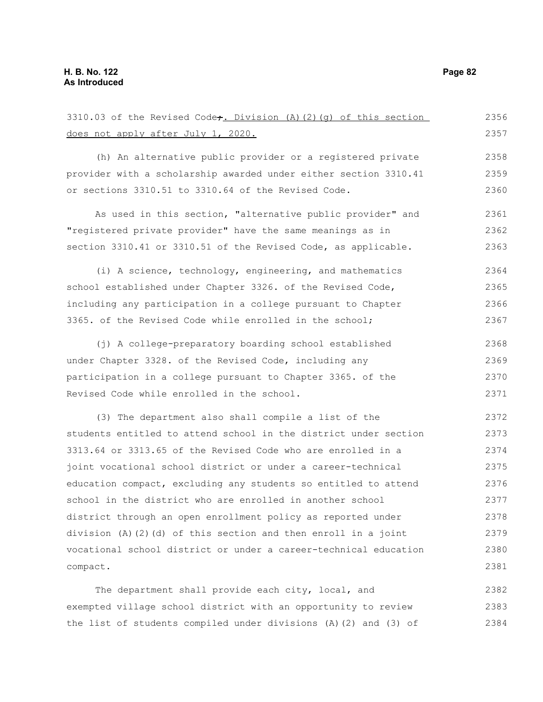compact.

 does not apply after July 1, 2020. (h) An alternative public provider or a registered private provider with a scholarship awarded under either section 3310.41 or sections 3310.51 to 3310.64 of the Revised Code. As used in this section, "alternative public provider" and "registered private provider" have the same meanings as in section 3310.41 or 3310.51 of the Revised Code, as applicable. (i) A science, technology, engineering, and mathematics school established under Chapter 3326. of the Revised Code, including any participation in a college pursuant to Chapter 3365. of the Revised Code while enrolled in the school; (j) A college-preparatory boarding school established under Chapter 3328. of the Revised Code, including any participation in a college pursuant to Chapter 3365. of the Revised Code while enrolled in the school. (3) The department also shall compile a list of the students entitled to attend school in the district under section 3313.64 or 3313.65 of the Revised Code who are enrolled in a joint vocational school district or under a career-technical education compact, excluding any students so entitled to attend school in the district who are enrolled in another school district through an open enrollment policy as reported under division (A)(2)(d) of this section and then enroll in a joint vocational school district or under a career-technical education 2357 2358 2359 2360 2361 2362 2363 2364 2365 2366 2367 2368 2369 2370 2371 2372 2373 2374 2375 2376 2377 2378 2379 2380 2381

3310.03 of the Revised Code $f$ . Division (A)(2)(g) of this section

The department shall provide each city, local, and exempted village school district with an opportunity to review the list of students compiled under divisions (A)(2) and (3) of 2382 2383 2384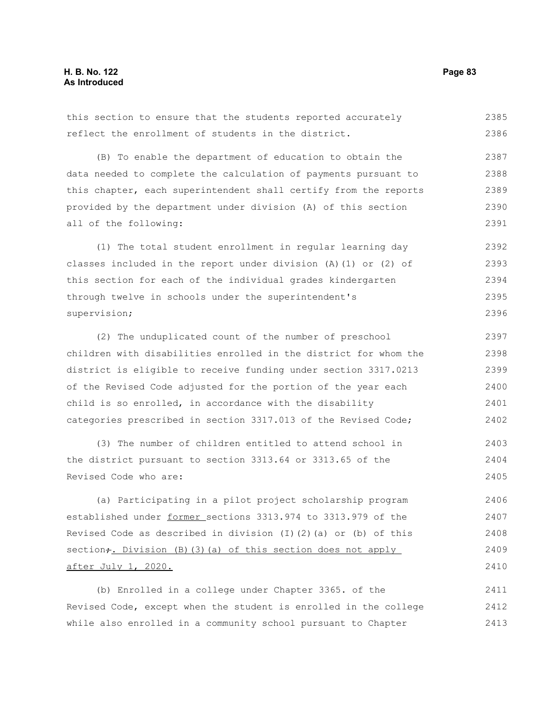this section to ensure that the students reported accurately reflect the enrollment of students in the district. (B) To enable the department of education to obtain the data needed to complete the calculation of payments pursuant to this chapter, each superintendent shall certify from the reports provided by the department under division (A) of this section all of the following: (1) The total student enrollment in regular learning day classes included in the report under division (A)(1) or (2) of this section for each of the individual grades kindergarten through twelve in schools under the superintendent's supervision; (2) The unduplicated count of the number of preschool children with disabilities enrolled in the district for whom the district is eligible to receive funding under section 3317.0213 of the Revised Code adjusted for the portion of the year each child is so enrolled, in accordance with the disability categories prescribed in section 3317.013 of the Revised Code; (3) The number of children entitled to attend school in the district pursuant to section 3313.64 or 3313.65 of the 2385 2386 2387 2388 2389 2390 2391 2392 2393 2394 2395 2396 2397 2398 2399 2400 2401 2402 2403 2404

Revised Code who are:

(a) Participating in a pilot project scholarship program established under former sections 3313.974 to 3313.979 of the Revised Code as described in division (I)(2)(a) or (b) of this section<sub>7</sub>. Division (B)(3)(a) of this section does not apply after July 1, 2020. 2406 2407 2408 2409 2410

(b) Enrolled in a college under Chapter 3365. of the Revised Code, except when the student is enrolled in the college while also enrolled in a community school pursuant to Chapter 2411 2412 2413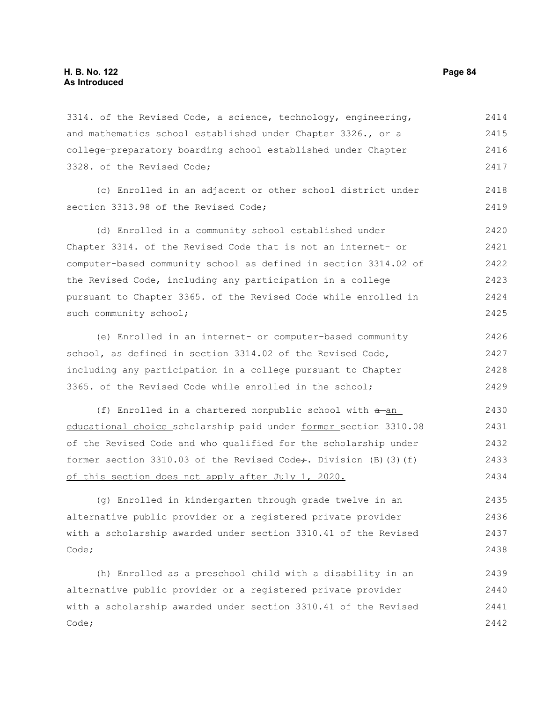3314. of the Revised Code, a science, technology, engineering, and mathematics school established under Chapter 3326., or a college-preparatory boarding school established under Chapter 3328. of the Revised Code; (c) Enrolled in an adjacent or other school district under section 3313.98 of the Revised Code: (d) Enrolled in a community school established under Chapter 3314. of the Revised Code that is not an internet- or computer-based community school as defined in section 3314.02 of the Revised Code, including any participation in a college pursuant to Chapter 3365. of the Revised Code while enrolled in such community school; (e) Enrolled in an internet- or computer-based community school, as defined in section 3314.02 of the Revised Code, including any participation in a college pursuant to Chapter 3365. of the Revised Code while enrolled in the school; (f) Enrolled in a chartered nonpublic school with  $a$ -an educational choice scholarship paid under former section 3310.08 of the Revised Code and who qualified for the scholarship under former section  $3310.03$  of the Revised Code<sub>t</sub>. Division (B)(3)(f) of this section does not apply after July 1, 2020. (g) Enrolled in kindergarten through grade twelve in an alternative public provider or a registered private provider with a scholarship awarded under section 3310.41 of the Revised Code; 2414 2415 2416 2417 2418 2419 2420 2421 2422 2423 2424 2425 2426 2427 2428 2429 2430 2431 2432 2433 2434 2435 2436 2437 2438

(h) Enrolled as a preschool child with a disability in an alternative public provider or a registered private provider with a scholarship awarded under section 3310.41 of the Revised Code; 2439 2440 2441 2442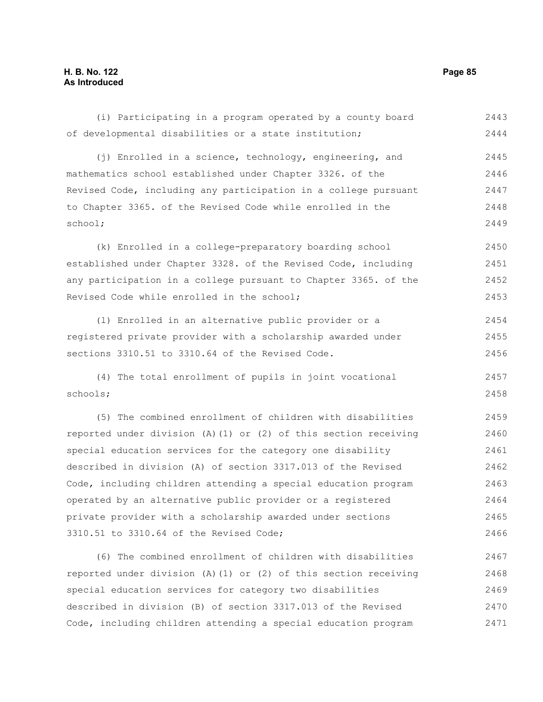of developmental disabilities or a state institution; (j) Enrolled in a science, technology, engineering, and mathematics school established under Chapter 3326. of the Revised Code, including any participation in a college pursuant to Chapter 3365. of the Revised Code while enrolled in the school; (k) Enrolled in a college-preparatory boarding school established under Chapter 3328. of the Revised Code, including any participation in a college pursuant to Chapter 3365. of the Revised Code while enrolled in the school; (l) Enrolled in an alternative public provider or a registered private provider with a scholarship awarded under sections 3310.51 to 3310.64 of the Revised Code. (4) The total enrollment of pupils in joint vocational schools; (5) The combined enrollment of children with disabilities reported under division (A)(1) or (2) of this section receiving special education services for the category one disability described in division (A) of section 3317.013 of the Revised Code, including children attending a special education program operated by an alternative public provider or a registered private provider with a scholarship awarded under sections 3310.51 to 3310.64 of the Revised Code; (6) The combined enrollment of children with disabilities reported under division (A)(1) or (2) of this section receiving special education services for category two disabilities described in division (B) of section 3317.013 of the Revised Code, including children attending a special education program 2444 2445 2446 2447 2448 2449 2450 2451 2452 2453 2454 2455 2456 2457 2458 2459 2460 2461 2462 2463 2464 2465 2466 2467 2468 2469 2470 2471

(i) Participating in a program operated by a county board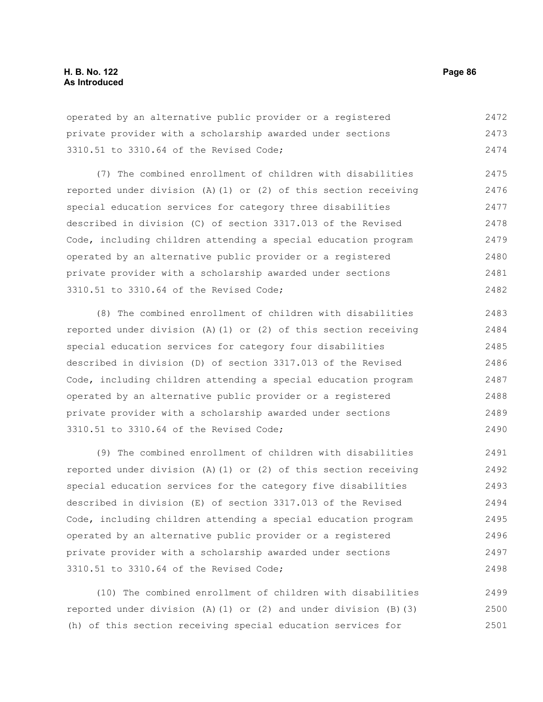operated by an alternative public provider or a registered private provider with a scholarship awarded under sections 3310.51 to 3310.64 of the Revised Code; 2472 2473 2474

(7) The combined enrollment of children with disabilities reported under division (A)(1) or (2) of this section receiving special education services for category three disabilities described in division (C) of section 3317.013 of the Revised Code, including children attending a special education program operated by an alternative public provider or a registered private provider with a scholarship awarded under sections 3310.51 to 3310.64 of the Revised Code; 2475 2476 2477 2478 2479 2480 2481 2482

(8) The combined enrollment of children with disabilities reported under division (A)(1) or (2) of this section receiving special education services for category four disabilities described in division (D) of section 3317.013 of the Revised Code, including children attending a special education program operated by an alternative public provider or a registered private provider with a scholarship awarded under sections 3310.51 to 3310.64 of the Revised Code; 2483 2484 2485 2486 2487 2488 2489 2490

(9) The combined enrollment of children with disabilities reported under division (A)(1) or (2) of this section receiving special education services for the category five disabilities described in division (E) of section 3317.013 of the Revised Code, including children attending a special education program operated by an alternative public provider or a registered private provider with a scholarship awarded under sections 3310.51 to 3310.64 of the Revised Code; 2491 2492 2493 2494 2495 2496 2497 2498

(10) The combined enrollment of children with disabilities reported under division (A)(1) or (2) and under division (B)(3) (h) of this section receiving special education services for 2499 2500 2501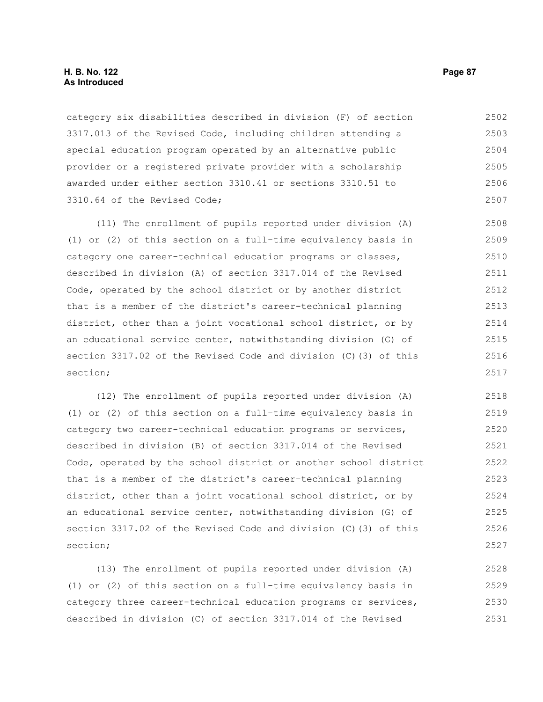category six disabilities described in division (F) of section 3317.013 of the Revised Code, including children attending a special education program operated by an alternative public provider or a registered private provider with a scholarship awarded under either section 3310.41 or sections 3310.51 to 3310.64 of the Revised Code; 2502 2503 2504 2505 2506 2507

(11) The enrollment of pupils reported under division (A) (1) or (2) of this section on a full-time equivalency basis in category one career-technical education programs or classes, described in division (A) of section 3317.014 of the Revised Code, operated by the school district or by another district that is a member of the district's career-technical planning district, other than a joint vocational school district, or by an educational service center, notwithstanding division (G) of section 3317.02 of the Revised Code and division (C)(3) of this section; 2508 2509 2510 2511 2512 2513 2514 2515 2516 2517

(12) The enrollment of pupils reported under division (A) (1) or (2) of this section on a full-time equivalency basis in category two career-technical education programs or services, described in division (B) of section 3317.014 of the Revised Code, operated by the school district or another school district that is a member of the district's career-technical planning district, other than a joint vocational school district, or by an educational service center, notwithstanding division (G) of section 3317.02 of the Revised Code and division (C)(3) of this section; 2518 2519 2520 2521 2522 2523 2524 2525 2526 2527

(13) The enrollment of pupils reported under division (A) (1) or (2) of this section on a full-time equivalency basis in category three career-technical education programs or services, described in division (C) of section 3317.014 of the Revised 2528 2529 2530 2531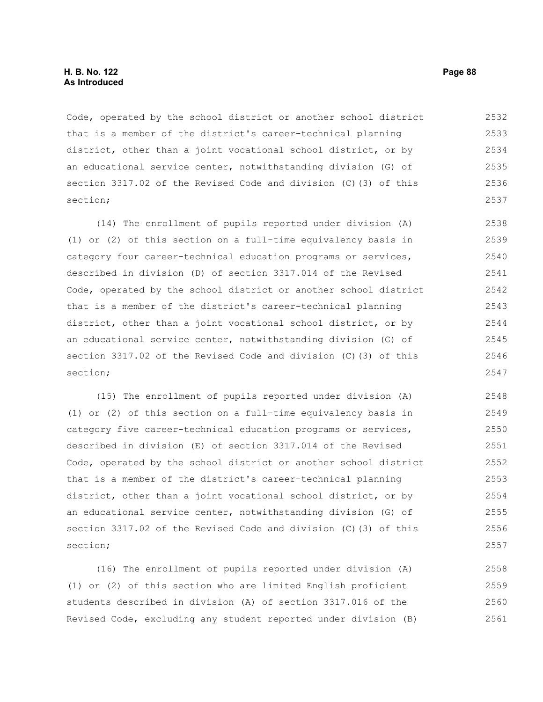### **H. B. No. 122 Page 88 As Introduced**

Code, operated by the school district or another school district that is a member of the district's career-technical planning district, other than a joint vocational school district, or by an educational service center, notwithstanding division (G) of section 3317.02 of the Revised Code and division (C)(3) of this section; 2532 2533 2534 2535 2536 2537

(14) The enrollment of pupils reported under division (A) (1) or (2) of this section on a full-time equivalency basis in category four career-technical education programs or services, described in division (D) of section 3317.014 of the Revised Code, operated by the school district or another school district that is a member of the district's career-technical planning district, other than a joint vocational school district, or by an educational service center, notwithstanding division (G) of section 3317.02 of the Revised Code and division (C)(3) of this section; 2538 2539 2540 2541 2542 2543 2544 2545 2546 2547

(15) The enrollment of pupils reported under division (A) (1) or (2) of this section on a full-time equivalency basis in category five career-technical education programs or services, described in division (E) of section 3317.014 of the Revised Code, operated by the school district or another school district that is a member of the district's career-technical planning district, other than a joint vocational school district, or by an educational service center, notwithstanding division (G) of section 3317.02 of the Revised Code and division (C)(3) of this section; 2548 2549 2550 2551 2552 2553 2554 2555 2556 2557

(16) The enrollment of pupils reported under division (A) (1) or (2) of this section who are limited English proficient students described in division (A) of section 3317.016 of the Revised Code, excluding any student reported under division (B) 2558 2559 2560 2561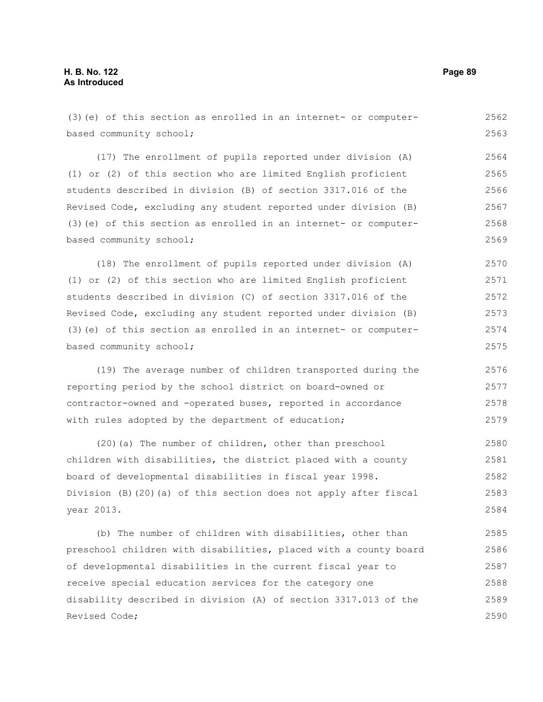| (3) (e) of this section as enrolled in an internet- or computer-  | 2562 |
|-------------------------------------------------------------------|------|
| based community school;                                           | 2563 |
| (17) The enrollment of pupils reported under division (A)         | 2564 |
| (1) or (2) of this section who are limited English proficient     | 2565 |
| students described in division (B) of section 3317.016 of the     | 2566 |
| Revised Code, excluding any student reported under division (B)   | 2567 |
| (3) (e) of this section as enrolled in an internet- or computer-  | 2568 |
| based community school;                                           | 2569 |
| (18) The enrollment of pupils reported under division (A)         | 2570 |
| (1) or (2) of this section who are limited English proficient     | 2571 |
| students described in division (C) of section 3317.016 of the     | 2572 |
| Revised Code, excluding any student reported under division (B)   | 2573 |
| (3) (e) of this section as enrolled in an internet- or computer-  | 2574 |
| based community school;                                           | 2575 |
| (19) The average number of children transported during the        | 2576 |
| reporting period by the school district on board-owned or         | 2577 |
| contractor-owned and -operated buses, reported in accordance      | 2578 |
| with rules adopted by the department of education;                | 2579 |
| (20) (a) The number of children, other than preschool             | 2580 |
| children with disabilities, the district placed with a county     | 2581 |
| board of developmental disabilities in fiscal year 1998.          | 2582 |
| Division (B) (20) (a) of this section does not apply after fiscal | 2583 |
| year 2013.                                                        | 2584 |
| (b) The number of children with disabilities, other than          | 2585 |
| preschool children with disabilities, placed with a county board  | 2586 |
| of developmental disabilities in the current fiscal year to       | 2587 |
| receive special education services for the category one           | 2588 |
| disability described in division (A) of section 3317.013 of the   | 2589 |
| Revised Code;                                                     | 2590 |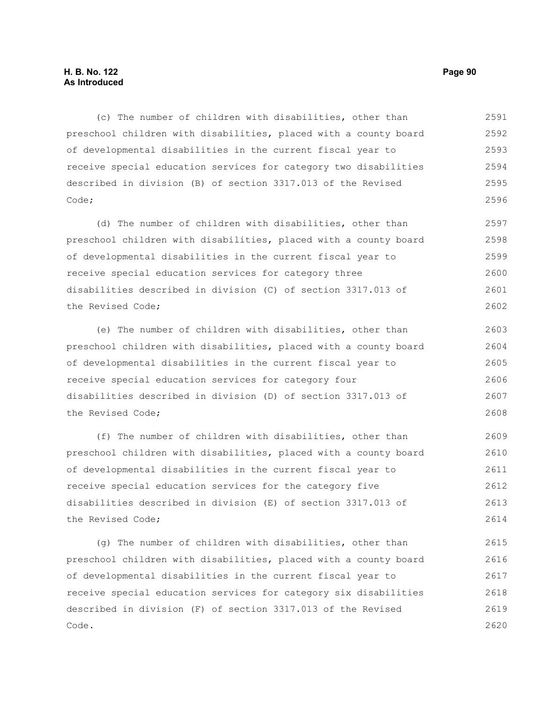(c) The number of children with disabilities, other than preschool children with disabilities, placed with a county board of developmental disabilities in the current fiscal year to receive special education services for category two disabilities described in division (B) of section 3317.013 of the Revised Code; 2591 2592 2593 2594 2595 2596

(d) The number of children with disabilities, other than preschool children with disabilities, placed with a county board of developmental disabilities in the current fiscal year to receive special education services for category three disabilities described in division (C) of section 3317.013 of the Revised Code; 2597 2598 2599 2600 2601 2602

(e) The number of children with disabilities, other than preschool children with disabilities, placed with a county board of developmental disabilities in the current fiscal year to receive special education services for category four disabilities described in division (D) of section 3317.013 of the Revised Code; 2603 2604 2605 2606 2607 2608

(f) The number of children with disabilities, other than preschool children with disabilities, placed with a county board of developmental disabilities in the current fiscal year to receive special education services for the category five disabilities described in division (E) of section 3317.013 of the Revised Code; 2609 2610 2611 2612 2613 2614

(g) The number of children with disabilities, other than preschool children with disabilities, placed with a county board of developmental disabilities in the current fiscal year to receive special education services for category six disabilities described in division (F) of section 3317.013 of the Revised Code. 2615 2616 2617 2618 2619 2620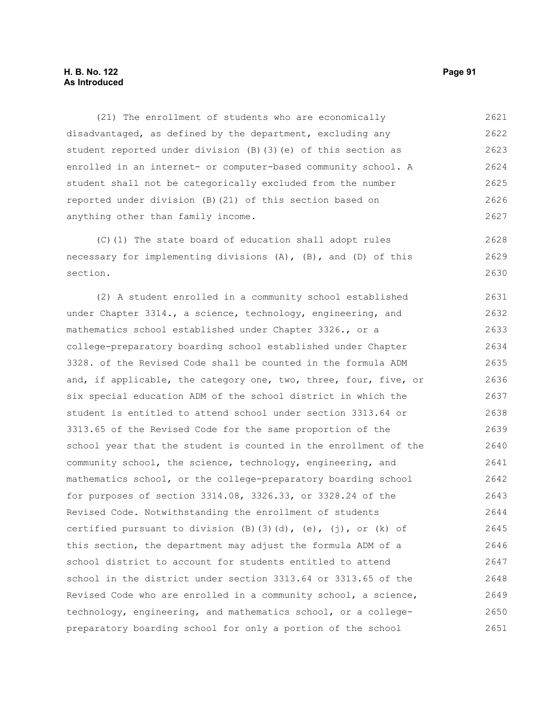## **H. B. No. 122 Page 91 As Introduced**

(21) The enrollment of students who are economically disadvantaged, as defined by the department, excluding any student reported under division (B)(3)(e) of this section as enrolled in an internet- or computer-based community school. A student shall not be categorically excluded from the number reported under division (B)(21) of this section based on anything other than family income. 2621 2622 2623 2624 2625 2626 2627

(C)(1) The state board of education shall adopt rules necessary for implementing divisions (A), (B), and (D) of this section. 2628 2629 2630

(2) A student enrolled in a community school established under Chapter 3314., a science, technology, engineering, and mathematics school established under Chapter 3326., or a college-preparatory boarding school established under Chapter 3328. of the Revised Code shall be counted in the formula ADM and, if applicable, the category one, two, three, four, five, or six special education ADM of the school district in which the student is entitled to attend school under section 3313.64 or 3313.65 of the Revised Code for the same proportion of the school year that the student is counted in the enrollment of the community school, the science, technology, engineering, and mathematics school, or the college-preparatory boarding school for purposes of section 3314.08, 3326.33, or 3328.24 of the Revised Code. Notwithstanding the enrollment of students certified pursuant to division  $(B)$   $(3)$   $(d)$ ,  $(e)$ ,  $(j)$ , or  $(k)$  of this section, the department may adjust the formula ADM of a school district to account for students entitled to attend school in the district under section 3313.64 or 3313.65 of the Revised Code who are enrolled in a community school, a science, technology, engineering, and mathematics school, or a collegepreparatory boarding school for only a portion of the school 2631 2632 2633 2634 2635 2636 2637 2638 2639 2640 2641 2642 2643 2644 2645 2646 2647 2648 2649 2650 2651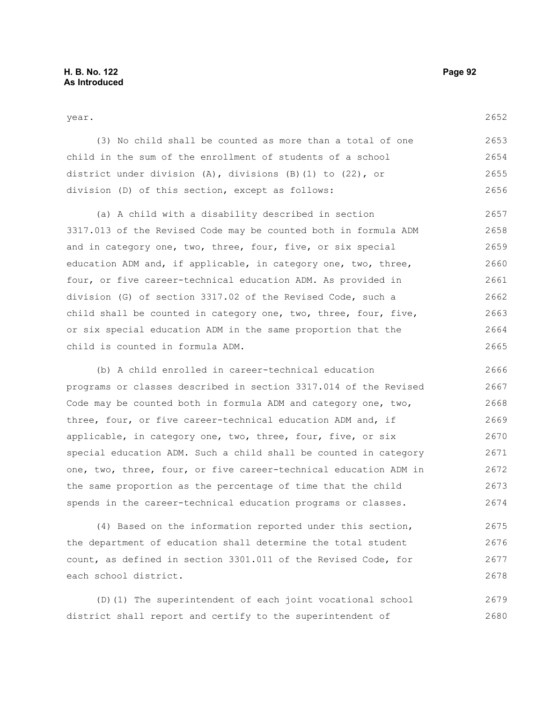#### year.

| (3) No child shall be counted as more than a total of one  | 2653 |
|------------------------------------------------------------|------|
| child in the sum of the enrollment of students of a school | 2654 |
| district under division (A), divisions (B)(1) to (22), or  | 2655 |
| division (D) of this section, except as follows:           | 2656 |

(a) A child with a disability described in section 3317.013 of the Revised Code may be counted both in formula ADM and in category one, two, three, four, five, or six special education ADM and, if applicable, in category one, two, three, four, or five career-technical education ADM. As provided in division (G) of section 3317.02 of the Revised Code, such a child shall be counted in category one, two, three, four, five, or six special education ADM in the same proportion that the child is counted in formula ADM. 2657 2658 2659 2660 2661 2662 2663 2664 2665

(b) A child enrolled in career-technical education programs or classes described in section 3317.014 of the Revised Code may be counted both in formula ADM and category one, two, three, four, or five career-technical education ADM and, if applicable, in category one, two, three, four, five, or six special education ADM. Such a child shall be counted in category one, two, three, four, or five career-technical education ADM in the same proportion as the percentage of time that the child spends in the career-technical education programs or classes. 2666 2667 2668 2669 2670 2671 2672 2673 2674

(4) Based on the information reported under this section, the department of education shall determine the total student count, as defined in section 3301.011 of the Revised Code, for each school district. 2675 2676 2677 2678

(D)(1) The superintendent of each joint vocational school district shall report and certify to the superintendent of 2679 2680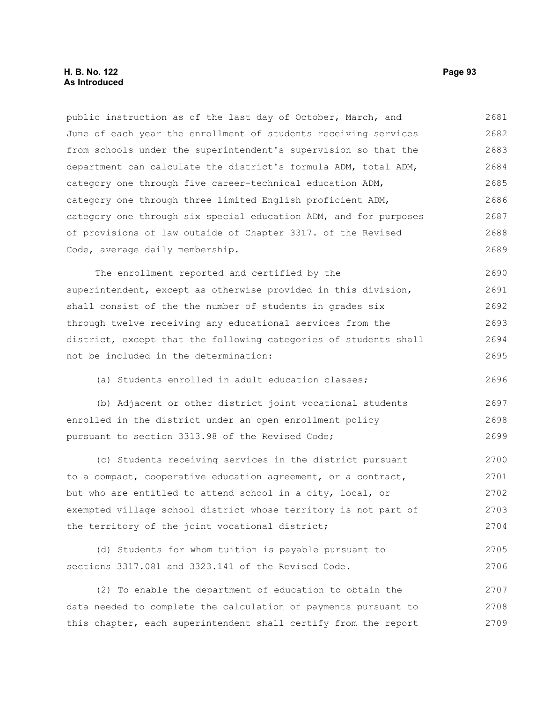## **H. B. No. 122 Page 93 As Introduced**

public instruction as of the last day of October, March, and June of each year the enrollment of students receiving services from schools under the superintendent's supervision so that the department can calculate the district's formula ADM, total ADM, category one through five career-technical education ADM, category one through three limited English proficient ADM, category one through six special education ADM, and for purposes of provisions of law outside of Chapter 3317. of the Revised Code, average daily membership. 2681 2682 2683 2684 2685 2686 2687 2688 2689

The enrollment reported and certified by the superintendent, except as otherwise provided in this division, shall consist of the the number of students in grades six through twelve receiving any educational services from the district, except that the following categories of students shall not be included in the determination: 2690 2691 2692 2693 2694 2695

(a) Students enrolled in adult education classes;

(b) Adjacent or other district joint vocational students enrolled in the district under an open enrollment policy pursuant to section 3313.98 of the Revised Code; 2697 2698 2699

(c) Students receiving services in the district pursuant to a compact, cooperative education agreement, or a contract, but who are entitled to attend school in a city, local, or exempted village school district whose territory is not part of the territory of the joint vocational district; 2700 2701 2702 2703 2704

(d) Students for whom tuition is payable pursuant to sections 3317.081 and 3323.141 of the Revised Code. 2705 2706

(2) To enable the department of education to obtain the data needed to complete the calculation of payments pursuant to this chapter, each superintendent shall certify from the report 2707 2708 2709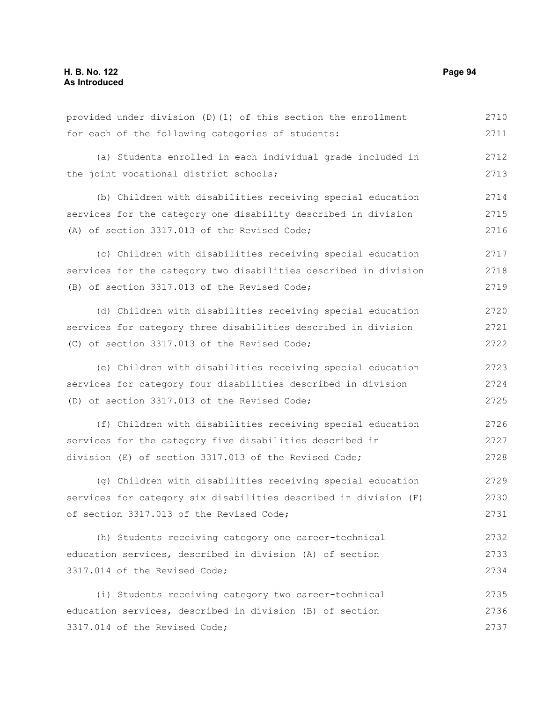(a) Students enrolled in each individual grade included in the joint vocational district schools; (b) Children with disabilities receiving special education services for the category one disability described in division (A) of section 3317.013 of the Revised Code; (c) Children with disabilities receiving special education services for the category two disabilities described in division (B) of section 3317.013 of the Revised Code; (d) Children with disabilities receiving special education services for category three disabilities described in division (C) of section 3317.013 of the Revised Code; (e) Children with disabilities receiving special education services for category four disabilities described in division (D) of section 3317.013 of the Revised Code; (f) Children with disabilities receiving special education services for the category five disabilities described in division (E) of section 3317.013 of the Revised Code; (g) Children with disabilities receiving special education services for category six disabilities described in division (F) of section 3317.013 of the Revised Code; (h) Students receiving category one career-technical education services, described in division (A) of section 3317.014 of the Revised Code; (i) Students receiving category two career-technical education services, described in division (B) of section 3317.014 of the Revised Code; 2712 2713 2714 2715 2716 2717 2718 2719 2720 2721 2722 2723 2724 2725 2726 2727 2728 2729 2730 2731 2732 2733 2734 2735 2736 2737

provided under division (D)(1) of this section the enrollment

for each of the following categories of students: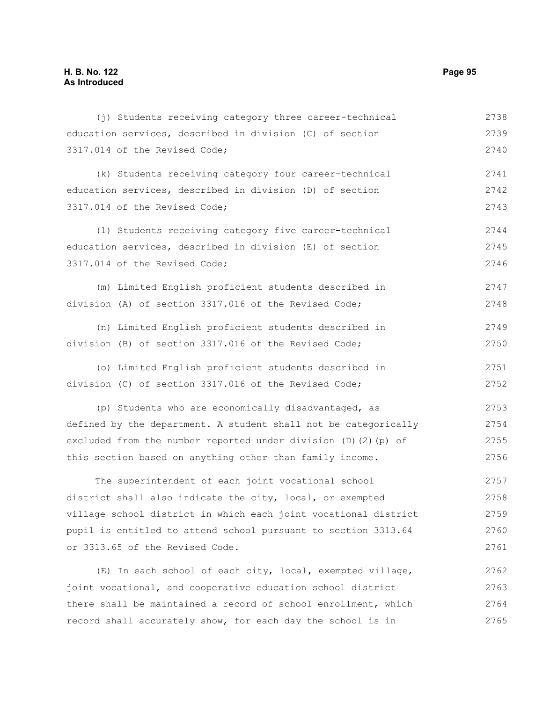| (j) Students receiving category three career-technical                | 2738 |
|-----------------------------------------------------------------------|------|
| education services, described in division (C) of section              | 2739 |
| 3317.014 of the Revised Code;                                         | 2740 |
| (k) Students receiving category four career-technical                 | 2741 |
| education services, described in division (D) of section              | 2742 |
| 3317.014 of the Revised Code;                                         | 2743 |
| (1) Students receiving category five career-technical                 | 2744 |
| education services, described in division (E) of section              | 2745 |
| 3317.014 of the Revised Code;                                         | 2746 |
| (m) Limited English proficient students described in                  | 2747 |
| division (A) of section 3317.016 of the Revised Code;                 | 2748 |
| (n) Limited English proficient students described in                  | 2749 |
| division (B) of section 3317.016 of the Revised Code;                 | 2750 |
| (o) Limited English proficient students described in                  | 2751 |
| division (C) of section 3317.016 of the Revised Code;                 | 2752 |
| (p) Students who are economically disadvantaged, as                   | 2753 |
| defined by the department. A student shall not be categorically       | 2754 |
| excluded from the number reported under division $(D)$ $(2)$ $(p)$ of | 2755 |
| this section based on anything other than family income.              | 2756 |
| The superintendent of each joint vocational school                    | 2757 |
| district shall also indicate the city, local, or exempted             | 2758 |
| village school district in which each joint vocational district       | 2759 |
| pupil is entitled to attend school pursuant to section 3313.64        | 2760 |
| or 3313.65 of the Revised Code.                                       | 2761 |
| (E) In each school of each city, local, exempted village,             | 2762 |
| joint vocational, and cooperative education school district           | 2763 |
| there shall be maintained a record of school enrollment, which        | 2764 |

record shall accurately show, for each day the school is in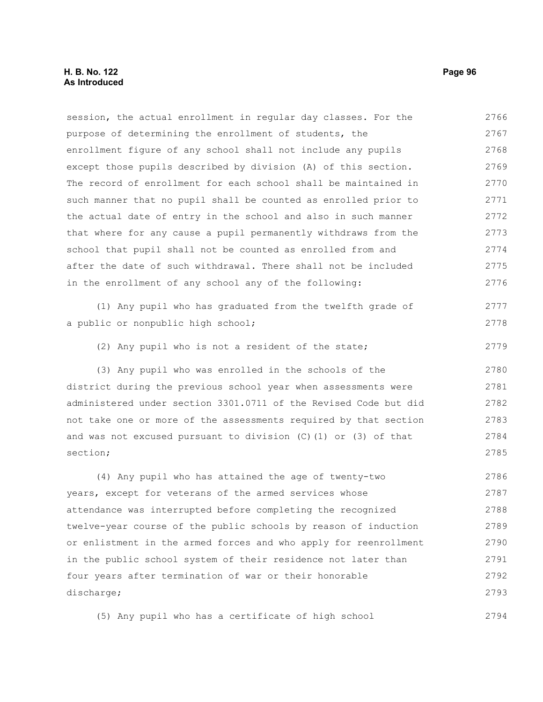## **H. B. No. 122 Page 96 As Introduced**

session, the actual enrollment in regular day classes. For the purpose of determining the enrollment of students, the enrollment figure of any school shall not include any pupils except those pupils described by division (A) of this section. The record of enrollment for each school shall be maintained in such manner that no pupil shall be counted as enrolled prior to the actual date of entry in the school and also in such manner that where for any cause a pupil permanently withdraws from the school that pupil shall not be counted as enrolled from and after the date of such withdrawal. There shall not be included in the enrollment of any school any of the following: (1) Any pupil who has graduated from the twelfth grade of a public or nonpublic high school; (2) Any pupil who is not a resident of the state; (3) Any pupil who was enrolled in the schools of the district during the previous school year when assessments were administered under section 3301.0711 of the Revised Code but did not take one or more of the assessments required by that section and was not excused pursuant to division (C)(1) or (3) of that section; (4) Any pupil who has attained the age of twenty-two years, except for veterans of the armed services whose attendance was interrupted before completing the recognized twelve-year course of the public schools by reason of induction or enlistment in the armed forces and who apply for reenrollment in the public school system of their residence not later than four years after termination of war or their honorable discharge; 2766 2767 2768 2769 2770 2771 2772 2773 2774 2775 2776 2777 2778 2779 2780 2781 2782 2783 2784 2785 2786 2787 2788 2789 2790 2791 2792 2793

(5) Any pupil who has a certificate of high school 2794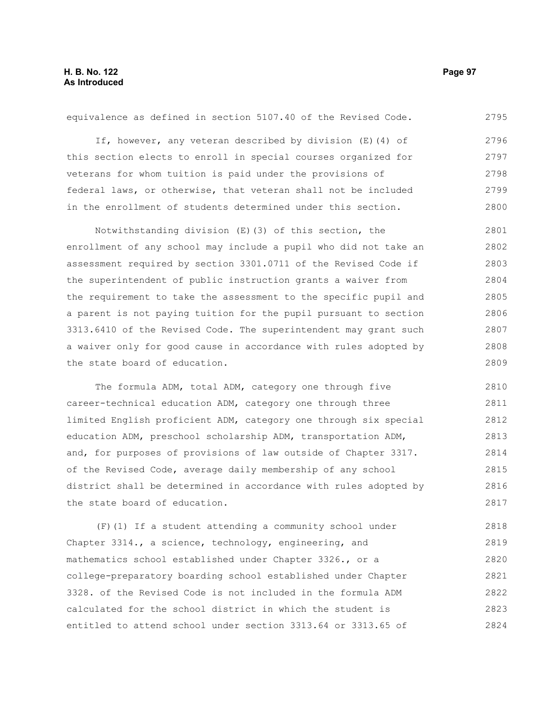equivalence as defined in section 5107.40 of the Revised Code. If, however, any veteran described by division (E)(4) of this section elects to enroll in special courses organized for veterans for whom tuition is paid under the provisions of federal laws, or otherwise, that veteran shall not be included in the enrollment of students determined under this section. Notwithstanding division (E)(3) of this section, the enrollment of any school may include a pupil who did not take an assessment required by section 3301.0711 of the Revised Code if the superintendent of public instruction grants a waiver from the requirement to take the assessment to the specific pupil and a parent is not paying tuition for the pupil pursuant to section 3313.6410 of the Revised Code. The superintendent may grant such a waiver only for good cause in accordance with rules adopted by the state board of education. 2795 2796 2797 2798 2799 2800 2801 2802 2803 2804 2805 2806 2807 2808 2809

The formula ADM, total ADM, category one through five career-technical education ADM, category one through three limited English proficient ADM, category one through six special education ADM, preschool scholarship ADM, transportation ADM, and, for purposes of provisions of law outside of Chapter 3317. of the Revised Code, average daily membership of any school district shall be determined in accordance with rules adopted by the state board of education. 2810 2811 2812 2813 2814 2815 2816 2817

(F)(1) If a student attending a community school under Chapter 3314., a science, technology, engineering, and mathematics school established under Chapter 3326., or a college-preparatory boarding school established under Chapter 3328. of the Revised Code is not included in the formula ADM calculated for the school district in which the student is entitled to attend school under section 3313.64 or 3313.65 of 2818 2819 2820 2821 2822 2823 2824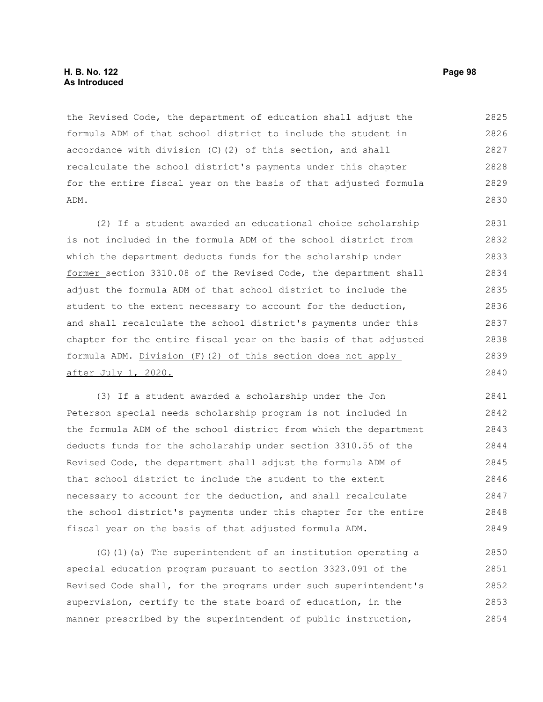## **H. B. No. 122 Page 98 As Introduced**

the Revised Code, the department of education shall adjust the formula ADM of that school district to include the student in accordance with division (C)(2) of this section, and shall recalculate the school district's payments under this chapter for the entire fiscal year on the basis of that adjusted formula ADM. 2825 2826 2827 2828 2829 2830

(2) If a student awarded an educational choice scholarship is not included in the formula ADM of the school district from which the department deducts funds for the scholarship under former section 3310.08 of the Revised Code, the department shall adjust the formula ADM of that school district to include the student to the extent necessary to account for the deduction, and shall recalculate the school district's payments under this chapter for the entire fiscal year on the basis of that adjusted formula ADM. Division (F)(2) of this section does not apply after July 1, 2020. 2831 2832 2833 2834 2835 2836 2837 2838 2839 2840

(3) If a student awarded a scholarship under the Jon Peterson special needs scholarship program is not included in the formula ADM of the school district from which the department deducts funds for the scholarship under section 3310.55 of the Revised Code, the department shall adjust the formula ADM of that school district to include the student to the extent necessary to account for the deduction, and shall recalculate the school district's payments under this chapter for the entire fiscal year on the basis of that adjusted formula ADM. 2841 2842 2843 2844 2845 2846 2847 2848 2849

(G)(1)(a) The superintendent of an institution operating a special education program pursuant to section 3323.091 of the Revised Code shall, for the programs under such superintendent's supervision, certify to the state board of education, in the manner prescribed by the superintendent of public instruction, 2850 2851 2852 2853 2854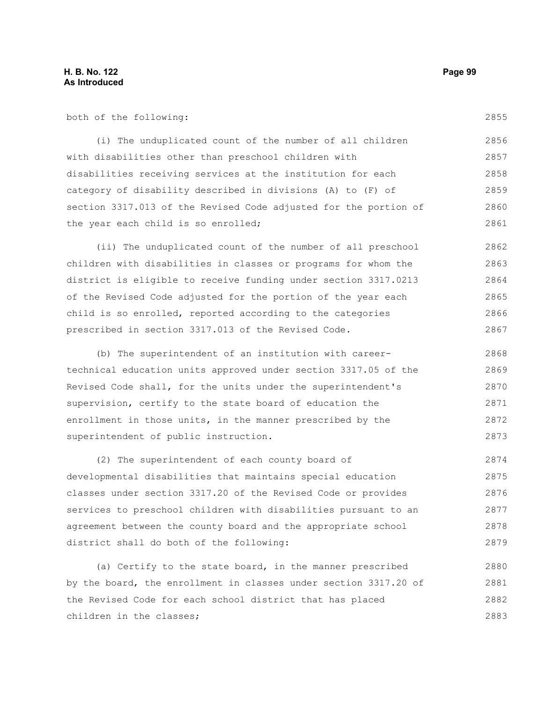2855

both of the following:

(i) The unduplicated count of the number of all children with disabilities other than preschool children with disabilities receiving services at the institution for each category of disability described in divisions (A) to (F) of section 3317.013 of the Revised Code adjusted for the portion of the year each child is so enrolled; 2856 2857 2858 2859 2860 2861

(ii) The unduplicated count of the number of all preschool children with disabilities in classes or programs for whom the district is eligible to receive funding under section 3317.0213 of the Revised Code adjusted for the portion of the year each child is so enrolled, reported according to the categories prescribed in section 3317.013 of the Revised Code. 2862 2863 2864 2865 2866 2867

(b) The superintendent of an institution with careertechnical education units approved under section 3317.05 of the Revised Code shall, for the units under the superintendent's supervision, certify to the state board of education the enrollment in those units, in the manner prescribed by the superintendent of public instruction. 2868 2869 2870 2871 2872 2873

(2) The superintendent of each county board of developmental disabilities that maintains special education classes under section 3317.20 of the Revised Code or provides services to preschool children with disabilities pursuant to an agreement between the county board and the appropriate school district shall do both of the following: 2874 2875 2876 2877 2878 2879

(a) Certify to the state board, in the manner prescribed by the board, the enrollment in classes under section 3317.20 of the Revised Code for each school district that has placed children in the classes; 2880 2881 2882 2883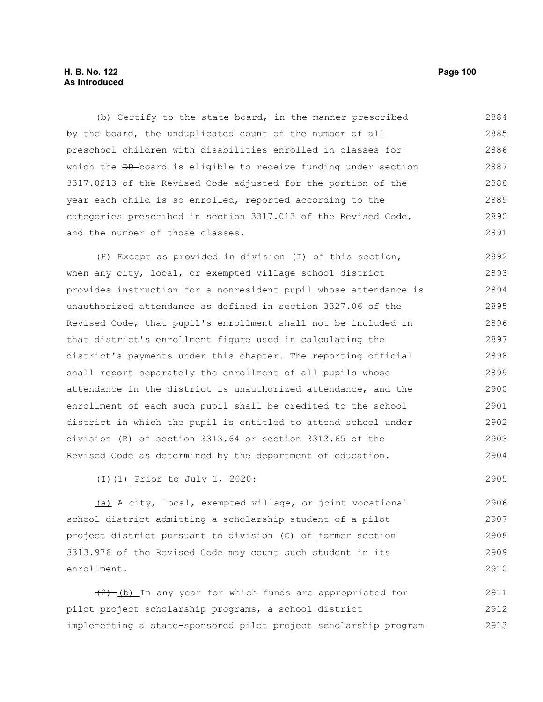## **H. B. No. 122 Page 100 As Introduced**

(b) Certify to the state board, in the manner prescribed by the board, the unduplicated count of the number of all preschool children with disabilities enrolled in classes for which the <del>DD</del> board is eligible to receive funding under section 3317.0213 of the Revised Code adjusted for the portion of the year each child is so enrolled, reported according to the categories prescribed in section 3317.013 of the Revised Code, and the number of those classes. 2884 2885 2886 2887 2888 2889 2890 2891

(H) Except as provided in division (I) of this section, when any city, local, or exempted village school district provides instruction for a nonresident pupil whose attendance is unauthorized attendance as defined in section 3327.06 of the Revised Code, that pupil's enrollment shall not be included in that district's enrollment figure used in calculating the district's payments under this chapter. The reporting official shall report separately the enrollment of all pupils whose attendance in the district is unauthorized attendance, and the enrollment of each such pupil shall be credited to the school district in which the pupil is entitled to attend school under division (B) of section 3313.64 or section 3313.65 of the Revised Code as determined by the department of education. 2892 2893 2894 2895 2896 2897 2898 2899 2900 2901 2902 2903 2904

# (I)(1) Prior to July 1, 2020:

(a) A city, local, exempted village, or joint vocational school district admitting a scholarship student of a pilot project district pursuant to division (C) of former section 3313.976 of the Revised Code may count such student in its enrollment.

(2) (b) In any year for which funds are appropriated for pilot project scholarship programs, a school district implementing a state-sponsored pilot project scholarship program 2911 2912 2913

2905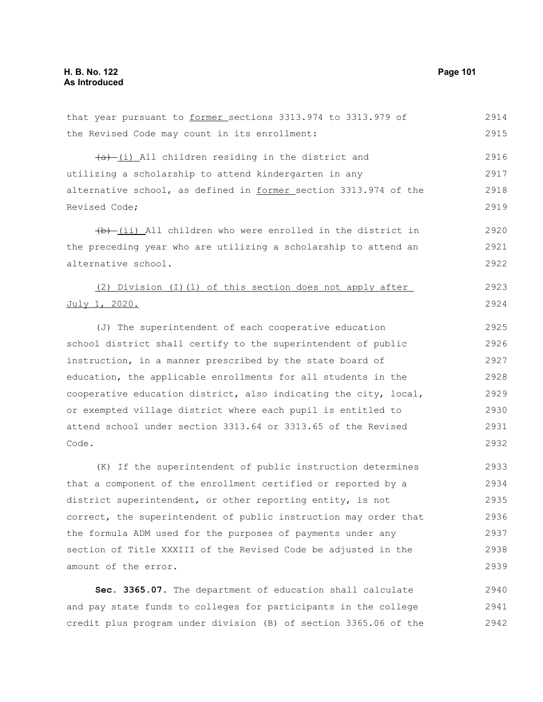| that year pursuant to former sections 3313.974 to 3313.979 of    | 2914 |
|------------------------------------------------------------------|------|
| the Revised Code may count in its enrollment:                    | 2915 |
| $(a)$ (i) All children residing in the district and              | 2916 |
| utilizing a scholarship to attend kindergarten in any            | 2917 |
| alternative school, as defined in former section 3313.974 of the | 2918 |
| Revised Code;                                                    | 2919 |
| (b) (ii) All children who were enrolled in the district in       | 2920 |
| the preceding year who are utilizing a scholarship to attend an  | 2921 |
| alternative school.                                              | 2922 |
| (2) Division (I)(1) of this section does not apply after         | 2923 |
| July 1, 2020.                                                    | 2924 |
| (J) The superintendent of each cooperative education             | 2925 |
| school district shall certify to the superintendent of public    | 2926 |
| instruction, in a manner prescribed by the state board of        | 2927 |
| education, the applicable enrollments for all students in the    | 2928 |
| cooperative education district, also indicating the city, local, | 2929 |
| or exempted village district where each pupil is entitled to     | 2930 |
| attend school under section 3313.64 or 3313.65 of the Revised    | 2931 |
| Code.                                                            | 2932 |
| (K) If the superintendent of public instruction determines       | 2933 |
| that a component of the enrollment certified or reported by a    | 2934 |
| district superintendent, or other reporting entity, is not       | 2935 |
| correct, the superintendent of public instruction may order that | 2936 |
| the formula ADM used for the purposes of payments under any      | 2937 |
| section of Title XXXIII of the Revised Code be adjusted in the   | 2938 |
| amount of the error.                                             | 2939 |
| Sec. 3365.07. The department of education shall calculate        | 2940 |

and pay state funds to colleges for participants in the college credit plus program under division (B) of section 3365.06 of the 2941 2942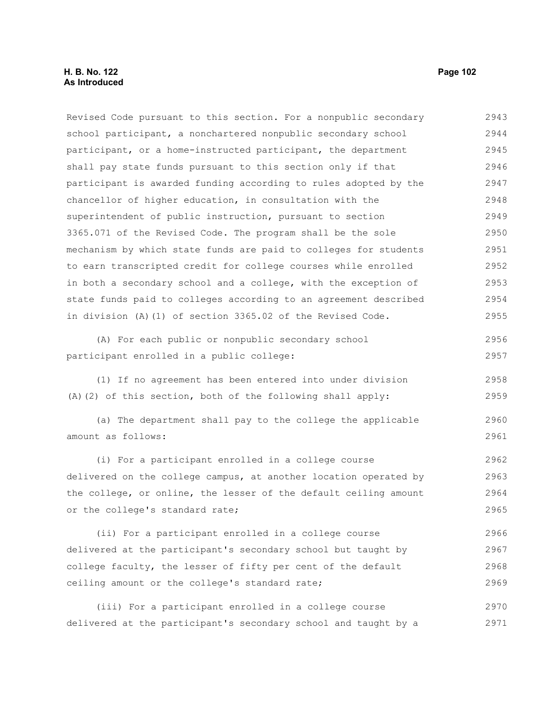## **H. B. No. 122 Page 102 As Introduced**

Revised Code pursuant to this section. For a nonpublic secondary school participant, a nonchartered nonpublic secondary school participant, or a home-instructed participant, the department shall pay state funds pursuant to this section only if that participant is awarded funding according to rules adopted by the chancellor of higher education, in consultation with the superintendent of public instruction, pursuant to section 3365.071 of the Revised Code. The program shall be the sole mechanism by which state funds are paid to colleges for students to earn transcripted credit for college courses while enrolled in both a secondary school and a college, with the exception of state funds paid to colleges according to an agreement described in division (A)(1) of section 3365.02 of the Revised Code. 2943 2944 2945 2946 2947 2948 2949 2950 2951 2952 2953 2954 2955

(A) For each public or nonpublic secondary school participant enrolled in a public college: 2956 2957

(1) If no agreement has been entered into under division (A)(2) of this section, both of the following shall apply: 2958 2959

(a) The department shall pay to the college the applicable amount as follows: 2960 2961

(i) For a participant enrolled in a college course delivered on the college campus, at another location operated by the college, or online, the lesser of the default ceiling amount or the college's standard rate; 2962 2963 2964 2965

(ii) For a participant enrolled in a college course delivered at the participant's secondary school but taught by college faculty, the lesser of fifty per cent of the default ceiling amount or the college's standard rate; 2966 2967 2968 2969

(iii) For a participant enrolled in a college course delivered at the participant's secondary school and taught by a 2970 2971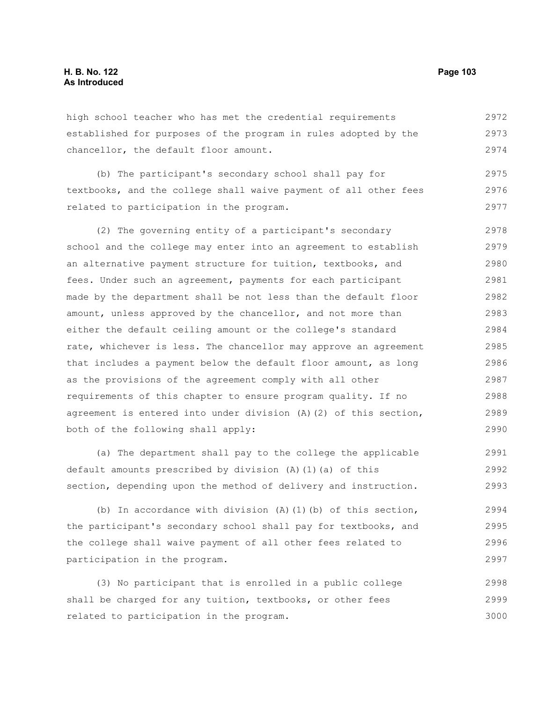high school teacher who has met the credential requirements established for purposes of the program in rules adopted by the chancellor, the default floor amount. 2972 2973 2974

(b) The participant's secondary school shall pay for textbooks, and the college shall waive payment of all other fees related to participation in the program. 2975 2976 2977

(2) The governing entity of a participant's secondary school and the college may enter into an agreement to establish an alternative payment structure for tuition, textbooks, and fees. Under such an agreement, payments for each participant made by the department shall be not less than the default floor amount, unless approved by the chancellor, and not more than either the default ceiling amount or the college's standard rate, whichever is less. The chancellor may approve an agreement that includes a payment below the default floor amount, as long as the provisions of the agreement comply with all other requirements of this chapter to ensure program quality. If no agreement is entered into under division (A)(2) of this section, both of the following shall apply: 2978 2979 2980 2981 2982 2983 2984 2985 2986 2987 2988 2989 2990

(a) The department shall pay to the college the applicable default amounts prescribed by division (A)(1)(a) of this section, depending upon the method of delivery and instruction. 2991 2992 2993

(b) In accordance with division  $(A)$  (1)(b) of this section, the participant's secondary school shall pay for textbooks, and the college shall waive payment of all other fees related to participation in the program. 2994 2995 2996 2997

(3) No participant that is enrolled in a public college shall be charged for any tuition, textbooks, or other fees related to participation in the program. 2998 2999 3000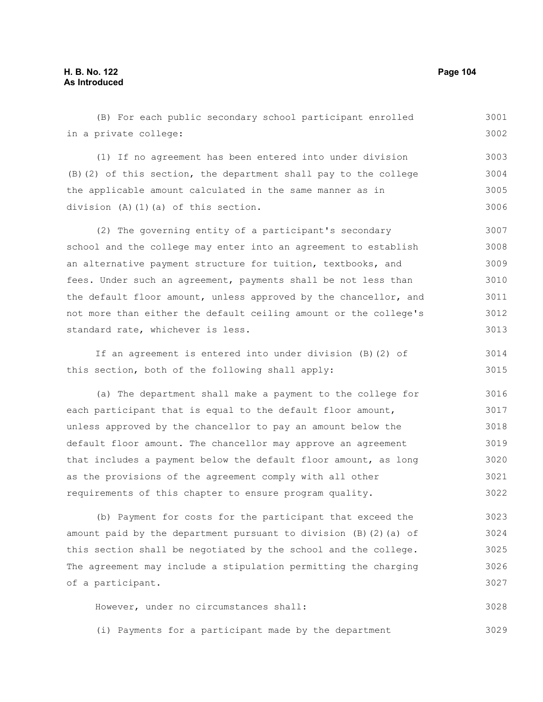## **H. B. No. 122 Page 104 As Introduced**

3029

(B) For each public secondary school participant enrolled in a private college: (1) If no agreement has been entered into under division (B)(2) of this section, the department shall pay to the college the applicable amount calculated in the same manner as in division (A)(1)(a) of this section. (2) The governing entity of a participant's secondary school and the college may enter into an agreement to establish an alternative payment structure for tuition, textbooks, and fees. Under such an agreement, payments shall be not less than the default floor amount, unless approved by the chancellor, and not more than either the default ceiling amount or the college's standard rate, whichever is less. If an agreement is entered into under division (B)(2) of this section, both of the following shall apply: (a) The department shall make a payment to the college for each participant that is equal to the default floor amount, unless approved by the chancellor to pay an amount below the default floor amount. The chancellor may approve an agreement that includes a payment below the default floor amount, as long as the provisions of the agreement comply with all other requirements of this chapter to ensure program quality. (b) Payment for costs for the participant that exceed the amount paid by the department pursuant to division  $(B)$  (2)(a) of this section shall be negotiated by the school and the college. The agreement may include a stipulation permitting the charging of a participant. However, under no circumstances shall: 3001 3002 3003 3004 3005 3006 3007 3008 3009 3010 3011 3012 3013 3014 3015 3016 3017 3018 3019 3020 3021 3022 3023 3024 3025 3026 3027 3028

(i) Payments for a participant made by the department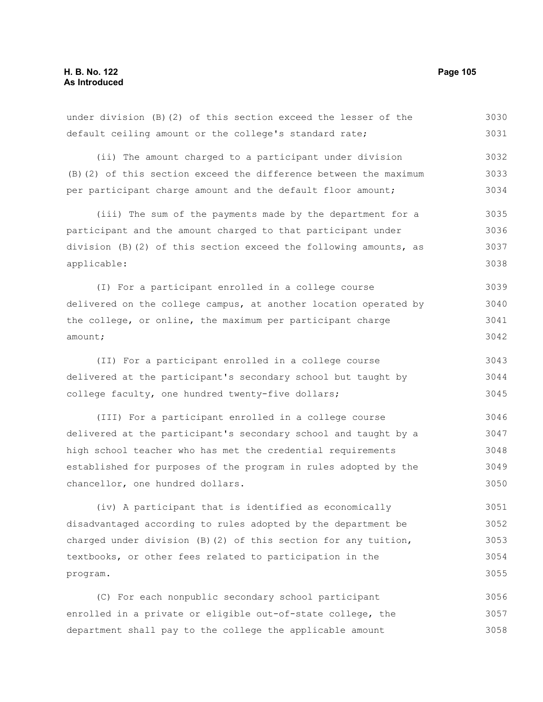3057 3058

| under division $(B)$ $(2)$ of this section exceed the lesser of the | 3030 |
|---------------------------------------------------------------------|------|
| default ceiling amount or the college's standard rate;              | 3031 |
| (ii) The amount charged to a participant under division             | 3032 |
| (B) (2) of this section exceed the difference between the maximum   | 3033 |
| per participant charge amount and the default floor amount;         | 3034 |
| (iii) The sum of the payments made by the department for a          | 3035 |
| participant and the amount charged to that participant under        | 3036 |
| division (B)(2) of this section exceed the following amounts, as    | 3037 |
| applicable:                                                         | 3038 |
| (I) For a participant enrolled in a college course                  | 3039 |
| delivered on the college campus, at another location operated by    | 3040 |
| the college, or online, the maximum per participant charge          | 3041 |
| amount;                                                             | 3042 |
| (II) For a participant enrolled in a college course                 | 3043 |
| delivered at the participant's secondary school but taught by       | 3044 |
| college faculty, one hundred twenty-five dollars;                   | 3045 |
| (III) For a participant enrolled in a college course                | 3046 |
| delivered at the participant's secondary school and taught by a     | 3047 |
| high school teacher who has met the credential requirements         | 3048 |
| established for purposes of the program in rules adopted by the     | 3049 |
| chancellor, one hundred dollars.                                    | 3050 |
| (iv) A participant that is identified as economically               | 3051 |
| disadvantaged according to rules adopted by the department be       | 3052 |
| charged under division $(B)$ $(2)$ of this section for any tuition, | 3053 |
| textbooks, or other fees related to participation in the            | 3054 |
| program.                                                            | 3055 |
| (C) For each nonpublic secondary school participant                 | 3056 |

enrolled in a private or eligible out-of-state college, the

department shall pay to the college the applicable amount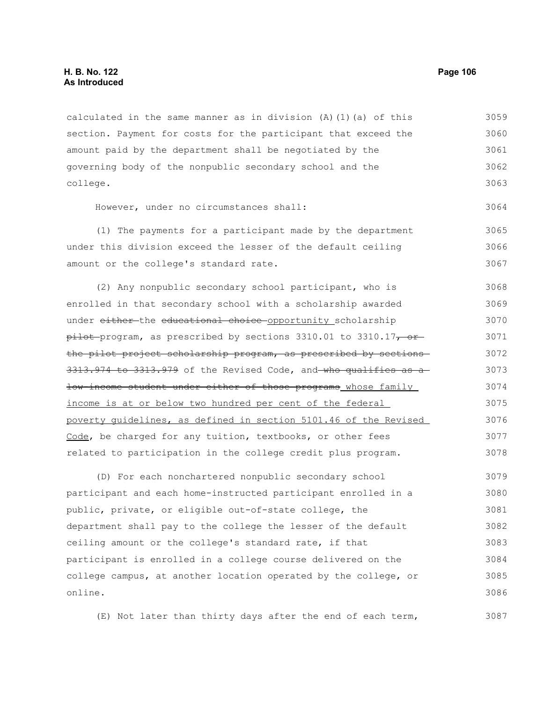## **H. B. No. 122 Page 106 As Introduced**

calculated in the same manner as in division  $(A)$   $(1)$   $(a)$  of this section. Payment for costs for the participant that exceed the amount paid by the department shall be negotiated by the governing body of the nonpublic secondary school and the college. 3059 3060 3061 3062 3063

However, under no circumstances shall:

(1) The payments for a participant made by the department under this division exceed the lesser of the default ceiling amount or the college's standard rate. 3065 3066 3067

(2) Any nonpublic secondary school participant, who is enrolled in that secondary school with a scholarship awarded under either-the educational choice opportunity scholarship  $p_{\text{it}}$  program, as prescribed by sections 3310.01 to 3310.17, orthe pilot project scholarship program, as prescribed by sections 3313.974 to 3313.979 of the Revised Code, and who qualifies as a low-income student under either of those programs whose family income is at or below two hundred per cent of the federal poverty guidelines, as defined in section 5101.46 of the Revised Code, be charged for any tuition, textbooks, or other fees related to participation in the college credit plus program. 3068 3069 3070 3071 3072 3073 3074 3075 3076 3077 3078

(D) For each nonchartered nonpublic secondary school participant and each home-instructed participant enrolled in a public, private, or eligible out-of-state college, the department shall pay to the college the lesser of the default ceiling amount or the college's standard rate, if that participant is enrolled in a college course delivered on the college campus, at another location operated by the college, or online. 3079 3080 3081 3082 3083 3084 3085 3086

(E) Not later than thirty days after the end of each term, 3087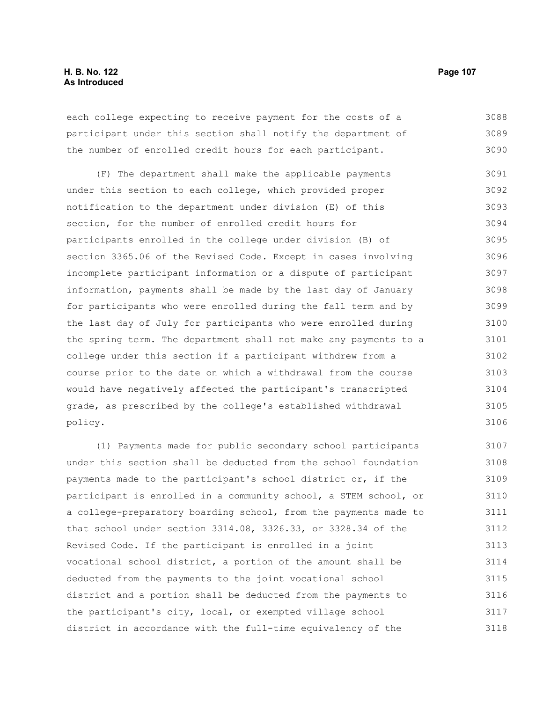each college expecting to receive payment for the costs of a participant under this section shall notify the department of the number of enrolled credit hours for each participant. 3088 3089 3090

(F) The department shall make the applicable payments under this section to each college, which provided proper notification to the department under division (E) of this section, for the number of enrolled credit hours for participants enrolled in the college under division (B) of section 3365.06 of the Revised Code. Except in cases involving incomplete participant information or a dispute of participant information, payments shall be made by the last day of January for participants who were enrolled during the fall term and by the last day of July for participants who were enrolled during the spring term. The department shall not make any payments to a college under this section if a participant withdrew from a course prior to the date on which a withdrawal from the course would have negatively affected the participant's transcripted grade, as prescribed by the college's established withdrawal policy. 3091 3092 3093 3094 3095 3096 3097 3098 3099 3100 3101 3102 3103 3104 3105 3106

(1) Payments made for public secondary school participants under this section shall be deducted from the school foundation payments made to the participant's school district or, if the participant is enrolled in a community school, a STEM school, or a college-preparatory boarding school, from the payments made to that school under section 3314.08, 3326.33, or 3328.34 of the Revised Code. If the participant is enrolled in a joint vocational school district, a portion of the amount shall be deducted from the payments to the joint vocational school district and a portion shall be deducted from the payments to the participant's city, local, or exempted village school district in accordance with the full-time equivalency of the 3107 3108 3109 3110 3111 3112 3113 3114 3115 3116 3117 3118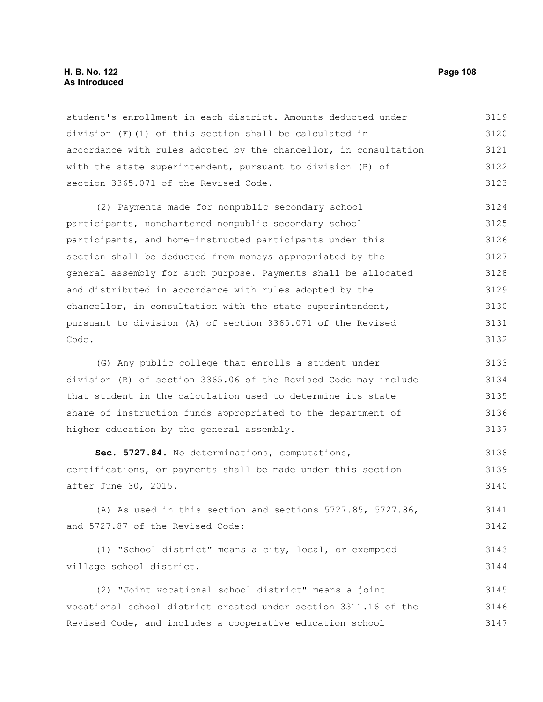#### **H. B. No. 122 Page 108 As Introduced**

student's enrollment in each district. Amounts deducted under division (F)(1) of this section shall be calculated in accordance with rules adopted by the chancellor, in consultation with the state superintendent, pursuant to division (B) of section 3365.071 of the Revised Code. 3119 3120 3121 3122 3123

(2) Payments made for nonpublic secondary school participants, nonchartered nonpublic secondary school participants, and home-instructed participants under this section shall be deducted from moneys appropriated by the general assembly for such purpose. Payments shall be allocated and distributed in accordance with rules adopted by the chancellor, in consultation with the state superintendent, pursuant to division (A) of section 3365.071 of the Revised Code. 3124 3125 3126 3127 3128 3129 3130 3131 3132

(G) Any public college that enrolls a student under division (B) of section 3365.06 of the Revised Code may include that student in the calculation used to determine its state share of instruction funds appropriated to the department of higher education by the general assembly. 3133 3134 3135 3136 3137

**Sec. 5727.84.** No determinations, computations, certifications, or payments shall be made under this section after June 30, 2015. 3138 3139 3140

(A) As used in this section and sections 5727.85, 5727.86, and 5727.87 of the Revised Code: 3141 3142

(1) "School district" means a city, local, or exempted village school district. 3143 3144

(2) "Joint vocational school district" means a joint vocational school district created under section 3311.16 of the Revised Code, and includes a cooperative education school 3145 3146 3147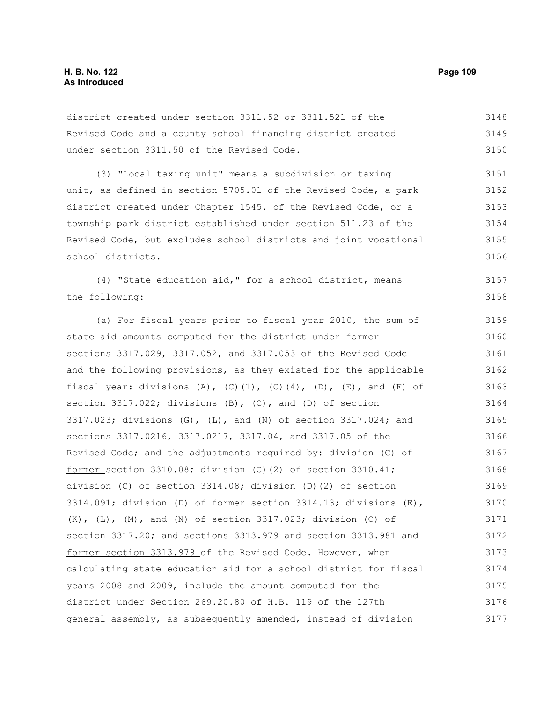3157 3158

#### district created under section 3311.52 or 3311.521 of the Revised Code and a county school financing district created under section 3311.50 of the Revised Code. 3148 3149 3150

(3) "Local taxing unit" means a subdivision or taxing unit, as defined in section 5705.01 of the Revised Code, a park district created under Chapter 1545. of the Revised Code, or a township park district established under section 511.23 of the Revised Code, but excludes school districts and joint vocational school districts. 3151 3152 3153 3154 3155 3156

(4) "State education aid," for a school district, means the following:

(a) For fiscal years prior to fiscal year 2010, the sum of state aid amounts computed for the district under former sections 3317.029, 3317.052, and 3317.053 of the Revised Code and the following provisions, as they existed for the applicable fiscal year: divisions (A),  $(C) (1)$ ,  $(C) (4)$ ,  $(D)$ ,  $(E)$ , and  $(F)$  of section 3317.022; divisions  $(B)$ ,  $(C)$ , and  $(D)$  of section 3317.023; divisions (G), (L), and (N) of section 3317.024; and sections 3317.0216, 3317.0217, 3317.04, and 3317.05 of the Revised Code; and the adjustments required by: division (C) of former section  $3310.08$ ; division (C)(2) of section  $3310.41$ ; division (C) of section 3314.08; division (D)(2) of section 3314.091; division (D) of former section 3314.13; divisions (E),  $(K)$ ,  $(L)$ ,  $(M)$ , and  $(N)$  of section 3317.023; division  $(C)$  of section 3317.20; and sections 3313.979 and section 3313.981 and former section 3313.979 of the Revised Code. However, when calculating state education aid for a school district for fiscal years 2008 and 2009, include the amount computed for the district under Section 269.20.80 of H.B. 119 of the 127th general assembly, as subsequently amended, instead of division 3159 3160 3161 3162 3163 3164 3165 3166 3167 3168 3169 3170 3171 3172 3173 3174 3175 3176 3177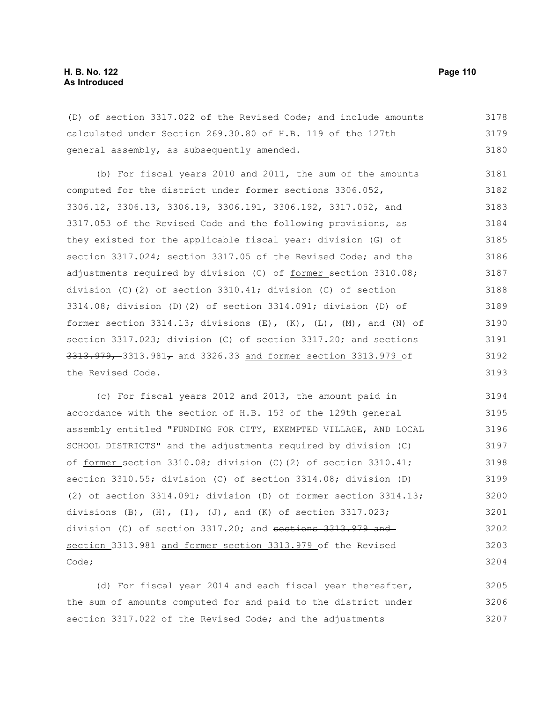| (D) of section 3317.022 of the Revised Code; and include amounts | 3178 |
|------------------------------------------------------------------|------|
| calculated under Section 269.30.80 of H.B. 119 of the 127th      | 3179 |
| general assembly, as subsequently amended.                       | 3180 |

(b) For fiscal years 2010 and 2011, the sum of the amounts computed for the district under former sections 3306.052, 3306.12, 3306.13, 3306.19, 3306.191, 3306.192, 3317.052, and 3317.053 of the Revised Code and the following provisions, as they existed for the applicable fiscal year: division (G) of section 3317.024; section 3317.05 of the Revised Code; and the adjustments required by division (C) of former section 3310.08; division (C)(2) of section 3310.41; division (C) of section 3314.08; division (D)(2) of section 3314.091; division (D) of former section  $3314.13$ ; divisions  $(E)$ ,  $(K)$ ,  $(L)$ ,  $(M)$ , and  $(N)$  of section 3317.023; division (C) of section 3317.20; and sections  $3313.979$ , 3313.981, and 3326.33 and former section 3313.979 of the Revised Code. 3181 3182 3183 3184 3185 3186 3187 3188 3189 3190 3191 3192 3193

(c) For fiscal years 2012 and 2013, the amount paid in accordance with the section of H.B. 153 of the 129th general assembly entitled "FUNDING FOR CITY, EXEMPTED VILLAGE, AND LOCAL SCHOOL DISTRICTS" and the adjustments required by division (C) of former section 3310.08; division (C)(2) of section 3310.41; section 3310.55; division (C) of section 3314.08; division (D) (2) of section 3314.091; division (D) of former section 3314.13; divisions  $(B)$ ,  $(H)$ ,  $(I)$ ,  $(J)$ , and  $(K)$  of section 3317.023; division (C) of section  $3317.20$ ; and sections  $3313.979$  and section 3313.981 and former section 3313.979 of the Revised Code; 3194 3195 3196 3197 3198 3199 3200 3201 3202 3203 3204

(d) For fiscal year 2014 and each fiscal year thereafter, the sum of amounts computed for and paid to the district under section 3317.022 of the Revised Code; and the adjustments 3205 3206 3207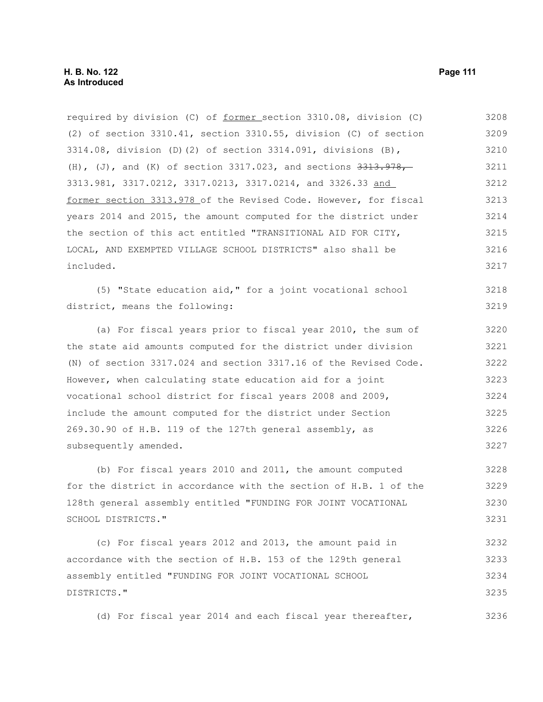required by division (C) of former section 3310.08, division (C) (2) of section 3310.41, section 3310.55, division (C) of section 3314.08, division (D)(2) of section 3314.091, divisions (B), (H), (J), and (K) of section  $3317.023$ , and sections  $3313.978$ , 3313.981, 3317.0212, 3317.0213, 3317.0214, and 3326.33 and former section 3313.978 of the Revised Code. However, for fiscal years 2014 and 2015, the amount computed for the district under the section of this act entitled "TRANSITIONAL AID FOR CITY, LOCAL, AND EXEMPTED VILLAGE SCHOOL DISTRICTS" also shall be included. 3208 3209 3210 3211 3212 3213 3214 3215 3216 3217

(5) "State education aid," for a joint vocational school district, means the following: 3218 3219

(a) For fiscal years prior to fiscal year 2010, the sum of the state aid amounts computed for the district under division (N) of section 3317.024 and section 3317.16 of the Revised Code. However, when calculating state education aid for a joint vocational school district for fiscal years 2008 and 2009, include the amount computed for the district under Section 269.30.90 of H.B. 119 of the 127th general assembly, as subsequently amended. 3220 3221 3222 3223 3224 3225 3226 3227

(b) For fiscal years 2010 and 2011, the amount computed for the district in accordance with the section of H.B. 1 of the 128th general assembly entitled "FUNDING FOR JOINT VOCATIONAL SCHOOL DISTRICTS." 3228 3229 3230 3231

(c) For fiscal years 2012 and 2013, the amount paid in accordance with the section of H.B. 153 of the 129th general assembly entitled "FUNDING FOR JOINT VOCATIONAL SCHOOL DISTRICTS." 3232 3233 3234 3235

(d) For fiscal year 2014 and each fiscal year thereafter,

3236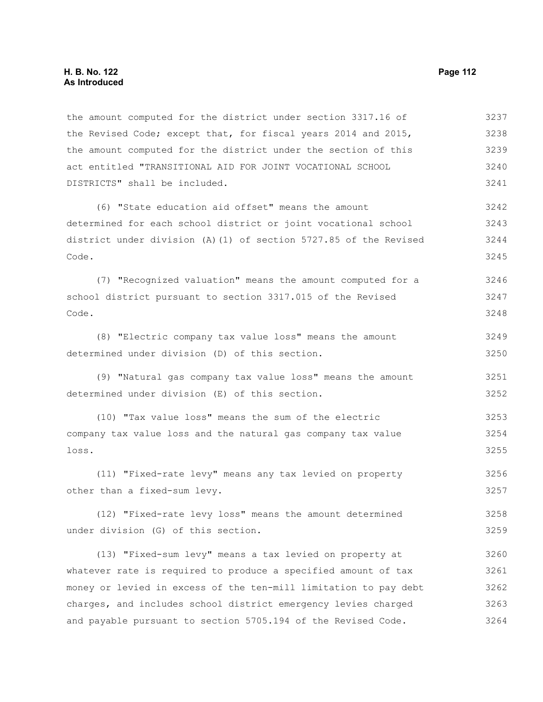Code.

Code.

the Revised Code; except that, for fiscal years 2014 and 2015, the amount computed for the district under the section of this act entitled "TRANSITIONAL AID FOR JOINT VOCATIONAL SCHOOL DISTRICTS" shall be included. (6) "State education aid offset" means the amount determined for each school district or joint vocational school district under division (A)(1) of section 5727.85 of the Revised (7) "Recognized valuation" means the amount computed for a school district pursuant to section 3317.015 of the Revised 3238 3239 3240 3241 3242 3243 3244 3245 3246 3247 3248

(8) "Electric company tax value loss" means the amount determined under division (D) of this section. 3249 3250

the amount computed for the district under section 3317.16 of

(9) "Natural gas company tax value loss" means the amount determined under division (E) of this section. 3251 3252

(10) "Tax value loss" means the sum of the electric company tax value loss and the natural gas company tax value loss. 3253 3254 3255

(11) "Fixed-rate levy" means any tax levied on property other than a fixed-sum levy. 3256 3257

(12) "Fixed-rate levy loss" means the amount determined under division (G) of this section. 3258 3259

(13) "Fixed-sum levy" means a tax levied on property at whatever rate is required to produce a specified amount of tax money or levied in excess of the ten-mill limitation to pay debt charges, and includes school district emergency levies charged and payable pursuant to section 5705.194 of the Revised Code. 3260 3261 3262 3263 3264

3237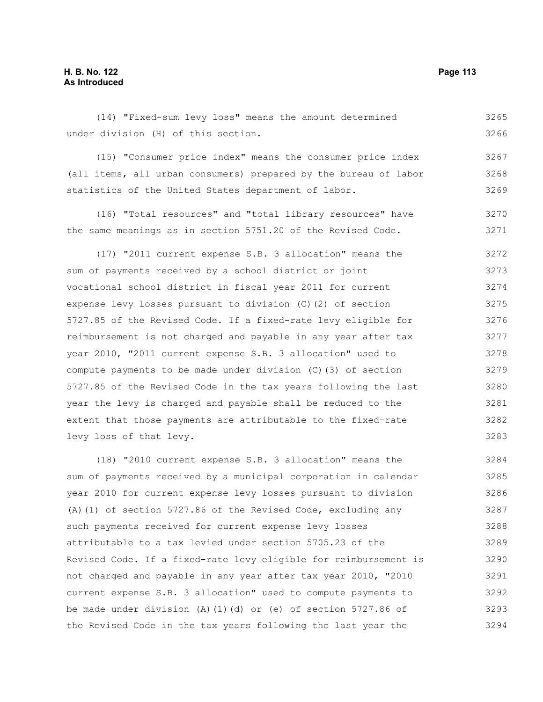### (14) "Fixed-sum levy loss" means the amount determined under division (H) of this section. (15) "Consumer price index" means the consumer price index (all items, all urban consumers) prepared by the bureau of labor statistics of the United States department of labor. (16) "Total resources" and "total library resources" have the same meanings as in section 5751.20 of the Revised Code. (17) "2011 current expense S.B. 3 allocation" means the sum of payments received by a school district or joint vocational school district in fiscal year 2011 for current expense levy losses pursuant to division (C)(2) of section 5727.85 of the Revised Code. If a fixed-rate levy eligible for reimbursement is not charged and payable in any year after tax year 2010, "2011 current expense S.B. 3 allocation" used to compute payments to be made under division (C)(3) of section 5727.85 of the Revised Code in the tax years following the last year the levy is charged and payable shall be reduced to the extent that those payments are attributable to the fixed-rate levy loss of that levy. (18) "2010 current expense S.B. 3 allocation" means the sum of payments received by a municipal corporation in calendar year 2010 for current expense levy losses pursuant to division 3265 3266 3267 3268 3269 3270 3271 3272 3273 3274 3275 3276 3277 3278 3279 3280 3281 3282 3283 3284 3285 3286

(A)(1) of section 5727.86 of the Revised Code, excluding any such payments received for current expense levy losses attributable to a tax levied under section 5705.23 of the Revised Code. If a fixed-rate levy eligible for reimbursement is not charged and payable in any year after tax year 2010, "2010 current expense S.B. 3 allocation" used to compute payments to be made under division  $(A)$  (1)(d) or (e) of section 5727.86 of the Revised Code in the tax years following the last year the 3287 3288 3289 3290 3291 3292 3293 3294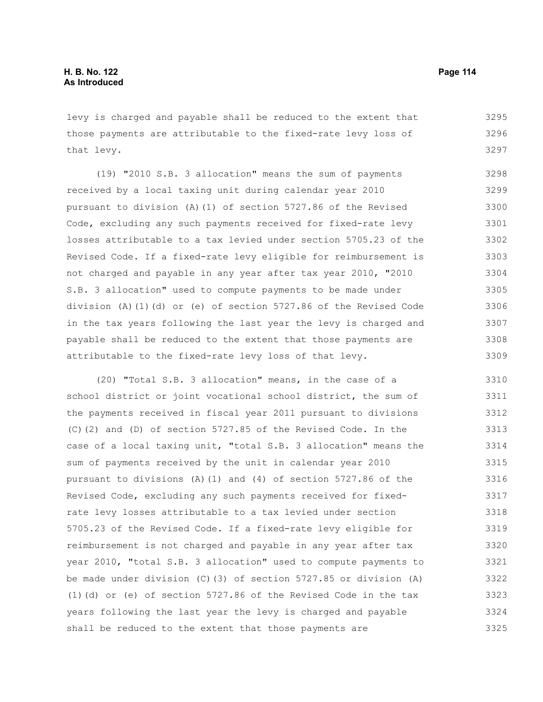levy is charged and payable shall be reduced to the extent that those payments are attributable to the fixed-rate levy loss of that levy. 3295 3296 3297

(19) "2010 S.B. 3 allocation" means the sum of payments received by a local taxing unit during calendar year 2010 pursuant to division (A)(1) of section 5727.86 of the Revised Code, excluding any such payments received for fixed-rate levy losses attributable to a tax levied under section 5705.23 of the Revised Code. If a fixed-rate levy eligible for reimbursement is not charged and payable in any year after tax year 2010, "2010 S.B. 3 allocation" used to compute payments to be made under division (A)(1)(d) or (e) of section 5727.86 of the Revised Code in the tax years following the last year the levy is charged and payable shall be reduced to the extent that those payments are attributable to the fixed-rate levy loss of that levy. 3298 3299 3300 3301 3302 3303 3304 3305 3306 3307 3308 3309

(20) "Total S.B. 3 allocation" means, in the case of a school district or joint vocational school district, the sum of the payments received in fiscal year 2011 pursuant to divisions (C)(2) and (D) of section 5727.85 of the Revised Code. In the case of a local taxing unit, "total S.B. 3 allocation" means the sum of payments received by the unit in calendar year 2010 pursuant to divisions (A)(1) and (4) of section  $5727.86$  of the Revised Code, excluding any such payments received for fixedrate levy losses attributable to a tax levied under section 5705.23 of the Revised Code. If a fixed-rate levy eligible for reimbursement is not charged and payable in any year after tax year 2010, "total S.B. 3 allocation" used to compute payments to be made under division (C)(3) of section 5727.85 or division (A) (1)(d) or (e) of section 5727.86 of the Revised Code in the tax years following the last year the levy is charged and payable shall be reduced to the extent that those payments are 3310 3311 3312 3313 3314 3315 3316 3317 3318 3319 3320 3321 3322 3323 3324 3325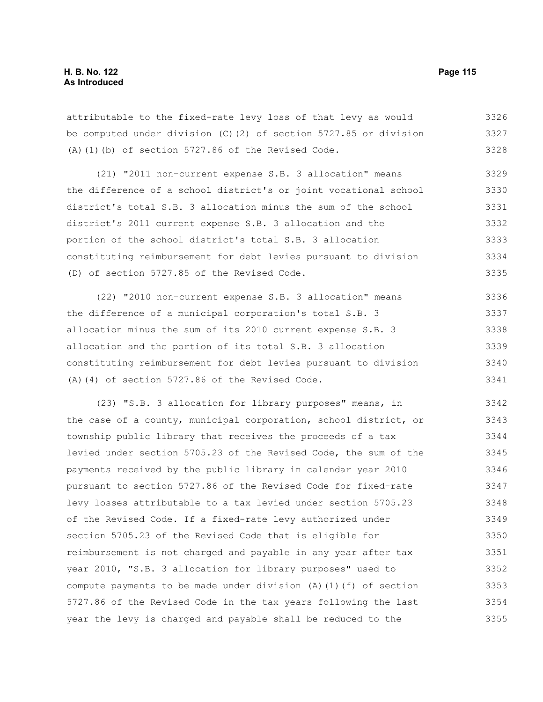attributable to the fixed-rate levy loss of that levy as would be computed under division (C)(2) of section 5727.85 or division (A)(1)(b) of section 5727.86 of the Revised Code. 3326 3327 3328

(21) "2011 non-current expense S.B. 3 allocation" means the difference of a school district's or joint vocational school district's total S.B. 3 allocation minus the sum of the school district's 2011 current expense S.B. 3 allocation and the portion of the school district's total S.B. 3 allocation constituting reimbursement for debt levies pursuant to division (D) of section 5727.85 of the Revised Code. 3329 3330 3331 3332 3333 3334 3335

(22) "2010 non-current expense S.B. 3 allocation" means the difference of a municipal corporation's total S.B. 3 allocation minus the sum of its 2010 current expense S.B. 3 allocation and the portion of its total S.B. 3 allocation constituting reimbursement for debt levies pursuant to division (A)(4) of section 5727.86 of the Revised Code. 3336 3337 3338 3339 3340 3341

(23) "S.B. 3 allocation for library purposes" means, in the case of a county, municipal corporation, school district, or township public library that receives the proceeds of a tax levied under section 5705.23 of the Revised Code, the sum of the payments received by the public library in calendar year 2010 pursuant to section 5727.86 of the Revised Code for fixed-rate levy losses attributable to a tax levied under section 5705.23 of the Revised Code. If a fixed-rate levy authorized under section 5705.23 of the Revised Code that is eligible for reimbursement is not charged and payable in any year after tax year 2010, "S.B. 3 allocation for library purposes" used to compute payments to be made under division  $(A)$  (1)(f) of section 5727.86 of the Revised Code in the tax years following the last year the levy is charged and payable shall be reduced to the 3342 3343 3344 3345 3346 3347 3348 3349 3350 3351 3352 3353 3354 3355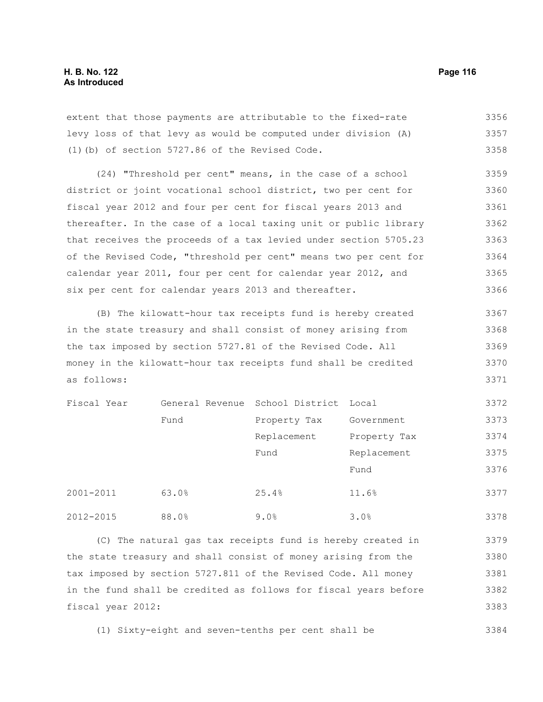extent that those payments are attributable to the fixed-rate levy loss of that levy as would be computed under division (A) (1)(b) of section 5727.86 of the Revised Code. 3356 3357 3358

(24) "Threshold per cent" means, in the case of a school district or joint vocational school district, two per cent for fiscal year 2012 and four per cent for fiscal years 2013 and thereafter. In the case of a local taxing unit or public library that receives the proceeds of a tax levied under section 5705.23 of the Revised Code, "threshold per cent" means two per cent for calendar year 2011, four per cent for calendar year 2012, and six per cent for calendar years 2013 and thereafter. 3359 3360 3361 3362 3363 3364 3365 3366

(B) The kilowatt-hour tax receipts fund is hereby created in the state treasury and shall consist of money arising from the tax imposed by section 5727.81 of the Revised Code. All money in the kilowatt-hour tax receipts fund shall be credited as follows: 3367 3368 3369 3370 3371

| Fiscal Year |       | General Revenue School District Local |              | 3372 |
|-------------|-------|---------------------------------------|--------------|------|
|             | Fund  | Property Tax                          | Government   | 3373 |
|             |       | Replacement                           | Property Tax | 3374 |
|             |       | Fund                                  | Replacement  | 3375 |
|             |       |                                       | Fund         | 3376 |
| 2001-2011   | 63.0% | 25.4%                                 | 11.6%        | 3377 |
| 2012-2015   | 88.0% | 9.0%                                  | 3.0%         | 3378 |

(C) The natural gas tax receipts fund is hereby created in the state treasury and shall consist of money arising from the tax imposed by section 5727.811 of the Revised Code. All money in the fund shall be credited as follows for fiscal years before fiscal year 2012: 3379 3380 3381 3382 3383

(1) Sixty-eight and seven-tenths per cent shall be 3384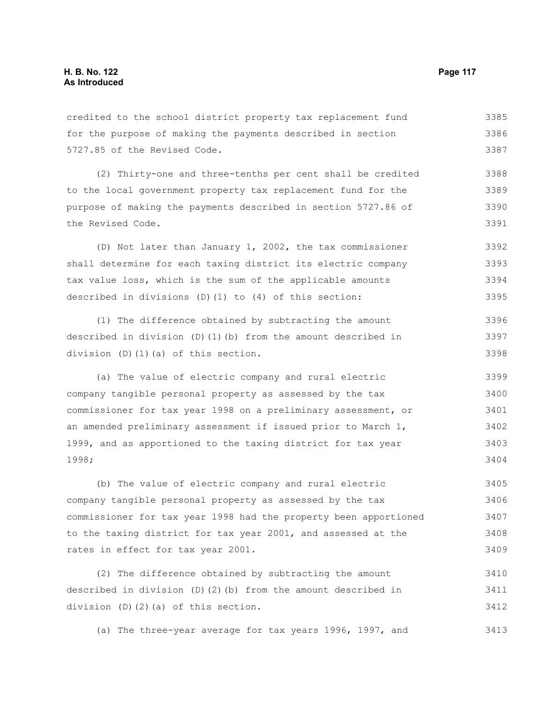## credited to the school district property tax replacement fund for the purpose of making the payments described in section 5727.85 of the Revised Code. (2) Thirty-one and three-tenths per cent shall be credited to the local government property tax replacement fund for the purpose of making the payments described in section 5727.86 of the Revised Code. (D) Not later than January 1, 2002, the tax commissioner shall determine for each taxing district its electric company tax value loss, which is the sum of the applicable amounts described in divisions (D)(1) to (4) of this section: (1) The difference obtained by subtracting the amount described in division (D)(1)(b) from the amount described in division (D)(1)(a) of this section. (a) The value of electric company and rural electric company tangible personal property as assessed by the tax commissioner for tax year 1998 on a preliminary assessment, or an amended preliminary assessment if issued prior to March 1, 1999, and as apportioned to the taxing district for tax year 1998; (b) The value of electric company and rural electric company tangible personal property as assessed by the tax commissioner for tax year 1998 had the property been apportioned to the taxing district for tax year 2001, and assessed at the rates in effect for tax year 2001. (2) The difference obtained by subtracting the amount described in division (D)(2)(b) from the amount described in division (D)(2)(a) of this section. 3385 3386 3387 3388 3389 3390 3391 3392 3393 3394 3395 3396 3397 3398 3399 3400 3401 3402 3403 3404 3405 3406 3407 3408 3409 3410 3411 3412

(a) The three-year average for tax years 1996, 1997, and 3413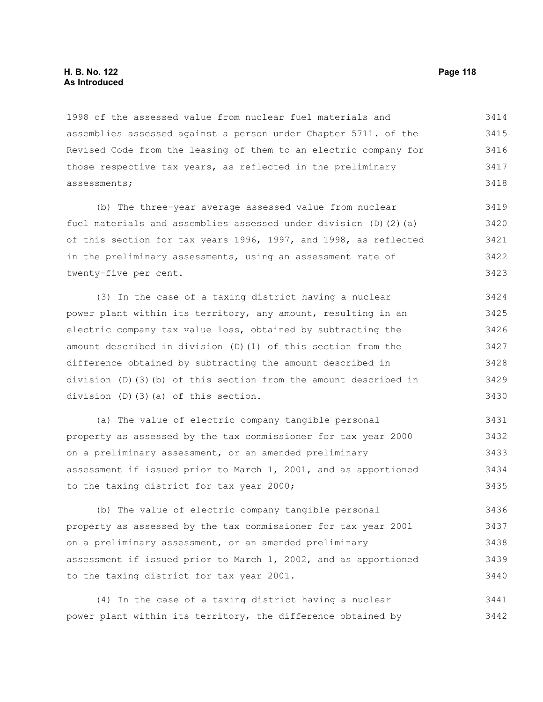# **H. B. No. 122 Page 118 As Introduced**

1998 of the assessed value from nuclear fuel materials and assemblies assessed against a person under Chapter 5711. of the Revised Code from the leasing of them to an electric company for those respective tax years, as reflected in the preliminary assessments; 3414 3415 3416 3417 3418

(b) The three-year average assessed value from nuclear fuel materials and assemblies assessed under division  $(D)$   $(2)$   $(a)$ of this section for tax years 1996, 1997, and 1998, as reflected in the preliminary assessments, using an assessment rate of twenty-five per cent. 3419 3420 3421 3422 3423

(3) In the case of a taxing district having a nuclear power plant within its territory, any amount, resulting in an electric company tax value loss, obtained by subtracting the amount described in division (D)(1) of this section from the difference obtained by subtracting the amount described in division (D)(3)(b) of this section from the amount described in division (D)(3)(a) of this section. 3424 3425 3426 3427 3428 3429 3430

(a) The value of electric company tangible personal property as assessed by the tax commissioner for tax year 2000 on a preliminary assessment, or an amended preliminary assessment if issued prior to March 1, 2001, and as apportioned to the taxing district for tax year 2000; 3431 3432 3433 3434 3435

(b) The value of electric company tangible personal property as assessed by the tax commissioner for tax year 2001 on a preliminary assessment, or an amended preliminary assessment if issued prior to March 1, 2002, and as apportioned to the taxing district for tax year 2001. 3436 3437 3438 3439 3440

(4) In the case of a taxing district having a nuclear power plant within its territory, the difference obtained by 3441 3442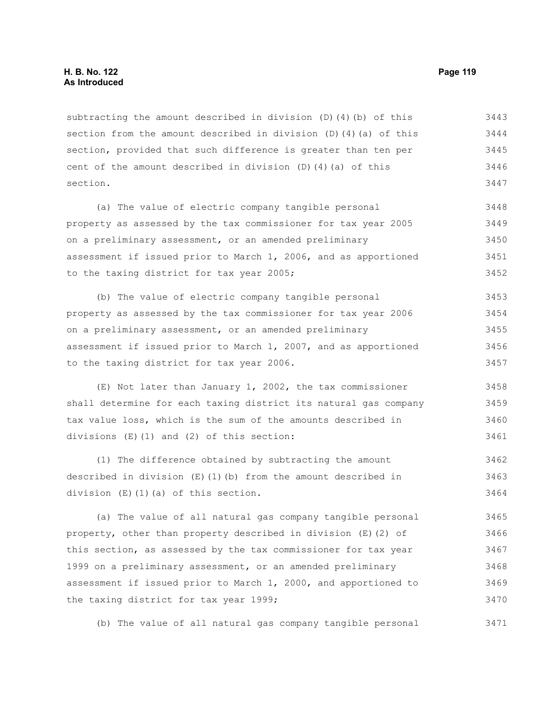subtracting the amount described in division (D)(4)(b) of this section from the amount described in division (D)(4)(a) of this section, provided that such difference is greater than ten per cent of the amount described in division (D)(4)(a) of this section. 3443 3444 3445 3446 3447

(a) The value of electric company tangible personal property as assessed by the tax commissioner for tax year 2005 on a preliminary assessment, or an amended preliminary assessment if issued prior to March 1, 2006, and as apportioned to the taxing district for tax year 2005; 3448 3449 3450 3451 3452

(b) The value of electric company tangible personal property as assessed by the tax commissioner for tax year 2006 on a preliminary assessment, or an amended preliminary assessment if issued prior to March 1, 2007, and as apportioned to the taxing district for tax year 2006. 3453 3454 3455 3456 3457

(E) Not later than January 1, 2002, the tax commissioner shall determine for each taxing district its natural gas company tax value loss, which is the sum of the amounts described in divisions (E)(1) and (2) of this section: 3458 3459 3460 3461

(1) The difference obtained by subtracting the amount described in division (E)(1)(b) from the amount described in division (E)(1)(a) of this section. 3462 3463 3464

(a) The value of all natural gas company tangible personal property, other than property described in division (E)(2) of this section, as assessed by the tax commissioner for tax year 1999 on a preliminary assessment, or an amended preliminary assessment if issued prior to March 1, 2000, and apportioned to the taxing district for tax year 1999; 3465 3466 3467 3468 3469 3470

(b) The value of all natural gas company tangible personal 3471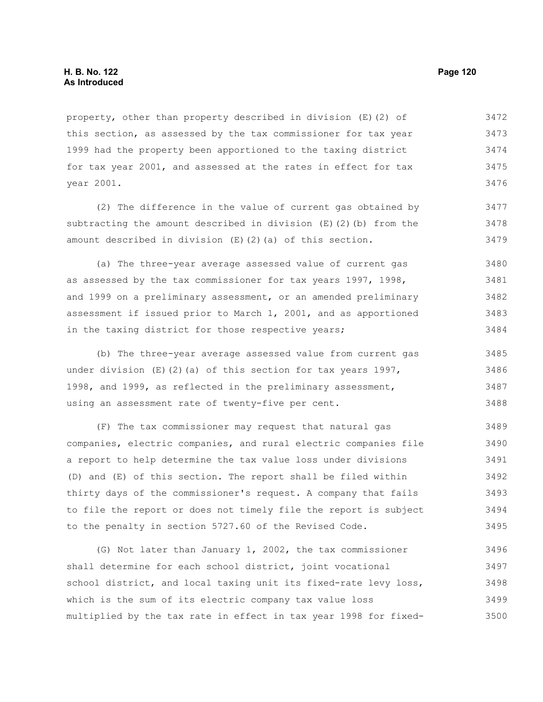property, other than property described in division (E)(2) of this section, as assessed by the tax commissioner for tax year 1999 had the property been apportioned to the taxing district for tax year 2001, and assessed at the rates in effect for tax year 2001. 3472 3473 3474 3475 3476

(2) The difference in the value of current gas obtained by subtracting the amount described in division (E)(2)(b) from the amount described in division (E)(2)(a) of this section. 3477 3478 3479

(a) The three-year average assessed value of current gas as assessed by the tax commissioner for tax years 1997, 1998, and 1999 on a preliminary assessment, or an amended preliminary assessment if issued prior to March 1, 2001, and as apportioned in the taxing district for those respective years; 3480 3481 3482 3483 3484

(b) The three-year average assessed value from current gas under division  $(E)$  (2)(a) of this section for tax years 1997, 1998, and 1999, as reflected in the preliminary assessment, using an assessment rate of twenty-five per cent. 3485 3486 3487 3488

(F) The tax commissioner may request that natural gas companies, electric companies, and rural electric companies file a report to help determine the tax value loss under divisions (D) and (E) of this section. The report shall be filed within thirty days of the commissioner's request. A company that fails to file the report or does not timely file the report is subject to the penalty in section 5727.60 of the Revised Code. 3489 3490 3491 3492 3493 3494 3495

(G) Not later than January 1, 2002, the tax commissioner shall determine for each school district, joint vocational school district, and local taxing unit its fixed-rate levy loss, which is the sum of its electric company tax value loss multiplied by the tax rate in effect in tax year 1998 for fixed-3496 3497 3498 3499 3500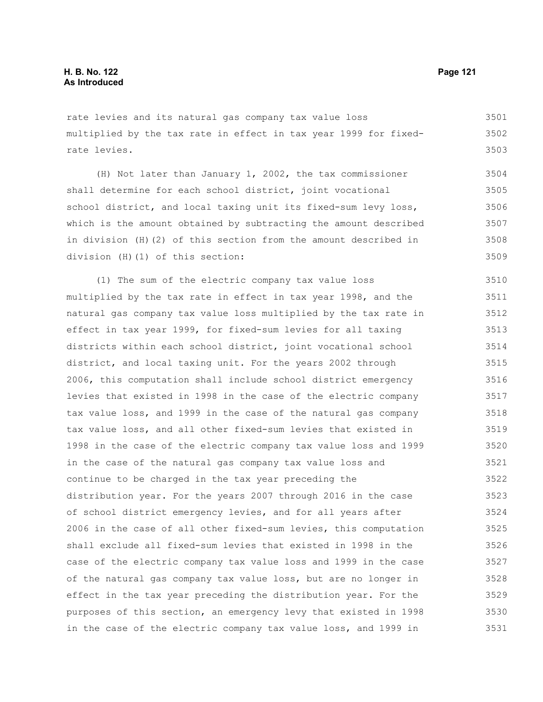rate levies and its natural gas company tax value loss multiplied by the tax rate in effect in tax year 1999 for fixedrate levies. 3501 3502 3503

(H) Not later than January 1, 2002, the tax commissioner shall determine for each school district, joint vocational school district, and local taxing unit its fixed-sum levy loss, which is the amount obtained by subtracting the amount described in division (H)(2) of this section from the amount described in division (H)(1) of this section: 3504 3505 3506 3507 3508 3509

(1) The sum of the electric company tax value loss multiplied by the tax rate in effect in tax year 1998, and the natural gas company tax value loss multiplied by the tax rate in effect in tax year 1999, for fixed-sum levies for all taxing districts within each school district, joint vocational school district, and local taxing unit. For the years 2002 through 2006, this computation shall include school district emergency levies that existed in 1998 in the case of the electric company tax value loss, and 1999 in the case of the natural gas company tax value loss, and all other fixed-sum levies that existed in 1998 in the case of the electric company tax value loss and 1999 in the case of the natural gas company tax value loss and continue to be charged in the tax year preceding the distribution year. For the years 2007 through 2016 in the case of school district emergency levies, and for all years after 2006 in the case of all other fixed-sum levies, this computation shall exclude all fixed-sum levies that existed in 1998 in the case of the electric company tax value loss and 1999 in the case of the natural gas company tax value loss, but are no longer in effect in the tax year preceding the distribution year. For the purposes of this section, an emergency levy that existed in 1998 in the case of the electric company tax value loss, and 1999 in 3510 3511 3512 3513 3514 3515 3516 3517 3518 3519 3520 3521 3522 3523 3524 3525 3526 3527 3528 3529 3530 3531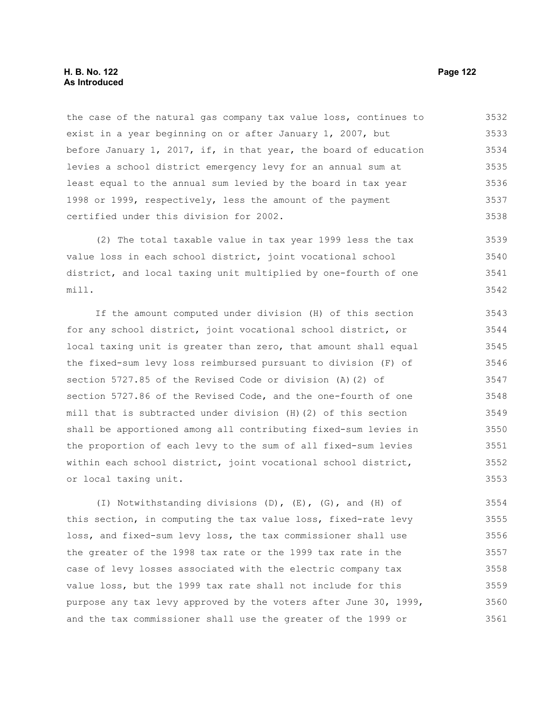# **H. B. No. 122 Page 122 As Introduced**

the case of the natural gas company tax value loss, continues to exist in a year beginning on or after January 1, 2007, but before January 1, 2017, if, in that year, the board of education levies a school district emergency levy for an annual sum at least equal to the annual sum levied by the board in tax year 1998 or 1999, respectively, less the amount of the payment certified under this division for 2002. 3532 3533 3534 3535 3536 3537 3538

(2) The total taxable value in tax year 1999 less the tax value loss in each school district, joint vocational school district, and local taxing unit multiplied by one-fourth of one mill. 3539 3540 3541 3542

If the amount computed under division (H) of this section for any school district, joint vocational school district, or local taxing unit is greater than zero, that amount shall equal the fixed-sum levy loss reimbursed pursuant to division (F) of section 5727.85 of the Revised Code or division (A)(2) of section 5727.86 of the Revised Code, and the one-fourth of one mill that is subtracted under division (H)(2) of this section shall be apportioned among all contributing fixed-sum levies in the proportion of each levy to the sum of all fixed-sum levies within each school district, joint vocational school district, or local taxing unit. 3543 3544 3545 3546 3547 3548 3549 3550 3551 3552 3553

(I) Notwithstanding divisions (D), (E), (G), and (H) of this section, in computing the tax value loss, fixed-rate levy loss, and fixed-sum levy loss, the tax commissioner shall use the greater of the 1998 tax rate or the 1999 tax rate in the case of levy losses associated with the electric company tax value loss, but the 1999 tax rate shall not include for this purpose any tax levy approved by the voters after June 30, 1999, and the tax commissioner shall use the greater of the 1999 or 3554 3555 3556 3557 3558 3559 3560 3561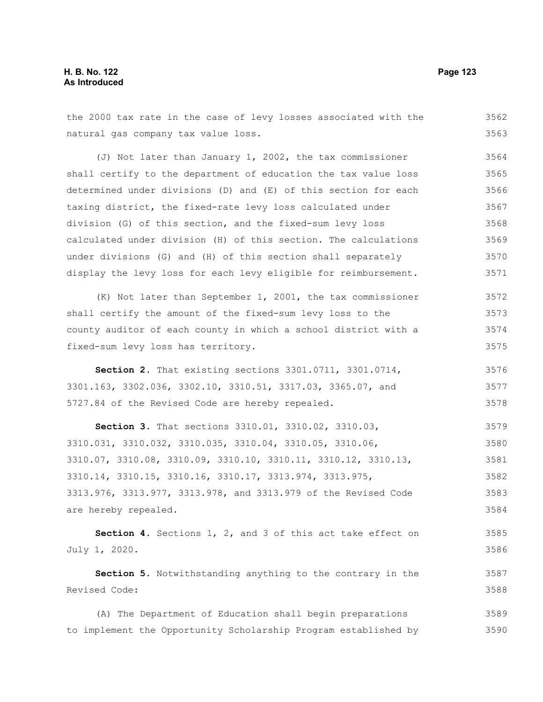| natural gas company tax value loss.                             | 3563 |
|-----------------------------------------------------------------|------|
| (J) Not later than January 1, 2002, the tax commissioner        | 3564 |
| shall certify to the department of education the tax value loss | 3565 |
| determined under divisions (D) and (E) of this section for each | 3566 |
| taxing district, the fixed-rate levy loss calculated under      | 3567 |
| division (G) of this section, and the fixed-sum levy loss       | 3568 |
| calculated under division (H) of this section. The calculations | 3569 |
| under divisions (G) and (H) of this section shall separately    | 3570 |
| display the levy loss for each levy eligible for reimbursement. | 3571 |
| (K) Not later than September 1, 2001, the tax commissioner      | 3572 |
| shall certify the amount of the fixed-sum levy loss to the      | 3573 |
| county auditor of each county in which a school district with a | 3574 |
| fixed-sum levy loss has territory.                              | 3575 |
| Section 2. That existing sections 3301.0711, 3301.0714,         | 3576 |
| 3301.163, 3302.036, 3302.10, 3310.51, 3317.03, 3365.07, and     | 3577 |
| 5727.84 of the Revised Code are hereby repealed.                | 3578 |
| Section 3. That sections 3310.01, 3310.02, 3310.03,             | 3579 |
| 3310.031, 3310.032, 3310.035, 3310.04, 3310.05, 3310.06,        | 3580 |
| 3310.07, 3310.08, 3310.09, 3310.10, 3310.11, 3310.12, 3310.13,  | 3581 |
| 3310.14, 3310.15, 3310.16, 3310.17, 3313.974, 3313.975,         | 3582 |
| 3313.976, 3313.977, 3313.978, and 3313.979 of the Revised Code  | 3583 |
| are hereby repealed.                                            | 3584 |
| Section 4. Sections 1, 2, and 3 of this act take effect on      | 3585 |
| July 1, 2020.                                                   | 3586 |
| Section 5. Notwithstanding anything to the contrary in the      | 3587 |
| Revised Code:                                                   | 3588 |
| (A) The Department of Education shall begin preparations        | 3589 |
| to implement the Opportunity Scholarship Program established by | 3590 |

the 2000 tax rate in the case of levy losses associated with the 3562